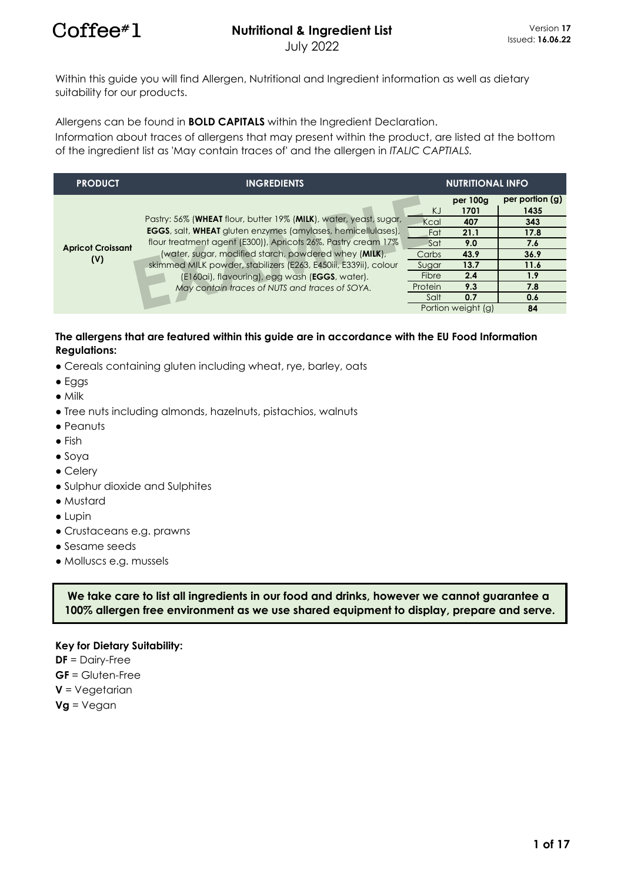Within this guide you will find Allergen, Nutritional and Ingredient information as well as dietary suitability for our products.

Allergens can be found in **BOLD CAPITALS** within the Ingredient Declaration.

Information about traces of allergens that may present within the product, are listed at the bottom of the ingredient list as 'May contain traces of' and the allergen in *ITALIC CAPTIALS.*

| <b>PRODUCT</b>           | <b>INGREDIENTS</b>                                                   | <b>NUTRITIONAL INFO</b> |                    |                 |  |
|--------------------------|----------------------------------------------------------------------|-------------------------|--------------------|-----------------|--|
|                          |                                                                      |                         | per 100g           | per portion (g) |  |
|                          |                                                                      | KJ                      | 1701               | 1435            |  |
|                          | Pastry: 56% (WHEAT flour, butter 19% (MILK), water, yeast, sugar,    | Kcal                    | 407                | 343             |  |
|                          | <b>EGGS</b> , salt, WHEAT gluten enzymes (amylases, hemicellulases), | Fat                     | 21.1               | 17.8            |  |
| <b>Apricot Croissant</b> | flour treatment agent (E300)), Apricots 26%, Pastry cream 17%        | Sat                     | 9.0                | 7.6             |  |
|                          | (water, sugar, modified starch, powdered whey (MILK),                | Carbs                   | 43.9               | 36.9            |  |
| (V)                      | skimmed MILK powder, stabilizers (E263, E450iii, E339ii), colour     | Sugar                   | 13.7               | 11.6            |  |
|                          | (E160ai), flavouring), egg wash (EGGS, water).                       | Fibre                   | 2.4                | 1.9             |  |
|                          | May contain traces of NUTS and traces of SOYA.                       | Protein                 | 9.3                | 7.8             |  |
|                          |                                                                      | Salt                    | 0.7                | 0.6             |  |
|                          |                                                                      |                         | Portion weight (g) | 84              |  |

#### **The allergens that are featured within this guide are in accordance with the EU Food Information Regulations:**

- Cereals containing gluten including wheat, rye, barley, oats
- Eggs
- Milk
- Tree nuts including almonds, hazelnuts, pistachios, walnuts
- Peanuts
- Fish
- Soya
- Celery
- Sulphur dioxide and Sulphites
- Mustard
- Lupin
- Crustaceans e.g. prawns
- Sesame seeds
- Molluscs e.g. mussels

**We take care to list all ingredients in our food and drinks, however we cannot guarantee a 100% allergen free environment as we use shared equipment to display, prepare and serve.**

#### **Key for Dietary Suitability:**

- **DF** = Dairy-Free
- **GF** = Gluten-Free
- **V** = Vegetarian
- **Vg** = Vegan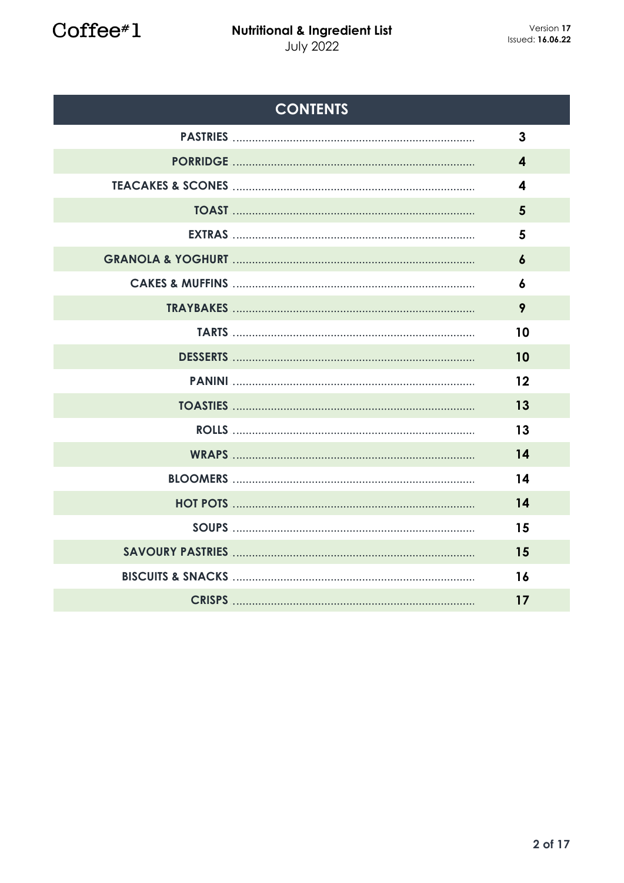Coffee#1

| <b>CONTENTS</b>              |                  |
|------------------------------|------------------|
|                              | $\mathbf{3}$     |
|                              | 4                |
| <b>TEACAKES &amp; SCONES</b> | 4                |
|                              | 5                |
|                              | 5                |
|                              | $\boldsymbol{6}$ |
|                              | 6                |
|                              | 9                |
|                              | 10               |
|                              | 10               |
|                              | 12               |
| <b>TOASTIES</b>              | 13               |
|                              | 13               |
|                              | 14               |
|                              | 14               |
|                              | 14               |
|                              | 15               |
|                              | 15               |
|                              | 16               |
|                              | 17               |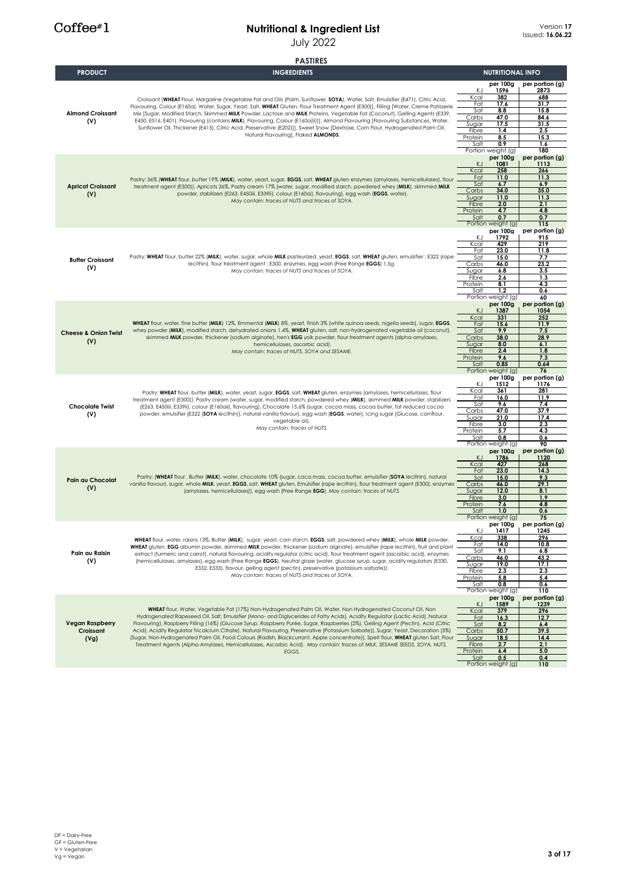#### **Nutritional & Ingredient List** July 2022

#### **per 100g per portion (g)** 1596 **2873**<br>
2873<br>
282 688<br>
17.6 31.7 Kcal **382 688** Fat **17.6 31.7** 8.8 15.8<br>47.0 84.6 Carbs **47.0 84.6** Sugar **17.5 31.5** Fibre **1.4 2.5** Protein **8.5 15.3** Salt **0.9 1.6 180 per 100g per portion (g)** KJ **1081 1113** Kcal **258 266** Fat **11.0 11.3** Sat **6.7 6.9** arbs **34.0 35.0**<br>gar **11.0 11.3** Sugar **11.0 11.3** Fibre **2.0 2.1 4.8** Protei Salt **0.7 0.7 115 per 100g per portion (g) 1792**<br>**KJ** 1792 K.J. **1792** 915<br> **219** 219<br> **219**<br> **219**<br> **23.0** 11.8 Fat **23.0 11.8** Sat **15.0 7.7** Carbs **46.0 23.2** Sugar **6.8 3.5** Fibre **2.6 1.3** Protein **8.1 4.3** Salt **1.2 0.6**  $\frac{0.6}{60}$ **per 100g per portion (g)** KJ **1387 1054** Kcal **331 252** Fat **15.6 11.9** Sat **9.9 7.5** Carbs **38.0 28.9** Sugar **8.0 6.1**  $\frac{8.0}{2.4}$ Protein **9.6 7.3** Salt **0.85 0.64 76 per 100g per portion (g)** KJ **1512 1176** Kcal **361 281** Fat **16.0 11.9** Sat **9.6 7.4** Carbs **47.0 37.9** Sugar **21.0 17.4** Fibre **3.0 2.3** Protein **5.7 4.3** Salt **0.8 0.6 90** Portion weight (g) **90**<br> **per 100g per portion (g)** er 100g **per portiol**<br>1786 **1120**<br>127 1268 <u>268</u><br>
14.3 Fat **23.0 14.3** Sat **15.0 9.3** Carbs **46.0 29.1** Sugar **12.0 8.1** Fibre **3.0 1.9** Protein **7.6 4.8**  $\frac{1.0}{1.0}$  $rac{0.6}{75}$ **per 100g per portion (g)** KJ **1417 1245** Kcal **338 296** Fat **14.0 10.8** Sat **9.1 6.8** Carbs **46.0 43.2**  $Suga$ Fibre **2.3 2.3** Protein **5.8 5.4** Salt **0.8 0.6** Portion weight (g) **110 per 100g per portion (g)** KJ **1589 1239** Kcal **379 296** Fat **16.3 12.7** Sat **8.2 6.4** Carbs **50.7 39.5** Sugar **18.5 14.4** Fibre **2.7 2.1** Protein **6.4 5.0** Pastry: (**WHEAT** flour , Butter (**MILK**), water, chocolate 10% (sugar, coca mass, cocoa butter, emulsifier (**SOYA** lecithin), natural vanilla flavour), sugar, whole **MILK**, yeast, **EGGS**, salt, **WHEAT** gluten, Emulsifier (rape lecithin), flour treatment agent (E300), enzymes (amylases, hemicellulases)), egg wash (Free Range **EGG**). *May contain: traces of NUTS.* **Pain au Chocolat (V) Pain au Raisin (V) WHEAT** flour, water, raisins 13%, Butter (**MILK**), sugar, yeast, corn starch, **EGGS**, salt, powdered whey (**MILK**), whole **MILK** powder, **WHEAT** gluten, **EGG** albumin powder, skimmed **MILK** powder, thickener (sodium alginate), emulsifier (rape lecithin), fruit and plant<br>extract (turmeric and carrot), natural flavouring, acidity regulator (citric acid), flou (hemicellulases, amylases), egg wash (Free Range **EGGS**), Neutral glaze (water, glucose syrup, sugar, acidity regulators (E330, E332, E333), flavour, gelling agent (pectin), preservative (potassium sorbate)). *May contain: traces of NUTS and traces of SOYA.* **WHEAT** flour, Water, Vegetable Fat (17%) Non-Hydrogenated Palm Oil, Water, Non Hydrogenated Coconut Oil, Non Hydrogenated Rapeseed Oil, Salt, Emulsifier (Mono- and Diglycerides of Fatty Acids), Acidity Regulator (Lactic Acid), Natural<br>Flavouring), Raspberry Filling (16%) (Glucose Syrup, Raspberry Purée, Sugar, Raspberries (2%), G Acid), Acidity Regulator Tricalcium Citrate), Natural Flavouring, Preservative (Potassium Sorbate)), Sugar, Yeast, Decoration (3%)<br>(Sugar, Non-Hydrogenated Palm Oil, Food Colours (Radish, Blackcurrant, Apple concentrate)), *EGGS.* **Vegan Raspberry Croissant (Vg)** weight (g<br>**per 100g PASTIRES PRODUCT INGREDIENTS** Portion weight (g) Pastry: **WHEAT** flour, butter (**MILK**), water, yeast, sugar, **EGGS**, salt, **WHEAT** gluten, enzymes (amylases, hemicellulases, flour treatment agent (E300)), Pastry cream (water, sugar, modified starch, powdered whey (**MILK**), skimmed **MILK** powder, stabilizers<br>E263, E450iii, E339ii), colour (E160aii), flavouring), Chocolate 15.6% (sugar, cocoa mass, co powder, emulsifier (E322 (**SOYA** lecithin)), natural vanilla flavour), egg wash (**EGGS**, water), Icing sugar (Glucose, cornflour, vegetable oil). *May contain: traces of NUTS.* **Chocolate Twist (V) Butter Croissant (V)** Pastry: **WHEAT** flour, butter 22% (**MILK**), water, sugar, whole **MILK** pasteurized, yeast, **EGGS**, salt, **WHEAT** gluten, emulsifier : E322 (rape lecithin), flour treatment agent : E300, enzymes, egg wash (Free Range **EGGS**) 1,5g. *May contain: traces of NUTS and traces of SOYA.* **Apricot Croissant (V)** Pastry: 56% (**WHEAT** flour, butter 19% (**MILK**), water, yeast, sugar, **EGGS**, salt, **WHEAT** gluten enzymes (amylases, hemicellulases), flour treatment agent (E300)), Apricots 26%, Pastry cream 17% (water, sugar, modified starch, powdered whey (**MILK**), skimmed **MILK**<br>powder, stabilizers (E263, E450iii, E339ii), colour (E160ai), flavouring), egg wash (**EGGS**, wa *May contain: traces of NUTS and traces of SOYA.* **Almond Croissant (V)** Croissant **(WHEAT** Flour, Margarine (Vegetable Fat and Oils (Palm, Sunflower, **SOYA**), Water, Salt, Emulsifier (E471), Citric Acid,<br>Flavouring, Colour (E160a), Water, Sugar, Yeast, Salt, **WHEAT** Gluten, Flour Treatment Age Mix [Sugar, Modified Starch, Skimmed **MILK** Powder, Lactose and **MILK** Proteins, Vegetable Fat (Coconut), Gelling Agents (E339,<br>E450, E516, E401), Flavouring (contains **MILK)**, Flavouring, Colour (E160a(ii))), Almond Flavo Sunflower Oil, Thickener (E415), Citric Acid, Preservative (E202)]], Sweet Snow [Dextrose, Corn Flour, Hydrogenated Palm Oil, Natural Flavouring], Flaked **ALMONDS**. **NUTRITIONAL INFO** weight (g weight (g **Cheese & Onion Twist (V) WHEAT** flour, water, fine butter (**MILK**) 12%, Emmental (MIL**K**) 8%, yeast, finish 3% (white quinoa seeds, nigella seeds), sugar, **EGGS**,<br>whey powder (**MILK**), modified starch, dehydrated onions 1.4%, **WHEAT** gluten, salt skimmed **MILK** powder, thickener (sodium alginate), hen's **EGG** yolk powder, flour treatment agents (alpha-amylases, hemicellulases, ascorbic acid). *May contain: traces of NUTS, SOYA and SESAME.* weight (g<br>**per 100g**

Portion weight (g) **110**

Salt **0.5 0.4**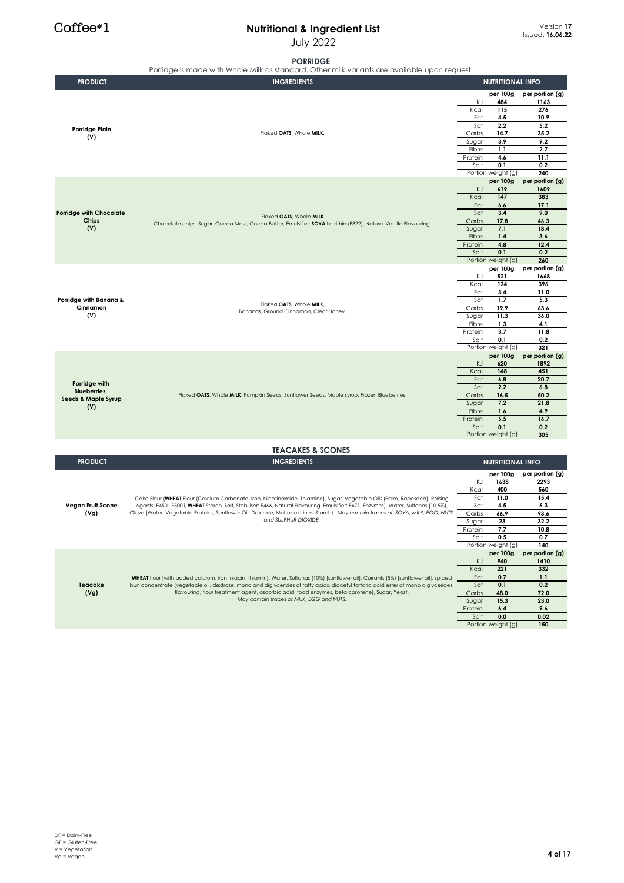#### **Nutritional & Ingredient List** July 2022

#### **PORRIDGE**

|                                         | <b>PORRIDGE</b><br>Porridge is made with Whole Milk as standard. Other milk variants are available upon request.                                                                                                                                                    |                 |                           |                                |
|-----------------------------------------|---------------------------------------------------------------------------------------------------------------------------------------------------------------------------------------------------------------------------------------------------------------------|-----------------|---------------------------|--------------------------------|
| <b>PRODUCT</b>                          | <b>INGREDIENTS</b>                                                                                                                                                                                                                                                  |                 | <b>NUTRITIONAL INFO</b>   |                                |
|                                         |                                                                                                                                                                                                                                                                     | ΚJ              | per 100g<br>484           | per portion (g)<br>1163<br>276 |
|                                         |                                                                                                                                                                                                                                                                     | Kcal<br>Fat     | 115<br>4.5                | 10.9                           |
| Porridge Plain                          |                                                                                                                                                                                                                                                                     | Sat             | 2.2                       | 5.2                            |
| (V)                                     | Flaked OATS, Whole MILK.                                                                                                                                                                                                                                            | Carbs<br>Sugar  | 14.7<br>3.9               | 35.2<br>9.2                    |
|                                         |                                                                                                                                                                                                                                                                     | Fibre           | 1.1                       | 2.7                            |
|                                         |                                                                                                                                                                                                                                                                     | Protein         | 4.6                       | 11.1                           |
|                                         |                                                                                                                                                                                                                                                                     | Salt            | 0.1<br>Portion weight (g) | 0.2<br>240                     |
|                                         |                                                                                                                                                                                                                                                                     | ΚJ              | per 100g<br>619           | per portion (g)<br>1609        |
|                                         |                                                                                                                                                                                                                                                                     | Kcal            | 147                       | 383                            |
|                                         |                                                                                                                                                                                                                                                                     | Fat             | 6.6                       | 17.1                           |
| <b>Porridge with Chocolate</b><br>Chips | Flaked OATS, Whole MILK                                                                                                                                                                                                                                             | Sat<br>Carbs    | 3.4<br>17.8               | 9.0<br>46.3                    |
| (V)                                     | Chocolate chips: Sugar, Cocoa Mass, Cocoa Butter, Emulsifier: SOYA Lecithin (E322), Natural Vanilla Flavouring.                                                                                                                                                     | Sugar           | 7.1                       | 18.4                           |
|                                         |                                                                                                                                                                                                                                                                     | Fibre           | 1.4                       | 3.6                            |
|                                         |                                                                                                                                                                                                                                                                     | Protein<br>Salt | 4.8<br>0.1                | 12.4<br>0.2                    |
|                                         |                                                                                                                                                                                                                                                                     |                 | Portion weight (g)        | 260                            |
|                                         |                                                                                                                                                                                                                                                                     |                 | per 100g                  | per portion (g)                |
|                                         |                                                                                                                                                                                                                                                                     | ΚJ              | 521                       | 1668                           |
|                                         |                                                                                                                                                                                                                                                                     | Kcal<br>Fat     | 124<br>3.4                | 396<br>11.0                    |
| Porridge with Banana &                  | Flaked OATS, Whole MILK.                                                                                                                                                                                                                                            | Sat             | 1.7                       | 5.3                            |
| Cinnamon                                | Bananas, Ground Cinnamon, Clear Honey.                                                                                                                                                                                                                              | Carbs           | 19.9                      | 63.6                           |
| (V)                                     |                                                                                                                                                                                                                                                                     | Sugar<br>Fibre  | 11.3<br>1.3               | 36.0<br>4.1                    |
|                                         |                                                                                                                                                                                                                                                                     | Protein         | 3.7                       | 11.8                           |
|                                         |                                                                                                                                                                                                                                                                     | Salt            | 0.1                       | 0.2                            |
|                                         |                                                                                                                                                                                                                                                                     |                 | Portion weight (g)        | 321<br>per portion (g)         |
|                                         |                                                                                                                                                                                                                                                                     | KJ              | per 100g<br>620           | 1892                           |
|                                         |                                                                                                                                                                                                                                                                     | Kcal            | 148                       | 451                            |
| Porridge with                           |                                                                                                                                                                                                                                                                     | Fat<br>Sat      | 6.8<br>2.2                | 20.7<br>6.8                    |
| Blueberries,                            | Flaked OATS, Whole MILK, Pumpkin Seeds, Sunflower Seeds, Maple syrup, Frozen Blueberries.                                                                                                                                                                           | Carbs           | 16.5                      | 50.2                           |
| <b>Seeds &amp; Maple Syrup</b><br>(V)   |                                                                                                                                                                                                                                                                     | Sugar           | 7.2                       | 21.8                           |
|                                         |                                                                                                                                                                                                                                                                     | Fibre           | 1.6                       | 4.9                            |
|                                         |                                                                                                                                                                                                                                                                     | Protein<br>Salt | 5.5<br>0.1                | 16.7<br>0.2                    |
|                                         |                                                                                                                                                                                                                                                                     |                 | Portion weight (g)        | 305                            |
|                                         | <b>TEACAKES &amp; SCONES</b>                                                                                                                                                                                                                                        |                 |                           |                                |
| <b>PRODUCT</b>                          | <b>INGREDIENTS</b>                                                                                                                                                                                                                                                  |                 | <b>NUTRITIONAL INFO</b>   |                                |
|                                         |                                                                                                                                                                                                                                                                     |                 | per 100g                  | per portion (g)                |
|                                         |                                                                                                                                                                                                                                                                     | ΚJ              | 1638                      | 2293                           |
|                                         |                                                                                                                                                                                                                                                                     | Kcal            | 400                       | 560                            |
| Vegan Fruit Scone                       | Cake Flour (WHEAT Flour (Calcium Carbonate, Iron, Nicotinamide, Thiamine), Sugar, Vegetable Oils (Palm, Rapeseed), Raising<br>Agents: E450i, E500ii, WHEAT Starch, Salt, Stabiliser: E466, Natural Flavouring, Emulsifier: E471, Enzymes), Water, Sultanas (10.5%), | Fat<br>Sat      | 11.0<br>4.5               | 15.4<br>6.3                    |
| (Vg)                                    | Glaze (Water, Vegetable Proteins, Sunflower Oil, Dextrose, Maltodextrines, Starch). May contain traces of SOYA, MILK, EGG, NUTS                                                                                                                                     | Carbs           | 66.9                      | 93.6                           |
|                                         | and SULPHUR DIOXIDE.                                                                                                                                                                                                                                                | Sugar           | 23                        | 32.2                           |
|                                         |                                                                                                                                                                                                                                                                     | Protein         | 7.7                       | 10.8<br>0.7                    |
|                                         |                                                                                                                                                                                                                                                                     | Salt            | 0.5<br>Portion weight (g) | 140                            |
|                                         |                                                                                                                                                                                                                                                                     |                 | per 100g                  | per portion (g)                |
|                                         |                                                                                                                                                                                                                                                                     | KJ              | 940                       | 1410                           |
|                                         | WHEAT flour [with added calcium, iron, niacin, thiamin], Water, Sultanas (10%) [sunflower oil], Currants (5%) [sunflower oil], spiced                                                                                                                               | Kcal<br>Fat     | 221<br>0.7                | 332<br>1.1                     |
| Teacake                                 | bun concentrate [vegetable oil, dextrose, mono and diglycerides of fatty acids, diacetyl tartaric acid ester of mono diglycerides,                                                                                                                                  | Sat             | 0.1                       | 0.2                            |
| (Vg)                                    | flavouring, flour treatment agent, ascorbic acid, food enzymes, beta carotene], Sugar, Yeast.                                                                                                                                                                       | Carbs           | 48.0                      | 72.0                           |
|                                         | May contain traces of MILK, EGG and NUTS.                                                                                                                                                                                                                           | Sugar           | 15.3                      | 23.0                           |
|                                         |                                                                                                                                                                                                                                                                     | Protein<br>Salt | 6.4<br>0.0                | 9.6<br>0.02                    |
|                                         |                                                                                                                                                                                                                                                                     |                 | Portion weight (g)        | 150                            |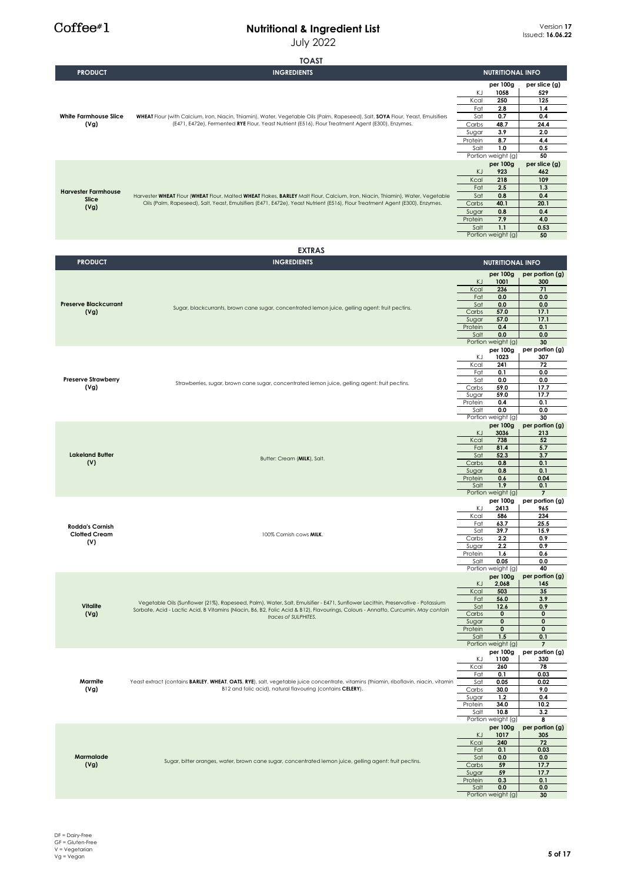July 2022

# **TOAST**

| <b>PRODUCT</b>                              | <b>INGREDIENTS</b>                                                                                                                                                                                                                                                  | <b>NUTRITIONAL INFO</b>              |                              |
|---------------------------------------------|---------------------------------------------------------------------------------------------------------------------------------------------------------------------------------------------------------------------------------------------------------------------|--------------------------------------|------------------------------|
|                                             | WHEAT Flour (with Calcium, Iron, Niacin, Thiamin), Water, Vegetable Oils (Palm, Rapeseed), Salt, SOYA Flour, Yeast, Emulsifiers<br>(E471, E472e), Fermented RYE Flour, Yeast Nutrient (E516), Flour Treatment Agent (E300), Enzymes.                                | per 100g                             | per slice (g)                |
|                                             |                                                                                                                                                                                                                                                                     | ΚJ<br>1058                           | 529                          |
|                                             |                                                                                                                                                                                                                                                                     | 250<br>Kcal                          | 125                          |
| <b>White Farmhouse Slice</b>                |                                                                                                                                                                                                                                                                     | Fat<br>2.8<br>Sat<br>0.7             | 1.4<br>0.4                   |
| (Vg)                                        |                                                                                                                                                                                                                                                                     | Carbs<br>48.7                        | 24.4                         |
|                                             |                                                                                                                                                                                                                                                                     | Sugar<br>3.9                         | 2.0                          |
|                                             |                                                                                                                                                                                                                                                                     | 8.7<br>Protein                       | 4.4                          |
|                                             |                                                                                                                                                                                                                                                                     | Salt<br>1.0                          | 0.5                          |
|                                             |                                                                                                                                                                                                                                                                     | Portion weight (g)                   | 50                           |
|                                             |                                                                                                                                                                                                                                                                     | per 100g<br>KJ<br>923                | per slice (g)<br>462         |
|                                             |                                                                                                                                                                                                                                                                     | Kcal<br>218                          | 109                          |
|                                             |                                                                                                                                                                                                                                                                     | Fat<br>2.5                           | 1.3                          |
| <b>Harvester Farmhouse</b><br>Slice<br>(Vg) | Harvester WHEAT Flour (WHEAT Flour, Malted WHEAT Flakes, BARLEY Malt Flour, Calcium, Iron, Niacin, Thiamin), Water, Vegetable                                                                                                                                       | 0.8<br>Sat                           | 0.4                          |
|                                             | Oils (Palm, Rapeseed), Salt, Yeast, Emulsifiers (E471, E472e), Yeast Nutrient (E516), Flour Treatment Agent (E300), Enzymes.                                                                                                                                        | Carbs<br>40.1                        | 20.1                         |
|                                             |                                                                                                                                                                                                                                                                     | Sugar<br>0.8                         | 0.4                          |
|                                             |                                                                                                                                                                                                                                                                     | 7.9<br>Protein                       | 4.0                          |
|                                             |                                                                                                                                                                                                                                                                     | 1.1<br>Salt<br>Portion weight (g)    | 0.53<br>50                   |
|                                             |                                                                                                                                                                                                                                                                     |                                      |                              |
|                                             | <b>EXTRAS</b>                                                                                                                                                                                                                                                       |                                      |                              |
| <b>PRODUCT</b>                              | <b>INGREDIENTS</b>                                                                                                                                                                                                                                                  | <b>NUTRITIONAL INFO</b>              |                              |
|                                             |                                                                                                                                                                                                                                                                     |                                      |                              |
|                                             |                                                                                                                                                                                                                                                                     | per 100g<br>KJ.<br>1001              | per portion (g)<br>300       |
|                                             |                                                                                                                                                                                                                                                                     | Kcal<br>236                          | 71                           |
|                                             |                                                                                                                                                                                                                                                                     | 0.0<br>Fat                           | 0.0                          |
| <b>Preserve Blackcurrant</b>                | Sugar, blackcurrants, brown cane sugar, concentrated lemon juice, gelling agent: fruit pectins.                                                                                                                                                                     | Sat<br>0.0                           | 0.0                          |
| (Vg)                                        |                                                                                                                                                                                                                                                                     | Carbs<br>57.0                        | 17.1                         |
|                                             |                                                                                                                                                                                                                                                                     | 57.0<br>Sugar<br>Protein<br>0.4      | 17.1<br>0.1                  |
|                                             |                                                                                                                                                                                                                                                                     | 0.0<br>Salt                          | 0.0                          |
|                                             |                                                                                                                                                                                                                                                                     | Portion weight (g)                   | 30                           |
|                                             |                                                                                                                                                                                                                                                                     | per 100g                             | per portion (g)              |
|                                             |                                                                                                                                                                                                                                                                     | ΚJ<br>1023                           | 307                          |
|                                             |                                                                                                                                                                                                                                                                     | Kcal<br>241<br>0.1<br>Fat            | 72<br>0.0                    |
| <b>Preserve Strawberry</b>                  |                                                                                                                                                                                                                                                                     | 0.0<br>Sat                           | 0.0                          |
| (Vg)                                        | Strawberries, sugar, brown cane sugar, concentrated lemon juice, gelling agent: fruit pectins.                                                                                                                                                                      | Carbs<br>59.0                        | 17.7                         |
|                                             |                                                                                                                                                                                                                                                                     | 59.0<br>Sugar                        | 17.7                         |
|                                             |                                                                                                                                                                                                                                                                     | Protein<br>0.4                       | 0.1                          |
|                                             |                                                                                                                                                                                                                                                                     | 0.0<br>Salt                          | 0.0<br>30                    |
|                                             |                                                                                                                                                                                                                                                                     | Portion weight (g)<br>per 100g       | per portion (g)              |
|                                             |                                                                                                                                                                                                                                                                     | KJ.<br>3036                          | 213                          |
|                                             | Butter: Cream (MILK), Salt.                                                                                                                                                                                                                                         | Kcal<br>738                          | 52                           |
|                                             |                                                                                                                                                                                                                                                                     | 81.4<br>Fat                          | 5.7                          |
| <b>Lakeland Butter</b>                      |                                                                                                                                                                                                                                                                     | 52.3<br>Sat<br>Carbs<br>0.8          | 3.7<br>0.1                   |
| (V)                                         |                                                                                                                                                                                                                                                                     | 0.8<br>Sugar                         | 0.1                          |
|                                             |                                                                                                                                                                                                                                                                     | Protein<br>0.6                       | 0.04                         |
|                                             |                                                                                                                                                                                                                                                                     | 1.9<br>Salt                          | 0.1                          |
|                                             |                                                                                                                                                                                                                                                                     | Portion weight (g)                   | $\overline{7}$               |
|                                             |                                                                                                                                                                                                                                                                     | per 100g<br>ΚJ<br>2413               | per portion (g)<br>965       |
|                                             |                                                                                                                                                                                                                                                                     | Kcal<br>586                          | 234                          |
| <b>Rodda's Cornish</b>                      |                                                                                                                                                                                                                                                                     | 63.7<br>Fat                          | 25.5                         |
| <b>Clotted Cream</b>                        | 100% Cornish cows MILK.                                                                                                                                                                                                                                             | Sat<br>39.7                          | 15.9                         |
| (V)                                         |                                                                                                                                                                                                                                                                     | 2.2<br>$\sim$ $\sim$                 | 0.9                          |
|                                             |                                                                                                                                                                                                                                                                     | Sugar<br>2.2<br>Protein<br>1.6       | 0.9<br>0.6                   |
|                                             |                                                                                                                                                                                                                                                                     | 0.05<br>Salt                         | 0.0                          |
|                                             |                                                                                                                                                                                                                                                                     | Portion weight (g)                   | 40                           |
|                                             |                                                                                                                                                                                                                                                                     | per 100g                             | per portion (g)              |
|                                             |                                                                                                                                                                                                                                                                     | KJ<br>2,068<br>Kcal<br>503           | 145<br>35                    |
|                                             |                                                                                                                                                                                                                                                                     | 56.0<br>Fat                          | 3.9                          |
| <b>Vitalite</b>                             | Vegetable Oils (Sunflower (21%), Rapeseed, Palm), Water, Salt, Emulsifier - E471, Sunflower Lecithin, Preservative - Potassium<br>Sorbate, Acid - Lactic Acid, B Vitamins (Niacin, B6, B2, Folic Acid & B12), Flavourings, Colours - Annatto, Curcumin. May contain | Sat<br>12.6                          | 0.9                          |
| (Vg)                                        | traces of SULPHITES.                                                                                                                                                                                                                                                | Carbs<br>$\mathbf 0$                 | $\bf{0}$                     |
|                                             |                                                                                                                                                                                                                                                                     | Sugar<br>$\mathbf 0$<br>$\mathbf{0}$ | $\mathbf{0}$<br>$\mathbf{0}$ |
|                                             |                                                                                                                                                                                                                                                                     | Protein<br>Salt<br>1.5               | 0.1                          |
|                                             |                                                                                                                                                                                                                                                                     | Portion weight (g)                   | $\overline{7}$               |
|                                             |                                                                                                                                                                                                                                                                     | per 100g                             | per portion (g)              |
|                                             |                                                                                                                                                                                                                                                                     | KJ<br>1100                           | 330                          |
|                                             |                                                                                                                                                                                                                                                                     | Kcal<br>260<br>0.1<br>Fat            | 78<br>0.03                   |
| Marmite                                     | Yeast extract (contains BARLEY, WHEAT, OATS, RYE), salt, vegetable juice concentrate, vitamins (thiamin, riboflavin, niacin, vitamin                                                                                                                                | 0.05<br>Sat                          | 0.02                         |
| (Vg)                                        | B12 and folic acid), natural flavouring (contains CELERY).                                                                                                                                                                                                          | Carbs<br>30.0                        | 9.0                          |
|                                             |                                                                                                                                                                                                                                                                     | Sugar<br>1.2                         | 0.4                          |
|                                             |                                                                                                                                                                                                                                                                     | Protein<br>34.0                      | 10.2                         |
|                                             |                                                                                                                                                                                                                                                                     | Salt<br>10.8<br>Portion weight (g)   | 3.2<br>8                     |
|                                             |                                                                                                                                                                                                                                                                     | per 100g                             | per portion (g)              |
|                                             |                                                                                                                                                                                                                                                                     | KJ<br>1017                           | 305                          |
|                                             |                                                                                                                                                                                                                                                                     | Kcal<br>240                          | 72                           |
|                                             |                                                                                                                                                                                                                                                                     | 0.1<br>Fat                           | 0.03                         |
| Marmalade                                   | Sugar, bitter oranges, water, brown cane sugar, concentrated lemon juice, gelling agent: fruit pectins.                                                                                                                                                             | Sat<br>0.0                           | 0.0                          |
| (Vg)                                        |                                                                                                                                                                                                                                                                     | Carbs<br>59<br>59<br>Sugar           | 17.7<br>17.7                 |
|                                             |                                                                                                                                                                                                                                                                     | Protein<br>0.3                       | 0.1                          |
|                                             |                                                                                                                                                                                                                                                                     | Salt<br>0.0                          | 0.0                          |
|                                             |                                                                                                                                                                                                                                                                     | Portion weight (g)                   | 30                           |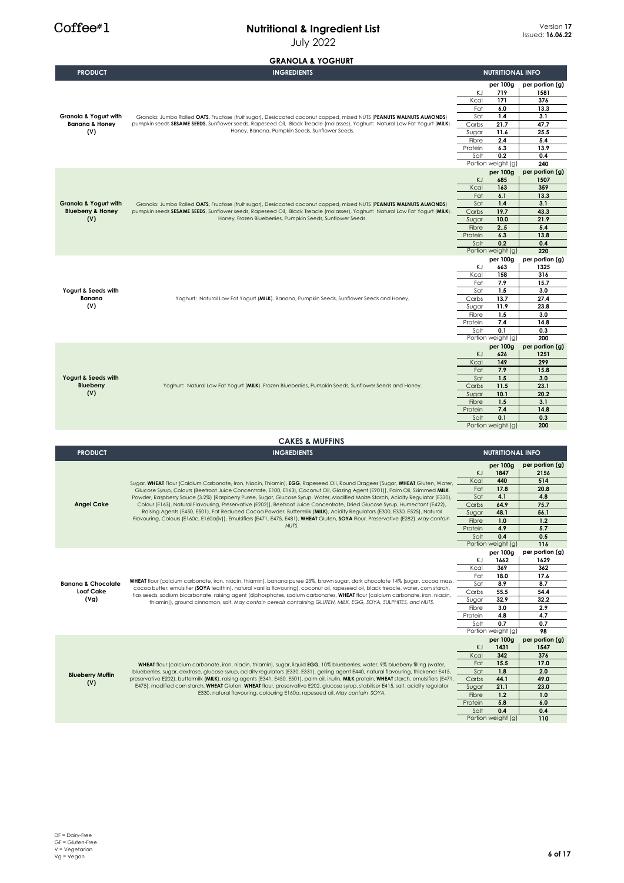|                                                   | <b>GRANOLA &amp; YOGHURT</b>                                                                                                                                                                                                                                             |                  |                                |                         |
|---------------------------------------------------|--------------------------------------------------------------------------------------------------------------------------------------------------------------------------------------------------------------------------------------------------------------------------|------------------|--------------------------------|-------------------------|
| <b>PRODUCT</b>                                    | <b>INGREDIENTS</b>                                                                                                                                                                                                                                                       |                  | <b>NUTRITIONAL INFO</b>        |                         |
|                                                   |                                                                                                                                                                                                                                                                          |                  | per 100g                       | per portion (g)         |
|                                                   |                                                                                                                                                                                                                                                                          | ΚJ               | 719                            | 1581                    |
|                                                   |                                                                                                                                                                                                                                                                          | Kcal             | 171                            | 376                     |
| Granola & Yogurt with                             | Granola: Jumbo Rolled OATS, Fructose (fruit sugar), Desiccated coconut copped, mixed NUTS (PEANUTS WALNUTS ALMONDS)                                                                                                                                                      | Fat<br>Sat       | 6.0<br>1.4                     | 13.3<br>3.1             |
| <b>Banana &amp; Honey</b>                         | pumpkin seeds SESAME SEEDS, Sunflower seeds, Rapeseed Oil, Black Treacle (molasses), Yoghurt: Natural Low Fat Yogurt (MILK).                                                                                                                                             | Carbs            | 21.7                           | 47.7                    |
| (V)                                               | Honey, Banana, Pumpkin Seeds, Sunflower Seeds.                                                                                                                                                                                                                           | Sugar            | 11.6                           | 25.5                    |
|                                                   |                                                                                                                                                                                                                                                                          | Fibre            | 2.4                            | 5.4                     |
|                                                   |                                                                                                                                                                                                                                                                          | Protein          | 6.3                            | 13.9                    |
|                                                   |                                                                                                                                                                                                                                                                          | Salt             | 0.2<br>Portion weight (g)      | 0.4<br>240              |
|                                                   |                                                                                                                                                                                                                                                                          |                  | per 100g                       | per portion (g)         |
|                                                   |                                                                                                                                                                                                                                                                          | KJ               | 685                            | 1507                    |
|                                                   |                                                                                                                                                                                                                                                                          | Kcal             | 163                            | 359                     |
| <b>Granola &amp; Yogurt with</b>                  | Granola: Jumbo Rolled OATS, Fructose (fruit sugar), Desiccated coconut copped, mixed NUTS (PEANUTS WALNUTS ALMONDS)                                                                                                                                                      | Fat<br>Sat       | 6.1<br>1.4                     | 13.3<br>3.1             |
| <b>Blueberry &amp; Honey</b>                      | pumpkin seeds SESAME SEEDS, Sunflower seeds, Rapeseed Oil, Black Treacle (molasses), Yoghurt: Natural Low Fat Yogurt (MILK).                                                                                                                                             | Carbs            | 19.7                           | 43.3                    |
| (V)                                               | Honey, Frozen Blueberries, Pumpkin Seeds, Sunflower Seeds.                                                                                                                                                                                                               | Sugar            | 10.0                           | 21.9                    |
|                                                   |                                                                                                                                                                                                                                                                          | Fibre            | 2.5                            | 5.4                     |
|                                                   |                                                                                                                                                                                                                                                                          | Protein          | 6.3                            | 13.8                    |
|                                                   |                                                                                                                                                                                                                                                                          | Salt             | 0.2<br>Portion weight (g)      | 0.4<br>220              |
|                                                   |                                                                                                                                                                                                                                                                          |                  | per 100g                       | per portion (g)         |
|                                                   |                                                                                                                                                                                                                                                                          | KJ               | 663                            | 1325                    |
|                                                   |                                                                                                                                                                                                                                                                          | Kcal             | 158                            | 316                     |
| Yogurt & Seeds with                               |                                                                                                                                                                                                                                                                          | Fat              | 7.9<br>1.5                     | 15.7<br>3.0             |
| Banana                                            | Yoghurt: Natural Low Fat Yogurt (MILK). Banana, Pumpkin Seeds, Sunflower Seeds and Honey.                                                                                                                                                                                | Sat<br>Carbs     | 13.7                           | 27.4                    |
| (V)                                               |                                                                                                                                                                                                                                                                          | Sugar            | 11.9                           | 23.8                    |
|                                                   |                                                                                                                                                                                                                                                                          | Fibre            | 1.5                            | 3.0                     |
|                                                   |                                                                                                                                                                                                                                                                          | Protein          | 7.4                            | 14.8                    |
|                                                   |                                                                                                                                                                                                                                                                          | Salt             | 0.1                            | 0.3                     |
|                                                   |                                                                                                                                                                                                                                                                          |                  | Portion weight (g)<br>per 100g | 200<br>per portion (g)  |
|                                                   |                                                                                                                                                                                                                                                                          | KJ               | 626                            | 1251                    |
|                                                   | Yoghurt: Natural Low Fat Yogurt (MILK). Frozen Blueberries, Pumpkin Seeds, Sunflower Seeds and Honey.                                                                                                                                                                    | Kcal             | 149                            | 299                     |
|                                                   |                                                                                                                                                                                                                                                                          | Fat              | 7.9                            | 15.8                    |
| Yogurt & Seeds with<br><b>Blueberry</b>           |                                                                                                                                                                                                                                                                          | Sat              | 1.5<br>11.5                    | 3.0<br>23.1             |
| (V)                                               |                                                                                                                                                                                                                                                                          | Carbs<br>Sugar   | 10.1                           | 20.2                    |
|                                                   |                                                                                                                                                                                                                                                                          | Fibre            | 1.5                            | 3.1                     |
|                                                   |                                                                                                                                                                                                                                                                          | Protein          | 7.4                            | 14.8                    |
|                                                   |                                                                                                                                                                                                                                                                          | Salt             | 0.1                            | 0.3<br>200              |
|                                                   |                                                                                                                                                                                                                                                                          |                  | Portion weight (g)             |                         |
|                                                   | <b>CAKES &amp; MUFFINS</b>                                                                                                                                                                                                                                               |                  |                                |                         |
| <b>PRODUCT</b>                                    | <b>INGREDIENTS</b>                                                                                                                                                                                                                                                       |                  | <b>NUTRITIONAL INFO</b>        |                         |
|                                                   |                                                                                                                                                                                                                                                                          |                  | per 100g                       | per portion (g)         |
|                                                   |                                                                                                                                                                                                                                                                          | KJ.              | 1847                           | 2156                    |
|                                                   | Sugar, WHEAT Flour (Calcium Carbonate, Iron, Niacin, Thiamin), EGG, Rapeseed Oil, Round Dragees [Sugar, WHEAT Gluten, Water,                                                                                                                                             | Kcal             | 440                            | 514                     |
|                                                   | Glucose Syrup, Colours (Beetroot Juice Concentrate, E100, E163), Coconut Oil, Glazing Agent (E901)], Palm Oil, Skimmed MILK                                                                                                                                              | Fat              | 17.8                           | 20.8                    |
|                                                   | Powder, Raspberry Sauce (3.2%) [Raspberry Puree, Sugar, Glucose Syrup, Water, Modified Maize Starch, Acidity Regulator (E330),<br>Colour (E163), Natural Flavouring, Preservative (E202)], Beetroot Juice Concentrate, Dried Glucose Syrup, Humectant (E422),            | Sat              | 4.1                            | 4.8                     |
| <b>Angel Cake</b>                                 | Raising Agents (E450, E501), Fat Reduced Cocoa Powder, Buttermilk (MILK), Acidity Regulators (E300, E330, E525), Natural                                                                                                                                                 | Carbs<br>Sugar   | 64.9<br>48.1                   | 75.7<br>56.1            |
|                                                   | Flavouring, Colours (E160c, E160a(iv)), Emulsifiers (E471, E475, E481), WHEAT Gluten, SOYA Flour, Preservative (E282). May contain                                                                                                                                       | Fibre            | 1.0                            | 1.2                     |
|                                                   | NUTS.                                                                                                                                                                                                                                                                    | Protein          | 4.9                            | 5.7                     |
|                                                   |                                                                                                                                                                                                                                                                          | Salt             | 0.4                            | 0.5                     |
|                                                   |                                                                                                                                                                                                                                                                          |                  | Portion weight (g)<br>per 100g | 116<br>per portion (g)  |
|                                                   |                                                                                                                                                                                                                                                                          | K.J              | 1662                           | 1629                    |
|                                                   |                                                                                                                                                                                                                                                                          | Kcal             | 369                            | 362                     |
|                                                   | WHEAT flour (calcium carbonate, iron, niacin, thiamin), banana puree 23%, brown sugar, dark chocolate 14% (sugar, cocoa mass,                                                                                                                                            | Fat              | 18.0                           | 17.6                    |
| <b>Banana &amp; Chocolate</b><br><b>Loaf Cake</b> | cocoa butter, emulsifier (SOYA lecithin), natural vanilla flavouring), coconut oil, rapeseed oil, black treacle, water, corn starch,                                                                                                                                     | Sat              | 8.9                            | 8.7                     |
| (Vg)                                              | flax seeds, sodium bicarbonate, raising agent (diphosphates, sodium carbonates, WHEAT flour (calcium carbonate, iron, niacin,                                                                                                                                            | Carbs<br>Sugar   | 55.5<br>32.9                   | 54.4<br>32.2            |
|                                                   | thiamin)), ground cinnamon, salt. May contain cereals containing GLUTEN, MILK, EGG, SOYA, SULPHITES, and NUTS.                                                                                                                                                           | Fibre            | 3.0                            | 2.9                     |
|                                                   |                                                                                                                                                                                                                                                                          | Protein          | 4.8                            | 4.7                     |
|                                                   |                                                                                                                                                                                                                                                                          | Salt             | 0.7                            | 0.7                     |
|                                                   |                                                                                                                                                                                                                                                                          |                  | Portion weight (g)             | 98                      |
|                                                   |                                                                                                                                                                                                                                                                          | KJ               | per 100g<br>1431               | per portion (g)<br>1547 |
|                                                   |                                                                                                                                                                                                                                                                          | Kcal             | 342                            | 376                     |
|                                                   | WHEAT flour (calcium carbonate, iron, niacin, thiamin), sugar, liquid EGG, 10% blueberries, water, 9% blueberry filling (water,<br>blueberries, sugar, dextrose, glucose syrup, acidity regulators (E330, E331), gelling agent E440, natural flavouring, thickener E415, | Fat              | 15.5                           | 17.0                    |
|                                                   |                                                                                                                                                                                                                                                                          |                  |                                |                         |
|                                                   |                                                                                                                                                                                                                                                                          | Sat              | 1.8                            | 2.0                     |
| <b>Blueberry Muffin</b><br>(V)                    | preservative E202), buttermilk (MILK), raising agents (E341, E450, E501), palm oil, inulin, MILK protein, WHEAT starch, emulsifiers (E471,                                                                                                                               | Carbs            | 44.1                           | 49.0                    |
|                                                   | E475), modified com starch, WHEAT Gluten, WHEAT flour, preservative E202, glucose syrup, stabiliser E415, salt, acidity regulator<br>E330, natural flavouring, colouring E160a, rapeseed oil. May contain SOYA.                                                          | Sugar            | 21.1                           | 23.0                    |
|                                                   |                                                                                                                                                                                                                                                                          | Fibre<br>Protein | 1.2<br>5.8                     | 1.0<br>6.0              |
|                                                   |                                                                                                                                                                                                                                                                          | Salt             | 0.4<br>Portion weight (g)      | 0.4<br>110              |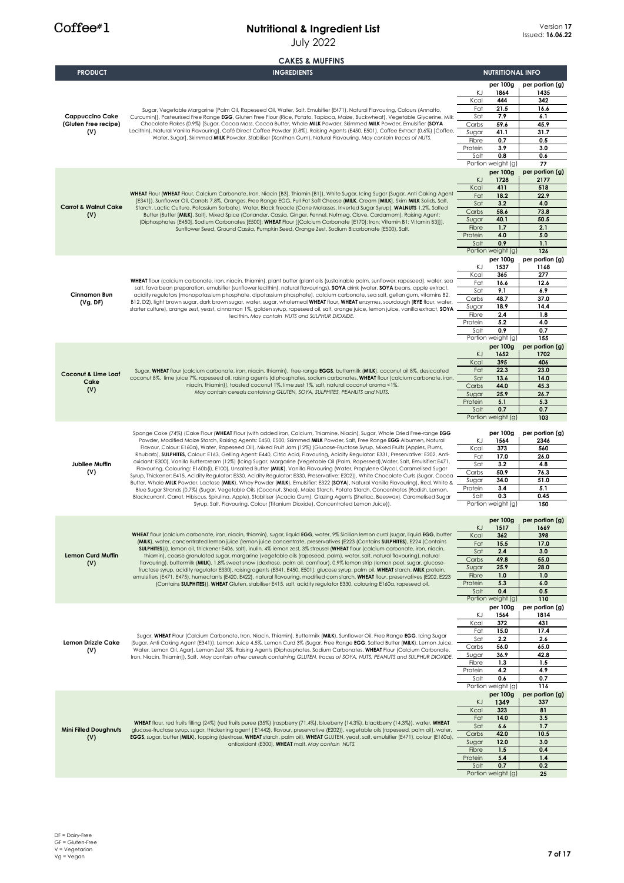# $Coffee*1$

|                                 | <b>CAKES &amp; MUFFINS</b>                                                                                                                                                                                                                                                                                                                                                                                                                                                                                                                                                                                                                                                                                                                                                                                                                                                                                                                    |                  |                           |                         |
|---------------------------------|-----------------------------------------------------------------------------------------------------------------------------------------------------------------------------------------------------------------------------------------------------------------------------------------------------------------------------------------------------------------------------------------------------------------------------------------------------------------------------------------------------------------------------------------------------------------------------------------------------------------------------------------------------------------------------------------------------------------------------------------------------------------------------------------------------------------------------------------------------------------------------------------------------------------------------------------------|------------------|---------------------------|-------------------------|
| <b>PRODUCT</b>                  | <b>INGREDIENTS</b>                                                                                                                                                                                                                                                                                                                                                                                                                                                                                                                                                                                                                                                                                                                                                                                                                                                                                                                            |                  | <b>NUTRITIONAL INFO</b>   |                         |
|                                 |                                                                                                                                                                                                                                                                                                                                                                                                                                                                                                                                                                                                                                                                                                                                                                                                                                                                                                                                               |                  | per 100g                  | per portion (g)         |
|                                 |                                                                                                                                                                                                                                                                                                                                                                                                                                                                                                                                                                                                                                                                                                                                                                                                                                                                                                                                               | ΚJ               | 1864                      | 1435                    |
|                                 |                                                                                                                                                                                                                                                                                                                                                                                                                                                                                                                                                                                                                                                                                                                                                                                                                                                                                                                                               | Kcal<br>Fat      | 444<br>21.5               | 342<br>16.6             |
| <b>Cappuccino Cake</b>          | Sugar, Vegetable Margarine [Palm Oil, Rapeseed Oil, Water, Salt, Emulsifier (E471), Natural Flavouring, Colours (Annatto,<br>Curcumin]], Pasteurised Free Range EGG, Gluten Free Flour (Rice, Potato, Tapioca, Maize, Buckwheat), Vegetable Glycerine, Milk                                                                                                                                                                                                                                                                                                                                                                                                                                                                                                                                                                                                                                                                                   | Sat              | 7.9                       | 6.1                     |
| (Gluten Free recipe)            | Chocolate Flakes (0.9%) [Sugar, Cocoa Mass, Cocoa Butter, Whole MILK Powder, Skimmed MILK Powder, Emulsifier (SOYA                                                                                                                                                                                                                                                                                                                                                                                                                                                                                                                                                                                                                                                                                                                                                                                                                            | Carbs            | 59.6                      | 45.9                    |
| (V)                             | Lecithin), Natural Vanilla Flavouring], Café Direct Coffee Powder (0.8%), Raising Agents (E450, E501), Coffee Extract (0.6%) [Coffee,<br>Water, Sugar], Skimmed MILK Powder, Stabiliser (Xanthan Gum), Natural Flavouring. May contain traces of NUTS.                                                                                                                                                                                                                                                                                                                                                                                                                                                                                                                                                                                                                                                                                        | Sugar<br>Fibre   | 41.1<br>0.7               | 31.7<br>0.5             |
|                                 |                                                                                                                                                                                                                                                                                                                                                                                                                                                                                                                                                                                                                                                                                                                                                                                                                                                                                                                                               | Protein          | 3.9                       | 3.0                     |
|                                 |                                                                                                                                                                                                                                                                                                                                                                                                                                                                                                                                                                                                                                                                                                                                                                                                                                                                                                                                               | Salt             | 0.8                       | 0.6                     |
|                                 |                                                                                                                                                                                                                                                                                                                                                                                                                                                                                                                                                                                                                                                                                                                                                                                                                                                                                                                                               |                  | Portion weight (g)        | 77                      |
|                                 |                                                                                                                                                                                                                                                                                                                                                                                                                                                                                                                                                                                                                                                                                                                                                                                                                                                                                                                                               | KJ               | per 100g<br>1728          | per portion (g)<br>2177 |
|                                 |                                                                                                                                                                                                                                                                                                                                                                                                                                                                                                                                                                                                                                                                                                                                                                                                                                                                                                                                               | Kcal             | 411                       | 518                     |
|                                 | WHEAT Flour (WHEAT Flour, Calcium Carbonate, Iron, Niacin [B3], Thiamin [B1]), White Sugar, Icing Sugar (Sugar, Anti Caking Agent<br>[E341]), Sunflower Oil, Carrots 7.8%, Oranges, Free Range EGG, Full Fat Soft Cheese (MILK, Cream [MILK], Skim MILK Solids, Salt,                                                                                                                                                                                                                                                                                                                                                                                                                                                                                                                                                                                                                                                                         | Fat              | 18.2                      | 22.9                    |
| <b>Carrot &amp; Walnut Cake</b> | Starch, Lactic Culture, Potassium Sorbate), Water, Black Treacle (Cane Molasses, Inverted Sugar Syrup), WALNUTS 1.2%, Salted                                                                                                                                                                                                                                                                                                                                                                                                                                                                                                                                                                                                                                                                                                                                                                                                                  | Sat<br>Carbs     | 3.2<br>58.6               | 4.0<br>73.8             |
| (V)                             | Butter (Butter [MILK], Salt), Mixed Spice (Coriander, Cassia, Ginger, Fennel, Nutmeg, Clove, Cardamom), Raising Agent:<br>(Diphosphates [E450], Sodium Carbonates [E500]; WHEAT Flour [[Calcium Carbonate [E170]; Iron; Vitamin B1; Vitamin B3]]),                                                                                                                                                                                                                                                                                                                                                                                                                                                                                                                                                                                                                                                                                            | Sugar            | 40.1                      | 50.5                    |
|                                 | Sunflower Seed, Ground Cassia, Pumpkin Seed, Orange Zest, Sodium Bicarbonate (E500), Salt.                                                                                                                                                                                                                                                                                                                                                                                                                                                                                                                                                                                                                                                                                                                                                                                                                                                    | Fibre            | 1.7                       | 2.1                     |
|                                 |                                                                                                                                                                                                                                                                                                                                                                                                                                                                                                                                                                                                                                                                                                                                                                                                                                                                                                                                               | Protein<br>Salt  | 4.0<br>0.9                | 5.0<br>1.1              |
|                                 |                                                                                                                                                                                                                                                                                                                                                                                                                                                                                                                                                                                                                                                                                                                                                                                                                                                                                                                                               |                  | Portion weight (g)        | 126                     |
|                                 |                                                                                                                                                                                                                                                                                                                                                                                                                                                                                                                                                                                                                                                                                                                                                                                                                                                                                                                                               |                  | per 100g                  | per portion (g)         |
|                                 |                                                                                                                                                                                                                                                                                                                                                                                                                                                                                                                                                                                                                                                                                                                                                                                                                                                                                                                                               | ΚJ<br>Kcal       | 1537<br>365               | 1168<br>277             |
|                                 | WHEAT flour (calcium carbonate, iron, niacin, thiamin), plant butter (plant oils (sustainable palm, sunflower, rapeseed), water, sea                                                                                                                                                                                                                                                                                                                                                                                                                                                                                                                                                                                                                                                                                                                                                                                                          | Fat              | 16.6                      | 12.6                    |
| <b>Cinnamon Bun</b>             | salt, fava bean preparation, emulsifier (sunflower lecithin), natural flavourings), SOYA drink (water, SOYA beans, apple extract,<br>acidity regulators (monopotassium phosphate, dipotassium phosphate), calcium carbonate, sea salt, gellan gum, vitamins B2,                                                                                                                                                                                                                                                                                                                                                                                                                                                                                                                                                                                                                                                                               | Sat              | 9.1                       | 6.9                     |
| (Vg, DF)                        | B12, D2), light brown sugar, dark brown sugar, water, sugar, wholemeal WHEAT flour, WHEAT enzymes, sourdough (RYE flour, water,                                                                                                                                                                                                                                                                                                                                                                                                                                                                                                                                                                                                                                                                                                                                                                                                               | Carbs            | 48.7<br>18.9              | 37.0<br>14.4            |
|                                 | starter culture), orange zest, yeast, cinnamon 1%, golden syrup, rapeseed oil, salt, orange juice, lemon juice, vanilla extract, SOYA<br>lecithin. May contain NUTS and SULPHUR DIOXIDE.                                                                                                                                                                                                                                                                                                                                                                                                                                                                                                                                                                                                                                                                                                                                                      | Sugar<br>Fibre   | 2.4                       | 1.8                     |
|                                 |                                                                                                                                                                                                                                                                                                                                                                                                                                                                                                                                                                                                                                                                                                                                                                                                                                                                                                                                               | Protein          | 5.2                       | 4.0                     |
|                                 |                                                                                                                                                                                                                                                                                                                                                                                                                                                                                                                                                                                                                                                                                                                                                                                                                                                                                                                                               | Salt             | 0.9<br>Portion weight (g) | 0.7<br>155              |
|                                 |                                                                                                                                                                                                                                                                                                                                                                                                                                                                                                                                                                                                                                                                                                                                                                                                                                                                                                                                               |                  | per 100g                  | per portion (g)         |
|                                 |                                                                                                                                                                                                                                                                                                                                                                                                                                                                                                                                                                                                                                                                                                                                                                                                                                                                                                                                               | KJ               | 1652                      | 1702                    |
|                                 | Sugar, WHEAT flour (calcium carbonate, iron, niacin, thiamin), free-range EGGS, buttermilk (MILK), coconut oil 8%, desiccated<br>coconut 8%, lime juice 7%, rapeseed oil, raising agents (diphosphates, sodium carbonates, WHEAT flour (calcium carbonate, iron,<br>niacin, thiamin)), toasted coconut 1%, lime zest 1%, salt, natural coconut aroma <1%.<br>May contain cereals containing GLUTEN, SOYA, SULPHITES, PEANUTS and NUTS.                                                                                                                                                                                                                                                                                                                                                                                                                                                                                                        | Kcal<br>Fat      | 395<br>22.3               | 406<br>23.0             |
| Coconut & Lime Loaf<br>Cake     |                                                                                                                                                                                                                                                                                                                                                                                                                                                                                                                                                                                                                                                                                                                                                                                                                                                                                                                                               | Sat              | 13.6                      | 14.0                    |
| (V)                             |                                                                                                                                                                                                                                                                                                                                                                                                                                                                                                                                                                                                                                                                                                                                                                                                                                                                                                                                               | Carbs            | 44.0                      | 45.3                    |
|                                 |                                                                                                                                                                                                                                                                                                                                                                                                                                                                                                                                                                                                                                                                                                                                                                                                                                                                                                                                               | Sugar<br>Protein | 25.9<br>5.1               | 26.7<br>5.3             |
|                                 |                                                                                                                                                                                                                                                                                                                                                                                                                                                                                                                                                                                                                                                                                                                                                                                                                                                                                                                                               | Salt             | 0.7                       | 0.7                     |
|                                 |                                                                                                                                                                                                                                                                                                                                                                                                                                                                                                                                                                                                                                                                                                                                                                                                                                                                                                                                               |                  | Portion weight (g)        | 103                     |
|                                 | Sponge Cake (74%) (Cake Flour (WHEAT Flour (with added iron, Calcium, Thiamine, Niacin), Sugar, Whole Dried Free-range EGG                                                                                                                                                                                                                                                                                                                                                                                                                                                                                                                                                                                                                                                                                                                                                                                                                    |                  | per 100g                  | per portion (g)         |
|                                 | Powder, Modified Maize Starch, Raising Agents: E450, E500, Skimmed MILK Powder, Salt, Free Range EGG Albumen, Natural<br>Flavour, Colour: E160a), Water, Rapeseed Oil), Mixed Fruit Jam (12%) (Glucose-Fructose Syrup, Mixed Fruits (Apples, Plums,<br>Rhubarb), SULPHITES, Colour: E163, Gelling Agent: E440, Citric Acid, Flavouring, Acidity Regulator: E331, Preservative: E202, Anti-<br>oxidant: E300), Vanilla Buttercream (12%) (Icing Sugar, Margarine (Vegetable Oil (Palm, Rapeseed), Water, Salt, Emulsifier: E471,<br>Flavouring, Colouring: E160b(i), E100), Unsalted Butter (MILK), Vanilla Flavouring (Water, Propylene Glycol, Caramelised Sugar<br>Syrup, Thickener: E415, Acidity Reaulator: E330, Acidity Reaulator: E330, Preservative: E2021), White Chocolate Curls (Sugar, Cocoa<br>Butter, Whole MILK Powder, Lactose (MILK), Whey Powder (MILK), Emulsifier: E322 (SOYA), Natural Vanilla Flavouring), Red, White & | ΚJ               | 1564                      | 2346                    |
|                                 |                                                                                                                                                                                                                                                                                                                                                                                                                                                                                                                                                                                                                                                                                                                                                                                                                                                                                                                                               | Kcal             | 373                       | 560                     |
| Jubilee Muffin                  |                                                                                                                                                                                                                                                                                                                                                                                                                                                                                                                                                                                                                                                                                                                                                                                                                                                                                                                                               | Fat<br>Sat       | 17.0<br>3.2               | 26.0<br>4.8             |
| (V)                             |                                                                                                                                                                                                                                                                                                                                                                                                                                                                                                                                                                                                                                                                                                                                                                                                                                                                                                                                               | Carbs            | 50.9                      | 76.3                    |
|                                 |                                                                                                                                                                                                                                                                                                                                                                                                                                                                                                                                                                                                                                                                                                                                                                                                                                                                                                                                               | Sugar            | 34.0                      | 51.0                    |
|                                 | Blue Sugar Strands (0.7%) (Sugar, Vegetable Oils (Coconut, Shea), Maize Starch, Potato Starch, Concentrates (Radish, Lemon,<br>Blackcurrant, Carrot, Hibiscus, Spirulina, Apple), Stabiliser (Acacia Gum), Glazing Agents (Shellac, Beeswax), Caramelised Sugar                                                                                                                                                                                                                                                                                                                                                                                                                                                                                                                                                                                                                                                                               | Protein<br>Salt  | 3.4<br>0.3                | 5.1<br>0.45             |
|                                 | Syrup, Salt, Flavouring, Colour (Titanium Dioxide), Concentrated Lemon Juice)).                                                                                                                                                                                                                                                                                                                                                                                                                                                                                                                                                                                                                                                                                                                                                                                                                                                               |                  | Portion weight (g)        | 150                     |
|                                 |                                                                                                                                                                                                                                                                                                                                                                                                                                                                                                                                                                                                                                                                                                                                                                                                                                                                                                                                               |                  | per 100g                  | per portion (g)         |
|                                 |                                                                                                                                                                                                                                                                                                                                                                                                                                                                                                                                                                                                                                                                                                                                                                                                                                                                                                                                               | KJ               | 1517                      | 1669                    |
|                                 | WHEAT flour (calcium carbonate, iron, niacin, thiamin), sugar, liquid EGG, water, 9% Sicilian lemon curd (sugar, liquid EGG, butter<br>(MILK), water, concentrated lemon juice (lemon juice concentrate, preservatives (E223 (Contains SULPHITES), E224 (Contains                                                                                                                                                                                                                                                                                                                                                                                                                                                                                                                                                                                                                                                                             | Kcal             | 362                       | 398                     |
|                                 | SULPHITES))), lemon oil, thickener E406, salt), inulin, 4% lemon zest, 3% streusel (WHEAT flour (calcium carbonate, iron, niacin,                                                                                                                                                                                                                                                                                                                                                                                                                                                                                                                                                                                                                                                                                                                                                                                                             | Fat<br>Sat       | 15.5<br>2.4               | 17.0<br>3.0             |
| <b>Lemon Curd Muffin</b>        | thiamin), coarse granulated sugar, margarine (vegetable oils (rapeseed, palm), water, salt, natural flavouring), natural<br>flavouring), buttermilk (MILK), 1,8% sweet snow (dextrose, palm oil, cornflour), 0,9% lemon strip (lemon peel, sugar, glucose-                                                                                                                                                                                                                                                                                                                                                                                                                                                                                                                                                                                                                                                                                    | Carbs            | 49.8                      | 55.0                    |
| (V)                             | fructose syrup, acidity regulator E330), raising agents (E341, E450, E501), glucose syrup, palm oil, WHEAT starch, MILK protein,                                                                                                                                                                                                                                                                                                                                                                                                                                                                                                                                                                                                                                                                                                                                                                                                              | Sugar            | 25.9                      | 28.0                    |
|                                 | emulsifiers (E471, E475), humectants (E420, E422), natural flavouring, modified corn starch, WHEAT flour, preservatives (E202, E223<br>(Contains SULPHITES)), WHEAT Gluten, stabiliser E415, salt, acidity regulator E330, colouring E160a, rapeseed oil.                                                                                                                                                                                                                                                                                                                                                                                                                                                                                                                                                                                                                                                                                     | Fibre<br>Protein | 1.0<br>5.3                | 1.0<br>6.0              |
|                                 |                                                                                                                                                                                                                                                                                                                                                                                                                                                                                                                                                                                                                                                                                                                                                                                                                                                                                                                                               | Salt             | 0.4                       | 0.5                     |
|                                 |                                                                                                                                                                                                                                                                                                                                                                                                                                                                                                                                                                                                                                                                                                                                                                                                                                                                                                                                               |                  | Portion weight (g)        | 110                     |
|                                 |                                                                                                                                                                                                                                                                                                                                                                                                                                                                                                                                                                                                                                                                                                                                                                                                                                                                                                                                               | ΚJ               | per 100g<br>1564          | per portion (g)<br>1814 |
|                                 |                                                                                                                                                                                                                                                                                                                                                                                                                                                                                                                                                                                                                                                                                                                                                                                                                                                                                                                                               | Kcal             | 372                       | 431                     |
|                                 | Sugar, WHEAT Flour (Calcium Carbonate, Iron, Niacin, Thiamin), Buttermilk (MILK), Sunflower Oil, Free Range EGG, Icing Sugar                                                                                                                                                                                                                                                                                                                                                                                                                                                                                                                                                                                                                                                                                                                                                                                                                  | Fat              | 15.0                      | 17.4                    |
| Lemon Drizzle Cake              | (Sugar, Anti Caking Agent (E341)), Lemon Juice 4.5%, Lemon Curd 3% (Sugar, Free Range EGG, Salted Butter (MILK), Lemon Juice,                                                                                                                                                                                                                                                                                                                                                                                                                                                                                                                                                                                                                                                                                                                                                                                                                 | Sat<br>Carbs     | 2.2<br>56.0               | 2.6<br>65.0             |
| (V)                             | Water, Lemon Oil, Agar), Lemon Zest 3%, Raising Agents (Diphosphates, Sodium Carbonates, WHEAT Flour (Calcium Carbonate,<br>Iron, Niacin, Thiamin)), Salt. May contain other cereals containing GLUTEN, traces of SOYA, NUTS, PEANUTS and SULPHUR DIOXIDE.                                                                                                                                                                                                                                                                                                                                                                                                                                                                                                                                                                                                                                                                                    | Sugar            | 36.9                      | 42.8                    |
|                                 |                                                                                                                                                                                                                                                                                                                                                                                                                                                                                                                                                                                                                                                                                                                                                                                                                                                                                                                                               | Fibre            | 1.3                       | 1.5                     |
|                                 |                                                                                                                                                                                                                                                                                                                                                                                                                                                                                                                                                                                                                                                                                                                                                                                                                                                                                                                                               | Protein<br>Salt  | 4.2<br>0.6                | 4.9<br>0.7              |
|                                 |                                                                                                                                                                                                                                                                                                                                                                                                                                                                                                                                                                                                                                                                                                                                                                                                                                                                                                                                               |                  | Portion weight (g)        | 116                     |
|                                 |                                                                                                                                                                                                                                                                                                                                                                                                                                                                                                                                                                                                                                                                                                                                                                                                                                                                                                                                               |                  | per 100g                  | per portion (g)         |
|                                 |                                                                                                                                                                                                                                                                                                                                                                                                                                                                                                                                                                                                                                                                                                                                                                                                                                                                                                                                               | KJ<br>Kcal       | 1349<br>323               | 337<br>81               |
|                                 |                                                                                                                                                                                                                                                                                                                                                                                                                                                                                                                                                                                                                                                                                                                                                                                                                                                                                                                                               | Fat              | 14.0                      | 3.5                     |
| <b>Mini Filled Doughnuts</b>    | WHEAT flour, red fruits filling (24%) (red fruits puree (35%) (raspberry (71.4%), blueberry (14.3%), blackberry (14.3%)), water, WHEAT<br>glucose-fructose syrup, sugar, thickening agent (E1442), flavour, preservative (E202)), vegetable oils (rapeseed, palm oil), water,                                                                                                                                                                                                                                                                                                                                                                                                                                                                                                                                                                                                                                                                 | Sat              | 6.6                       | 1.7                     |
| (V)                             | EGGS, sugar, butter (MILK), topping (dextrose, WHEAT starch, palm oil), WHEAT GLUTEN, yeast, salt, emulsifier (E471), colour (E160a),                                                                                                                                                                                                                                                                                                                                                                                                                                                                                                                                                                                                                                                                                                                                                                                                         | Carbs            | 42.0                      | 10.5                    |
|                                 | antioxidant (E300), WHEAT malt. May contain NUTS.                                                                                                                                                                                                                                                                                                                                                                                                                                                                                                                                                                                                                                                                                                                                                                                                                                                                                             | Sugar<br>Fibre   | 12.0<br>1.5               | 3.0<br>0.4              |
|                                 |                                                                                                                                                                                                                                                                                                                                                                                                                                                                                                                                                                                                                                                                                                                                                                                                                                                                                                                                               | Protein          | 5.4                       | 1.4                     |
|                                 |                                                                                                                                                                                                                                                                                                                                                                                                                                                                                                                                                                                                                                                                                                                                                                                                                                                                                                                                               | Salt             | 0.7                       | 0.2                     |
|                                 |                                                                                                                                                                                                                                                                                                                                                                                                                                                                                                                                                                                                                                                                                                                                                                                                                                                                                                                                               |                  | Portion weight (g)        | 25                      |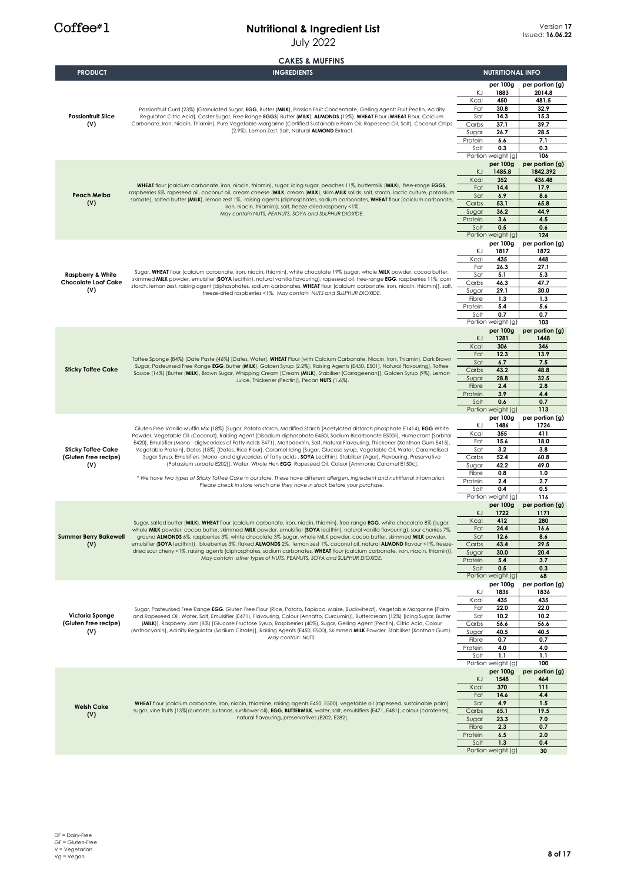July 2022

|                                         | <b>CAKES &amp; MUFFINS</b>                                                                                                                                                                                                                                                                                                                                                                                                                                                                                                                                                                                                                                                                                                                                                                                                                                                                           |                 |                                |                         |
|-----------------------------------------|------------------------------------------------------------------------------------------------------------------------------------------------------------------------------------------------------------------------------------------------------------------------------------------------------------------------------------------------------------------------------------------------------------------------------------------------------------------------------------------------------------------------------------------------------------------------------------------------------------------------------------------------------------------------------------------------------------------------------------------------------------------------------------------------------------------------------------------------------------------------------------------------------|-----------------|--------------------------------|-------------------------|
| <b>PRODUCT</b>                          | <b>INGREDIENTS</b>                                                                                                                                                                                                                                                                                                                                                                                                                                                                                                                                                                                                                                                                                                                                                                                                                                                                                   |                 | <b>NUTRITIONAL INFO</b>        |                         |
|                                         |                                                                                                                                                                                                                                                                                                                                                                                                                                                                                                                                                                                                                                                                                                                                                                                                                                                                                                      |                 | per 100g                       | per portion (g)         |
|                                         | Passionfruit Curd (23%) (Granulated Sugar, EGG, Butter (MILK), Passion Fruit Concentrate, Gelling Agent: Fruit Pectin, Acidity                                                                                                                                                                                                                                                                                                                                                                                                                                                                                                                                                                                                                                                                                                                                                                       | ΚJ<br>Kcal      | 1883<br>450                    | 2014.8<br>481.5         |
|                                         |                                                                                                                                                                                                                                                                                                                                                                                                                                                                                                                                                                                                                                                                                                                                                                                                                                                                                                      | Fat             | 30.8                           | 32.9                    |
| <b>Passionfruit Slice</b>               | Regulator: Citric Acid), Caster Sugar, Free Range EGGS) Butter (MILK), ALMONDS (12%), WHEAT Flour (WHEAT Flour, Calcium                                                                                                                                                                                                                                                                                                                                                                                                                                                                                                                                                                                                                                                                                                                                                                              | Sat             | 14.3                           | 15.3                    |
| (V)                                     | Carbonate, Iron, Niacin, Thiamin), Pure Vegetable Margarine (Certified Sustainable Palm Oil, Rapeseed Oil, Salt), Coconut Chips<br>(2.9%), Lemon Zest, Salt, Natural ALMOND Extract.                                                                                                                                                                                                                                                                                                                                                                                                                                                                                                                                                                                                                                                                                                                 | Carbs<br>Sugar  | 37.1<br>26.7                   | 39.7<br>28.5            |
|                                         |                                                                                                                                                                                                                                                                                                                                                                                                                                                                                                                                                                                                                                                                                                                                                                                                                                                                                                      | Protein         | 6.6                            | 7.1                     |
|                                         |                                                                                                                                                                                                                                                                                                                                                                                                                                                                                                                                                                                                                                                                                                                                                                                                                                                                                                      | Salt            | 0.3                            | 0.3                     |
|                                         |                                                                                                                                                                                                                                                                                                                                                                                                                                                                                                                                                                                                                                                                                                                                                                                                                                                                                                      |                 | Portion weight (g)<br>per 100g | 106<br>per portion (g)  |
|                                         | WHEAT flour (calcium carbonate, iron, niacin, thiamin), sugar, icing sugar, peaches 11%, buttermilk (MILK), free-range EGGS,<br>raspberries 5%, rapeseed oil, coconut oil, cream cheese (MILK, cream (MILK), skim MILK solids, salt, starch, lactic culture, potassium                                                                                                                                                                                                                                                                                                                                                                                                                                                                                                                                                                                                                               | ΚJ              | 1485.8                         | 1842.392                |
|                                         |                                                                                                                                                                                                                                                                                                                                                                                                                                                                                                                                                                                                                                                                                                                                                                                                                                                                                                      | Kcal            | 352                            | 436.48                  |
| <b>Peach Melba</b>                      |                                                                                                                                                                                                                                                                                                                                                                                                                                                                                                                                                                                                                                                                                                                                                                                                                                                                                                      | Fat<br>Sat      | 14.4<br>6.9                    | 17.9<br>8.6             |
| (V)                                     | sorbate), salted butter (MILK), lemon zest 1%, raising agents (diphosphates, sodium carbonates, WHEAT flour (calcium carbonate,<br>iron, niacin, thiamin)), salt, freeze-dried raspberry <1%.                                                                                                                                                                                                                                                                                                                                                                                                                                                                                                                                                                                                                                                                                                        | Carbs           | 53.1                           | 65.8                    |
|                                         | May contain NUTS, PEANUTS, SOYA and SULPHUR DIOXIDE.                                                                                                                                                                                                                                                                                                                                                                                                                                                                                                                                                                                                                                                                                                                                                                                                                                                 | Sugar           | 36.2                           | 44.9                    |
|                                         |                                                                                                                                                                                                                                                                                                                                                                                                                                                                                                                                                                                                                                                                                                                                                                                                                                                                                                      | Protein<br>Salt | 3.6<br>0.5                     | 4.5<br>0.6              |
|                                         |                                                                                                                                                                                                                                                                                                                                                                                                                                                                                                                                                                                                                                                                                                                                                                                                                                                                                                      |                 | Portion weight (g)             | 124                     |
|                                         |                                                                                                                                                                                                                                                                                                                                                                                                                                                                                                                                                                                                                                                                                                                                                                                                                                                                                                      |                 | per 100g                       | per portion (g)         |
|                                         |                                                                                                                                                                                                                                                                                                                                                                                                                                                                                                                                                                                                                                                                                                                                                                                                                                                                                                      | ΚJ<br>Kcal      | 1817<br>435                    | 1872<br>448             |
|                                         |                                                                                                                                                                                                                                                                                                                                                                                                                                                                                                                                                                                                                                                                                                                                                                                                                                                                                                      | Fat             | 26.3                           | 27.1                    |
| <b>Raspberry &amp; White</b>            | Sugar, WHEAT flour (calcium carbonate, iron, niacin, thiamin), white chocolate 19% (sugar, whole MILK powder, cocoa butter,<br>skimmed MILK powder, emulsifier (SOYA lecithin), natural vanilla flavouring), rapeseed oil, free-range EGG, raspberries 11%, corn                                                                                                                                                                                                                                                                                                                                                                                                                                                                                                                                                                                                                                     | Sat             | 5.1                            | 5.3                     |
| <b>Chocolate Loaf Cake</b><br>(V)       | starch, lemon zest, raising agent (diphosphates, sodium carbonates, WHEAT flour (calcium carbonate, iron, niacin, thiamin)), salt,                                                                                                                                                                                                                                                                                                                                                                                                                                                                                                                                                                                                                                                                                                                                                                   | Carbs<br>Sugar  | 46.3<br>29.1                   | 47.7<br>30.0            |
|                                         | freeze-dried raspberries <1%. May contain NUTS and SULPHUR DIOXIDE.                                                                                                                                                                                                                                                                                                                                                                                                                                                                                                                                                                                                                                                                                                                                                                                                                                  | Fibre           | 1.3                            | 1.3                     |
|                                         |                                                                                                                                                                                                                                                                                                                                                                                                                                                                                                                                                                                                                                                                                                                                                                                                                                                                                                      | Protein         | 5.4                            | 5.6                     |
|                                         |                                                                                                                                                                                                                                                                                                                                                                                                                                                                                                                                                                                                                                                                                                                                                                                                                                                                                                      | Salt            | 0.7<br>Portion weight (g)      | 0.7<br>103              |
|                                         |                                                                                                                                                                                                                                                                                                                                                                                                                                                                                                                                                                                                                                                                                                                                                                                                                                                                                                      |                 | per 100g                       | per portion (g)         |
|                                         | Toffee Sponge (84%) [Date Paste (46%) [Dates, Water], WHEAT Flour (with Calcium Carbonate, Niacin, Iron, Thiamin), Dark Brown<br>Sugar, Pasteurised Free Range EGG, Butter (MILK), Golden Syrup (2.2%), Raising Agents (E450, E501), Natural Flavouring], Toffee<br>Sauce (14%) [Butter (MILK), Brown Sugar, Whipping Cream [Cream (MILK), Stabiliser (Carrageenan)], Golden Syrup (9%), Lemon                                                                                                                                                                                                                                                                                                                                                                                                                                                                                                       | KJ              | 1281                           | 1448                    |
|                                         |                                                                                                                                                                                                                                                                                                                                                                                                                                                                                                                                                                                                                                                                                                                                                                                                                                                                                                      | Kcal<br>Fat     | 306<br>12.3                    | 346<br>13.9             |
|                                         |                                                                                                                                                                                                                                                                                                                                                                                                                                                                                                                                                                                                                                                                                                                                                                                                                                                                                                      | Sat             | 6.7                            | 7.5                     |
| <b>Sticky Toffee Cake</b>               |                                                                                                                                                                                                                                                                                                                                                                                                                                                                                                                                                                                                                                                                                                                                                                                                                                                                                                      | Carbs           | 43.2                           | 48.8                    |
|                                         | Juice, Thickener (Pectin)], Pecan NUTS (1.6%).                                                                                                                                                                                                                                                                                                                                                                                                                                                                                                                                                                                                                                                                                                                                                                                                                                                       | Sugar<br>Fibre  | 28.8<br>2.4                    | 32.5<br>2.8             |
|                                         |                                                                                                                                                                                                                                                                                                                                                                                                                                                                                                                                                                                                                                                                                                                                                                                                                                                                                                      | Protein         | 3.9                            | 4.4                     |
|                                         |                                                                                                                                                                                                                                                                                                                                                                                                                                                                                                                                                                                                                                                                                                                                                                                                                                                                                                      | Salt            | 0.6                            | 0.7<br>113              |
|                                         |                                                                                                                                                                                                                                                                                                                                                                                                                                                                                                                                                                                                                                                                                                                                                                                                                                                                                                      |                 | Portion weight (g)<br>per 100g | per portion (g)         |
|                                         | Gluten Free Vanilla Muffin Mix (18%) [Sugar, Potato starch, Modified Starch (Acetylated distarch phosphate E1414), EGG White<br>Powder, Vegetable Oil (Coconut), Raising Agent (Disodium diphosphate E450i, Sodium Bicarbonate E500ii), Humectant (Sorbitol<br>E420), Emulsifier (Mono - diglycerides of Fatty Acids E471), Maltodextrin, Salt, Natural Flavouring, Thickener (Xanthan Gum E415),<br>Vegetable Protein], Dates (18%) [Dates, Rice Flour], Caramel Icing [Sugar, Glucose syrup, Vegetable Oil, Water, Caramelised<br>Sugar Syrup, Emulsifiers (Mono- and diglycerides of fatty acids, SOYA Lecithin), Stabiliser (Agar), Flavouring, Preservative<br>(Potassium sorbate E202)], Water, Whole Hen EGG, Rapeseed Oil, Colour [Ammonia Caramel E150c].<br>* We have two types of Sticky Toffee Cake in our store. These have different allergen, ingredient and nutritional information. | ΚJ              | 1486                           | 1724                    |
|                                         |                                                                                                                                                                                                                                                                                                                                                                                                                                                                                                                                                                                                                                                                                                                                                                                                                                                                                                      | Kcal<br>Fat     | 355<br>15.6                    | 411<br>18.0             |
| <b>Sticky Toffee Cake</b>               |                                                                                                                                                                                                                                                                                                                                                                                                                                                                                                                                                                                                                                                                                                                                                                                                                                                                                                      | Sat             | 3.2                            | 3.8                     |
| (Gluten Free recipe)                    |                                                                                                                                                                                                                                                                                                                                                                                                                                                                                                                                                                                                                                                                                                                                                                                                                                                                                                      | Carbs           | 52.4                           | 60.8                    |
| (V)                                     |                                                                                                                                                                                                                                                                                                                                                                                                                                                                                                                                                                                                                                                                                                                                                                                                                                                                                                      | Sugar<br>Fibre  | 42.2<br>0.8                    | 49.0<br>1.0             |
|                                         |                                                                                                                                                                                                                                                                                                                                                                                                                                                                                                                                                                                                                                                                                                                                                                                                                                                                                                      | Protein         | 2.4                            | 2.7                     |
|                                         | Please check in store which one they have in stock before your purchase.                                                                                                                                                                                                                                                                                                                                                                                                                                                                                                                                                                                                                                                                                                                                                                                                                             | Salt            | 0.4                            | 0.5                     |
|                                         |                                                                                                                                                                                                                                                                                                                                                                                                                                                                                                                                                                                                                                                                                                                                                                                                                                                                                                      |                 | Portion weight (g)<br>per 100g | 116<br>per portion (g)  |
|                                         |                                                                                                                                                                                                                                                                                                                                                                                                                                                                                                                                                                                                                                                                                                                                                                                                                                                                                                      | KJ              | 1722                           | 1171                    |
|                                         | Sugar, salted butter (MILK), WHEAT flour (calcium carbonate, iron, niacin, thiamin), free-range EGG, white chocolate 8% (sugar,                                                                                                                                                                                                                                                                                                                                                                                                                                                                                                                                                                                                                                                                                                                                                                      | Kcal            | 412                            | 280                     |
| <b>Summer Berry Bakewell</b>            | whole MILK powder, cocoa butter, skimmed MILK powder, emulsifier (SOYA lecithin), natural vanilla flavouring), sour cherries 7%,<br>ground ALMONDS 6%, raspberries 3%, white chocolate 3% (sugar, whole MILK powder, cocoa butter, skimmed MILK powder,                                                                                                                                                                                                                                                                                                                                                                                                                                                                                                                                                                                                                                              | Fat<br>Sat      | 24.4<br>12.6                   | 16.6<br>8.6             |
| (V)                                     | emulsifier (SOYA lecithin)), blueberries 3%, flaked ALMONDS 2%, lemon zest 1%, coconut oil, natural ALMOND flavour <1%, freeze-                                                                                                                                                                                                                                                                                                                                                                                                                                                                                                                                                                                                                                                                                                                                                                      | Carbs           | 43.4                           | 29.5                    |
|                                         | dried sour cherry <1%, raising agents (diphosphates, sodium carbonates, WHEAT flour (calcium carbonate, iron, niacin, thiamin)).<br>May contain other types of NUTS, PEANUTS, SOYA and SULPHUR DIOXIDE.                                                                                                                                                                                                                                                                                                                                                                                                                                                                                                                                                                                                                                                                                              | Sugar           | 30.0                           | 20.4                    |
|                                         |                                                                                                                                                                                                                                                                                                                                                                                                                                                                                                                                                                                                                                                                                                                                                                                                                                                                                                      | Protein<br>Salt | 5.4<br>0.5                     | 3.7<br>0.3              |
|                                         |                                                                                                                                                                                                                                                                                                                                                                                                                                                                                                                                                                                                                                                                                                                                                                                                                                                                                                      |                 | Portion weight (g)             | 68                      |
|                                         |                                                                                                                                                                                                                                                                                                                                                                                                                                                                                                                                                                                                                                                                                                                                                                                                                                                                                                      | ΚJ              | per 100g<br>1836               | per portion (g)<br>1836 |
|                                         |                                                                                                                                                                                                                                                                                                                                                                                                                                                                                                                                                                                                                                                                                                                                                                                                                                                                                                      | Kcal            | 435                            | 435                     |
|                                         | Sugar, Pasteurised Free Range EGG, Gluten Free Flour (Rice, Potato, Tapioca, Maize, Buckwheat), Vegetable Margarine [Palm                                                                                                                                                                                                                                                                                                                                                                                                                                                                                                                                                                                                                                                                                                                                                                            | Fat             | 22.0                           | 22.0                    |
| Victoria Sponge<br>(Gluten Free recipe) | and Rapeseed Oil, Water, Salt, Emulsifier (E471), Flavouring, Colour (Annatto, Curcumin)], Buttercream (12%) [Icing Sugar, Butter<br>(MILK)], Raspberry Jam (8%) [Glucose Fructose Syrup, Raspberries (40%), Sugar, Gelling Agent (Pectin), Citric Acid, Colour                                                                                                                                                                                                                                                                                                                                                                                                                                                                                                                                                                                                                                      | Sat<br>Carbs    | 10.2<br>56.6                   | 10.2<br>56.6            |
| (V)                                     | (Anthocyanin), Acidity Regulator (Sodium Citrate)], Raising Agents (E450, E500), Skimmed MILK Powder, Stabiliser (Xanthan Gum).                                                                                                                                                                                                                                                                                                                                                                                                                                                                                                                                                                                                                                                                                                                                                                      | Sugar           | 40.5                           | 40.5                    |
|                                         | May contain NUTS.                                                                                                                                                                                                                                                                                                                                                                                                                                                                                                                                                                                                                                                                                                                                                                                                                                                                                    | Fibre           | 0.7                            | 0.7                     |
|                                         |                                                                                                                                                                                                                                                                                                                                                                                                                                                                                                                                                                                                                                                                                                                                                                                                                                                                                                      | Protein<br>Salt | 4.0<br>1.1                     | 4.0<br>1.1              |
|                                         |                                                                                                                                                                                                                                                                                                                                                                                                                                                                                                                                                                                                                                                                                                                                                                                                                                                                                                      |                 | Portion weight (g)             | 100                     |
|                                         |                                                                                                                                                                                                                                                                                                                                                                                                                                                                                                                                                                                                                                                                                                                                                                                                                                                                                                      |                 | per 100g                       | per portion (g)         |
|                                         |                                                                                                                                                                                                                                                                                                                                                                                                                                                                                                                                                                                                                                                                                                                                                                                                                                                                                                      | KJ<br>Kcal      | 1548<br>370                    | 464<br>111              |
|                                         |                                                                                                                                                                                                                                                                                                                                                                                                                                                                                                                                                                                                                                                                                                                                                                                                                                                                                                      | Fat             | 14.6                           | 4.4                     |
| <b>Welsh Cake</b>                       | WHEAT flour (calcium carbonate, iron, niacin, thiamine, raising agents E450, E500), vegetable oil (rapeseed, sustainable palm)                                                                                                                                                                                                                                                                                                                                                                                                                                                                                                                                                                                                                                                                                                                                                                       | Sat             | 4.9                            | 1.5                     |
| (V)                                     | sugar, vine fruits (13%) (currants, sultanas, sunflower oil), EGG, BUTTERMILK, water, salt, emulsifiers (E471, E481), colour (carotenes),<br>natural flavouring, preservatives (E202, E282).                                                                                                                                                                                                                                                                                                                                                                                                                                                                                                                                                                                                                                                                                                         | Carbs<br>Sugar  | 65.1<br>23.3                   | 19.5<br>7.0             |
|                                         |                                                                                                                                                                                                                                                                                                                                                                                                                                                                                                                                                                                                                                                                                                                                                                                                                                                                                                      | Fibre           | 2.3                            | 0.7                     |
|                                         |                                                                                                                                                                                                                                                                                                                                                                                                                                                                                                                                                                                                                                                                                                                                                                                                                                                                                                      | Protein         | 6.5                            | 2.0                     |
|                                         |                                                                                                                                                                                                                                                                                                                                                                                                                                                                                                                                                                                                                                                                                                                                                                                                                                                                                                      | Salt            | 1.3<br>Portion weight (g)      | 0.4<br>30               |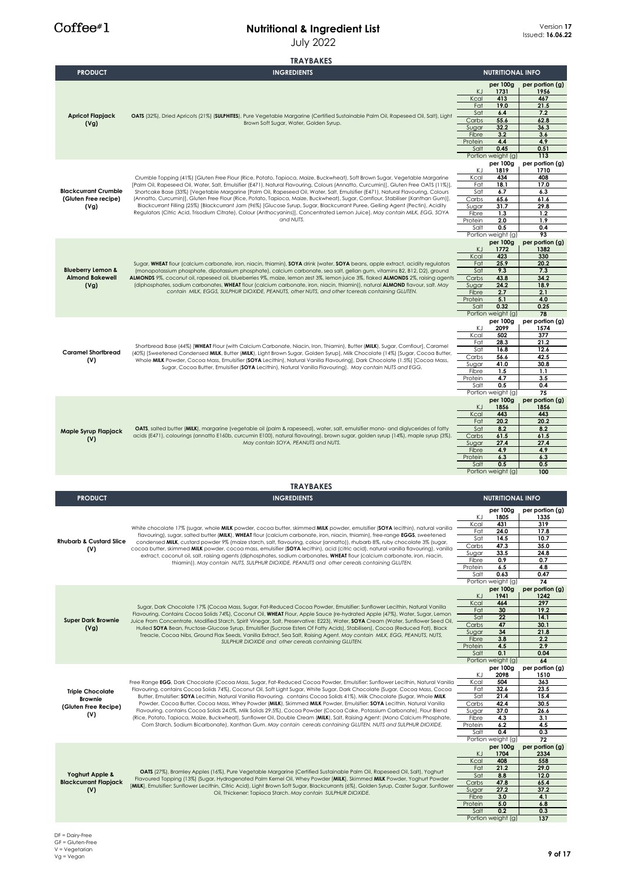|                                                             | <b>TRAYBAKES</b>                                                                                                                                                                                                                                                    |                  |                                |                         |
|-------------------------------------------------------------|---------------------------------------------------------------------------------------------------------------------------------------------------------------------------------------------------------------------------------------------------------------------|------------------|--------------------------------|-------------------------|
| <b>PRODUCT</b>                                              | <b>INGREDIENTS</b>                                                                                                                                                                                                                                                  |                  | <b>NUTRITIONAL INFO</b>        |                         |
|                                                             | OATS (32%), Dried Apricots (21%) (SULPHITES), Pure Vegetable Margarine (Certified Sustainable Palm Oil, Rapeseed Oil, Salt), Light                                                                                                                                  |                  | per 100g                       | per portion (g)         |
|                                                             |                                                                                                                                                                                                                                                                     | KJ<br>Kcal       | 1731<br>413                    | 1956<br>467             |
|                                                             |                                                                                                                                                                                                                                                                     | Fat              | 19.0                           | 21.5                    |
| <b>Apricot Flapjack</b>                                     |                                                                                                                                                                                                                                                                     | Sat<br>Carbs     | 6.4<br>55.6                    | 7.2<br>62.8             |
| (Vg)                                                        | Brown Soft Sugar, Water, Golden Syrup.                                                                                                                                                                                                                              | Sugar            | 32.2                           | 36.3                    |
|                                                             |                                                                                                                                                                                                                                                                     | Fibre            | 3.2                            | 3.6                     |
|                                                             |                                                                                                                                                                                                                                                                     | Protein<br>Salt  | 4.4<br>0.45                    | 4.9<br>0.51             |
|                                                             |                                                                                                                                                                                                                                                                     |                  | Portion weight (g)             | 113                     |
|                                                             |                                                                                                                                                                                                                                                                     | ΚJ               | per 100g<br>1819               | per portion (g)<br>1710 |
|                                                             | Crumble Topping (41%) [Gluten Free Flour (Rice, Potato, Tapioca, Maize, Buckwheat), Soft Brown Sugar, Vegetable Margarine                                                                                                                                           | Kcal             | 434                            | 408                     |
| <b>Blackcurrant Crumble</b><br>(Gluten Free recipe)<br>(Vg) | [Palm Oil, Rapeseed Oil, Water, Salt, Emulsifier (E471), Natural Flavouring, Colours (Annatto, Curcumin)], Gluten Free OATS (11%)],                                                                                                                                 | Fat              | 18.1                           | 17.0                    |
|                                                             | Shortcake Base (33%) [Vegetable Margarine [Palm Oil, Rapeseed Oil, Water, Salt, Emulsifier (E471), Natural Flavouring, Colours<br>(Annatto, Curcumin)], Gluten Free Flour (Rice, Potato, Tapioca, Maize, Buckwheat), Sugar, Cornflour, Stabiliser (Xanthan Gum)],   | Sat<br>Carbs     | 6.7<br>65.6                    | 6.3<br>61.6             |
|                                                             | Blackcurrant Filling (25%) [Blackcurrant Jam (96%) [Glucose Syrup, Sugar, Blackcurrant Puree, Gelling Agent (Pectin), Acidity                                                                                                                                       | Sugar            | 31.7                           | 29.8                    |
|                                                             | Regulators (Citric Acid, Trisodium Citrate), Colour (Anthocyanins)), Concentrated Lemon Juice). May contain MILK, EGG, SOYA<br>and NUTS.                                                                                                                            | Fibre<br>Protein | 1.3<br>2.0                     | 1.2<br>1.9              |
|                                                             |                                                                                                                                                                                                                                                                     | Salt             | 0.5                            | 0.4                     |
|                                                             |                                                                                                                                                                                                                                                                     |                  | Portion weight (g)<br>per 100g | 93<br>per portion (g)   |
|                                                             |                                                                                                                                                                                                                                                                     | KJ               | 1772                           | 1382                    |
|                                                             |                                                                                                                                                                                                                                                                     | Kcal             | 423                            | 330                     |
| <b>Blueberry Lemon &amp;</b>                                | Sugar, WHEAT flour (calcium carbonate, iron, niacin, thiamin), SOYA drink (water, SOYA beans, apple extract, acidity regulators<br>(monopotassium phosphate, dipotassium phosphate), calcium carbonate, sea salt, gellan gum, vitamins B2, B12, D2), ground         | Fat<br>Sat       | 25.9<br>9.3                    | 20.2<br>7.3             |
| <b>Almond Bakewell</b>                                      | ALMONDS 9%, coconut oil, rapeseed oil, blueberries 9%, maize, lemon zest 3%, lemon juice 3%, flaked ALMONDS 2%, raising agents                                                                                                                                      | Carbs            | 43.8                           | 34.2                    |
| (Vg)                                                        | (diphosphates, sodium carbonates, WHEAT flour (calcium carbonate, iron, niacin, thiamin)), natural ALMOND flavour, salt. May<br>contain MILK, EGGS, SULPHUR DIOXIDE, PEANUTS, other NUTS, and other tcereals containing GLUTEN.                                     | Sugar<br>Fibre   | 24.2<br>2.7                    | 18.9<br>2.1             |
|                                                             |                                                                                                                                                                                                                                                                     | Protein          | 5.1                            | 4.0                     |
|                                                             |                                                                                                                                                                                                                                                                     | Salt             | 0.32<br>Portion weight (g)     | 0.25<br>78              |
|                                                             |                                                                                                                                                                                                                                                                     |                  | per 100g                       | per portion (g)         |
|                                                             |                                                                                                                                                                                                                                                                     | ΚJ               | 2099                           | 1574                    |
|                                                             |                                                                                                                                                                                                                                                                     | Kcal<br>Fat      | 502<br>28.3                    | 377<br>21.2             |
| <b>Caramel Shortbread</b>                                   | Shortbread Base (44%) [WHEAT Flour (with Calcium Carbonate, Niacin, Iron, Thiamin), Butter (MILK), Sugar, Cornflour], Caramel<br>(40%) [Sweetened Condensed MILK, Butter (MILK), Light Brown Sugar, Golden Syrup], Milk Chocolate (14%) [Sugar, Cocoa Butter,       | Sat              | 16.8                           | 12.6                    |
| (V)                                                         | Whole MILK Powder, Cocoa Mass, Emulsifier (SOYA Lecithin), Natural Vanilla Flavouring], Dark Chocolate (1.5%) [Cocoa Mass,<br>Sugar, Cocoa Butter, Emulsifier (SOYA Lecithin), Natural Vanilla Flavouring]. May contain NUTS and EGG.                               | Carbs<br>Sugar   | 56.6<br>41.0                   | 42.5<br>30.8            |
|                                                             |                                                                                                                                                                                                                                                                     | Fibre            | 1.5                            | 1.1                     |
|                                                             |                                                                                                                                                                                                                                                                     | Protein          | 4.7                            | 3.5                     |
|                                                             |                                                                                                                                                                                                                                                                     | Salt             | 0.5<br>Portion weight (g)      | 0.4<br>75               |
|                                                             |                                                                                                                                                                                                                                                                     |                  | per 100g                       | per portion (g)         |
|                                                             | OATS, salted butter (MILK), margarine (vegetable oil (palm & rapeseed), water, salt, emulsifier mono- and diglycerides of fatty<br>acids (E471), colourings (annatto E160b, curcumin E100), natural flavouring), brown sugar, golden syrup (14%), maple syrup (3%). | KJ<br>Kcal       | 1856<br>443                    | 1856<br>443             |
|                                                             |                                                                                                                                                                                                                                                                     | Fat              | 20.2                           | 20.2                    |
| Maple Syrup Flapjack                                        |                                                                                                                                                                                                                                                                     | Sat<br>Carbs     | 8.2<br>61.5                    | 8.2<br>61.5             |
| (V)                                                         | May contain SOYA, PEANUTS and NUTS.                                                                                                                                                                                                                                 |                  | 27.4                           | 27.4                    |
|                                                             |                                                                                                                                                                                                                                                                     | Sugar            |                                |                         |
|                                                             |                                                                                                                                                                                                                                                                     | Fibre            | 4.9                            | 4.9                     |
|                                                             |                                                                                                                                                                                                                                                                     | Protein          | 6.3<br>0.5                     | 6.3<br>0.5              |
|                                                             |                                                                                                                                                                                                                                                                     | Salt             | Portion weight (g)             | 100                     |
|                                                             |                                                                                                                                                                                                                                                                     |                  |                                |                         |
|                                                             | <b>TRAYBAKES</b>                                                                                                                                                                                                                                                    |                  |                                |                         |
| <b>PRODUCT</b>                                              | <b>INGREDIENTS</b>                                                                                                                                                                                                                                                  |                  | <b>NUTRITIONAL INFO</b>        |                         |
|                                                             |                                                                                                                                                                                                                                                                     | KJ               | per 100g<br>1805               | per portion (g)<br>1335 |
|                                                             |                                                                                                                                                                                                                                                                     | Kcal             | 431                            | 319                     |
|                                                             | White chocolate 17% (sugar, whole MILK powder, cocoa butter, skimmed MILK powder, emulsifier (SOYA lecithin). natural vanilla<br>flavouring), sugar, salted butter (MILK), WHEAT flour (calcium carbonate, iron, niacin, thiamin), free-range EGGS, sweetened       | Fat              | 24.0                           | 17.8                    |
| <b>Rhubarb &amp; Custard Slice</b>                          | condensed MILK, custard powder 9% (maize starch, salt, flavouring, colour (annatto)), rhubarb 8%, ruby chocolate 3% (sugar,                                                                                                                                         | Sat<br>Carbs     | 14.5<br>47.3                   | 10.7<br>35.0            |
| (V)                                                         | cocoa butter, skimmed MILK powder, cocoa mass, emulsifier (SOYA lecithin), acid (citric acid), natural vanilla flavouring), vanilla<br>extract, coconut oil, salt, raising agents (diphosphates, sodium carbonates, WHEAT flour (calcium carbonate, iron, niacin,   | Sugar            | 33.5                           | 24.8                    |
|                                                             | thiamin)). May contain NUTS, SULPHUR DIOXIDE, PEANUTS and other cereals containing GLUTEN.                                                                                                                                                                          | Fibre<br>Protein | 0.9<br>6.5                     | 0.7<br>4.8              |
|                                                             |                                                                                                                                                                                                                                                                     | Salt             | 0.63                           | 0.47                    |
|                                                             |                                                                                                                                                                                                                                                                     |                  | Portion weight (g)<br>per 100g | 74<br>per portion (g)   |
|                                                             |                                                                                                                                                                                                                                                                     | ΚJ               | 1941                           | 1242                    |
|                                                             | Sugar, Dark Chocolate 17% (Cocoa Mass, Sugar, Fat-Reduced Cocoa Powder, Emulsifier: Sunflower Lecithin, Natural Vanilla                                                                                                                                             | Kcal<br>Fat      | 464<br>30                      | 297<br>19.2             |
| <b>Super Dark Brownie</b>                                   | Flavouring. Contains Cocoa Solids 74%), Coconut Oil, WHEAT Flour, Apple Sauce (re-hydrated Apple (47%), Water, Sugar, Lemon<br>Juice From Concentrate, Modified Starch, Spirit Vinegar, Salt, Preservative: E223), Water, SOYA Cream (Water, Sunflower Seed Oil,    | Sat              | 22                             | 14.1                    |
| (Vg)                                                        | Hulled SOYA Bean, Fructose-Glucose Syrup, Emulsifier (Sucrose Esters Of Fatty Acids), Stabilisers), Cocoa (Reduced Fat), Black                                                                                                                                      | Carbs            | 47                             | 30.1                    |
|                                                             | Treacle, Cocoa Nibs, Ground Flax Seeds, Vanilla Extract, Sea Salt, Raising Agent. May contain MILK, EGG, PEANUTS, NUTS,                                                                                                                                             | Sugar<br>Fibre   | 34<br>3.8                      | 21.8<br>2.2             |
|                                                             | SULPHUR DIOXIDE and other cereals containing GLUTEN.                                                                                                                                                                                                                | Protein          | 4.5                            | 2.9                     |
|                                                             |                                                                                                                                                                                                                                                                     | Salt             | 0.1<br>Portion weight (g)      | 0.04<br>64              |
|                                                             |                                                                                                                                                                                                                                                                     |                  | per 100g                       | per portion (g)         |
|                                                             | Free Range EGG, Dark Chocolate (Cocoa Mass, Sugar, Fat-Reduced Cocoa Powder, Emulsifier: Sunflower Lecithin, Natural Vanilla                                                                                                                                        | ΚJ<br>Kcal       | 2098<br>504                    | 1510<br>363             |
| <b>Triple Chocolate</b>                                     | Flavouring. contains Cocoa Solids 74%), Coconut Oil, Soft Light Sugar, White Sugar, Dark Chocolate (Sugar, Cocoa Mass, Cocoa                                                                                                                                        | Fat              | 32.6                           | 23.5                    |
| Brownie                                                     | Butter, Emulsifier: SOYA Lecithin, Natural Vanilla Flavouring. contains Cocoa Solids 41%), Milk Chocolate (Sugar, Whole MILK                                                                                                                                        | Sat              | 21.4                           | 15.4                    |
| (Gluten Free Recipe)                                        | Powder, Cocoa Butter, Cocoa Mass, Whey Powder (MILK), Skimmed MILK Powder, Emulsifier: SOYA Lecithin, Natural Vanilla<br>Flavouring. contains Cocoa Solids 24.0%, Milk Solids 29.5%), Cocoa Powder (Cocoa Cake, Potassium Carbonate), Flour Blend                   | Carbs<br>Sugar   | 42.4<br>37.0                   | 30.5<br>26.6            |
| (V)                                                         | (Rice, Potato, Tapioca, Maize, Buckwheat), Sunflower Oil, Double Cream (MILK), Salt, Raising Agent: (Mono Calcium Phosphate,                                                                                                                                        | Fibre            | 4.3                            | 3.1                     |
|                                                             | Corn Starch, Sodium Bicarbonate), Xanthan Gum. May contain cereals containing GLUTEN, NUTS and SULPHUR DIOXIDE.                                                                                                                                                     | Protein<br>Salt  | 6.2<br>0.4                     | 4.5<br>0.3              |
|                                                             |                                                                                                                                                                                                                                                                     |                  | Portion weight (g)             | 72                      |
|                                                             |                                                                                                                                                                                                                                                                     |                  | per 100g                       | per portion (g)         |
|                                                             |                                                                                                                                                                                                                                                                     | KJ<br>Kcal       | 1704<br>408                    | 2334<br>558             |
|                                                             | 0ATS (27%), Bramley Apples (16%), Pure Vegetable Margarine (Certified Sustainable Palm Oil, Rapeseed Oil, Salt), Yoghurt                                                                                                                                            | Fat              | 21.2                           | 29.0                    |
| Yoghurt Apple &<br><b>Blackcurrant Flapjack</b>             | Flavoured Topping (13%) (Sugar, Hydrogenated Palm Kernel Oil, Whey Powder [MILK], Skimmed MILK Powder, Yoghurt Powder                                                                                                                                               | Sat<br>Carbs     | 8.8<br>47.8                    | 12.0<br>65.4            |
| (V)                                                         | [MILK], Emulsifier: Sunflower Lecithin, Citric Acid), Light Brown Soft Sugar, Blackcurrants (6%), Golden Syrup, Caster Sugar, Sunflower<br>Oil, Thickener: Tapioca Starch. May contain SULPHUR DIOXIDE.                                                             | Sugar            | 27.2                           | 37.2                    |
|                                                             |                                                                                                                                                                                                                                                                     | Fibre<br>Protein | 3.0<br>5.0                     | 4.1<br>6.8              |
|                                                             |                                                                                                                                                                                                                                                                     | Salt             | 0.2<br>Portion weight (g)      | 0.3<br>137              |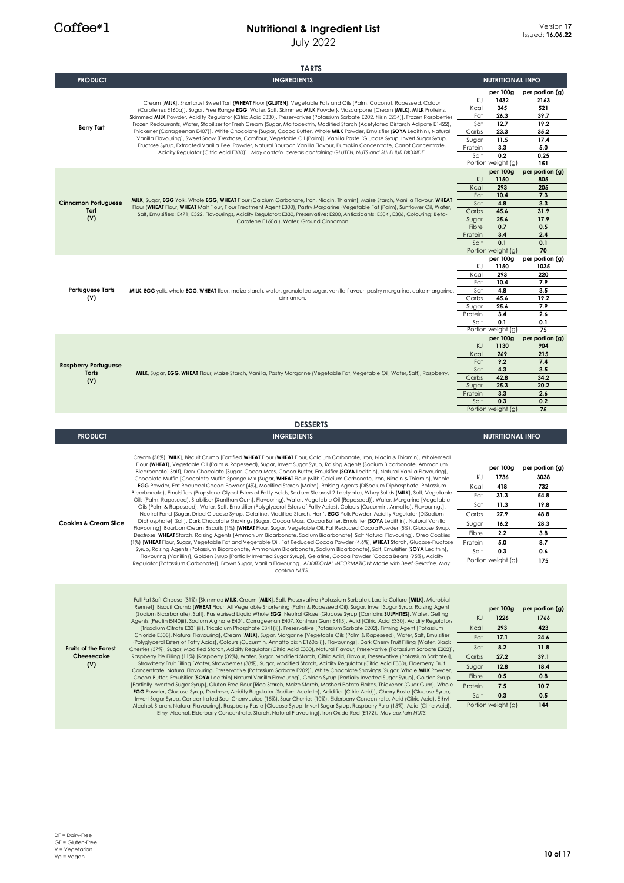# **Nutritional & Ingredient List**

July 2022

|                                           | <b>TARTS</b>                                                                                                                                                                                                                                                                                                                                                          |                  |                         |                 |
|-------------------------------------------|-----------------------------------------------------------------------------------------------------------------------------------------------------------------------------------------------------------------------------------------------------------------------------------------------------------------------------------------------------------------------|------------------|-------------------------|-----------------|
| <b>PRODUCT</b>                            | <b>INGREDIENTS</b>                                                                                                                                                                                                                                                                                                                                                    |                  | <b>NUTRITIONAL INFO</b> |                 |
|                                           |                                                                                                                                                                                                                                                                                                                                                                       |                  | per 100g                | per portion (g) |
|                                           | Cream [MILK], Shortcrust Sweet Tart {WHEAT Flour [GLUTEN], Vegetable Fats and Oils [Palm, Coconut, Rapeseed, Colour<br>(Carotenes E160a)], Sugar, Free Range EGG, Water, Salt, Skimmed MILK Powder}, Mascarpone [Cream (MILK), MILK Proteins,                                                                                                                         | ΚJ               | 1432                    | 2163            |
|                                           |                                                                                                                                                                                                                                                                                                                                                                       | Kcal             | 345                     | 521             |
|                                           | Skimmed MILK Powder, Acidity Regulator (Citric Acid E330), Preservatives (Potassium Sorbate E202, Nisin E234)], Frozen Raspberries,                                                                                                                                                                                                                                   | Fat              | 26.3                    | 39.7            |
| <b>Berry Tart</b>                         | Frozen Redcurrants, Water, Stabiliser for Fresh Cream [Sugar, Maltodextrin, Modified Starch (Acetylated Distarch Adipate E1422),                                                                                                                                                                                                                                      | Sat              | 12.7                    | 19.2            |
|                                           | Thickener (Carrageenan E407)], White Chocolate [Sugar, Cocoa Butter, Whole MILK Powder, Emulsifier (SOYA Lecithin), Natural                                                                                                                                                                                                                                           | Carbs            | 23.3                    | 35.2            |
|                                           | Vanilla Flavouring], Sweet Snow [Dextrose, Cornflour, Vegetable Oil (Palm)], Vanilla Paste [Glucose Syrup, Invert Sugar Syrup,<br>Fructose Syrup, Extracted Vanilla Peel Powder, Natural Bourbon Vanilla Flavour, Pumpkin Concentrate, Carrot Concentrate,<br>Acidity Regulator (Citric Acid E330)]. May contain cereals containing GLUTEN, NUTS and SULPHUR DIOXIDE. | Sugar            | 11.5                    | 17.4            |
|                                           |                                                                                                                                                                                                                                                                                                                                                                       | Protein<br>Salt  | 3.3<br>0.2              | 5.0<br>0.25     |
|                                           |                                                                                                                                                                                                                                                                                                                                                                       |                  | Portion weight (g)      | 151             |
|                                           |                                                                                                                                                                                                                                                                                                                                                                       |                  | per 100g                | per portion (g) |
|                                           |                                                                                                                                                                                                                                                                                                                                                                       | K.J              | 1150                    | 805             |
| <b>Cinnamon Portuguese</b><br>Tart<br>(V) |                                                                                                                                                                                                                                                                                                                                                                       | Kcal             | 293                     | 205             |
|                                           |                                                                                                                                                                                                                                                                                                                                                                       | Fat              | 10.4                    | 7.3             |
|                                           | MILK, Sugar, EGG Yolk, Whole EGG, WHEAT Flour (Calcium Carbonate, Iron, Niacin, Thiamin), Maize Starch, Vanilla Flavour, WHEAT<br>Flour (WHEAT Flour, WHEAT Malt Flour, Flour Treatment Agent E300), Pastry Margarine (Vegetable Fat (Palm), Sunflower Oil, Water,                                                                                                    | Sat              | 4.8                     | 3.3             |
|                                           | Salt, Emulsifiers: E471, E322, Flavourings, Acidity Regulator: E330, Preservative: E200, Antioxidants: E304i, E306, Colouring: Beta-                                                                                                                                                                                                                                  | Carbs            | 45.6                    | 31.9            |
|                                           | Carotene E160ai), Water, Ground Cinnamon                                                                                                                                                                                                                                                                                                                              | Sugar            | 25.6<br>0.7             | 17.9<br>0.5     |
|                                           |                                                                                                                                                                                                                                                                                                                                                                       | Fibre<br>Protein | 3.4                     | 2.4             |
|                                           |                                                                                                                                                                                                                                                                                                                                                                       | Salt             | 0.1                     | 0.1             |
|                                           |                                                                                                                                                                                                                                                                                                                                                                       |                  | Portion weight (g)      | 70              |
|                                           |                                                                                                                                                                                                                                                                                                                                                                       |                  | per 100g                | per portion (g) |
|                                           |                                                                                                                                                                                                                                                                                                                                                                       | ΚJ               | 1150                    | 1035            |
|                                           |                                                                                                                                                                                                                                                                                                                                                                       | Kcal             | 293                     | 220             |
|                                           |                                                                                                                                                                                                                                                                                                                                                                       | Fat              | 10.4                    | 7.9             |
| <b>Portuguese Tarts</b>                   | MILK, EGG yolk, whole EGG, WHEAT flour, maize starch, water, granulated sugar, vanilla flavour, pastry margarine, cake margarine,                                                                                                                                                                                                                                     | Sat              | 4.8                     | 3.5             |
| (V)                                       | cinnamon.                                                                                                                                                                                                                                                                                                                                                             | Carbs            | 45.6                    | 19.2            |
|                                           |                                                                                                                                                                                                                                                                                                                                                                       | Sugar            | 25.6                    | 7.9             |
|                                           |                                                                                                                                                                                                                                                                                                                                                                       | Protein          | 3.4<br>0.1              | 2.6<br>0.1      |
|                                           |                                                                                                                                                                                                                                                                                                                                                                       | Salt             | Portion weight (g)      | 75              |
|                                           |                                                                                                                                                                                                                                                                                                                                                                       |                  | per 100g                | per portion (g) |
|                                           |                                                                                                                                                                                                                                                                                                                                                                       | KJ               | 1130                    | 904             |
|                                           |                                                                                                                                                                                                                                                                                                                                                                       | Kcal             | 269                     | 215             |
|                                           |                                                                                                                                                                                                                                                                                                                                                                       | Fat              | 9.2                     | 7.4             |
| <b>Raspberry Portuguese</b>               |                                                                                                                                                                                                                                                                                                                                                                       | Sat              | 4.3                     | 3.5             |
| Tarts<br>(V)                              | MILK, Sugar, EGG, WHEAT Flour, Maize Starch, Vanilla, Pastry Margarine (Vegetable Fat, Vegetable Oil, Water, Salt), Raspberry.                                                                                                                                                                                                                                        | Carbs            | 42.8                    | 34.2            |
|                                           |                                                                                                                                                                                                                                                                                                                                                                       | Sugar            | 25.3                    | 20.2            |
|                                           |                                                                                                                                                                                                                                                                                                                                                                       | Protein          | 3.3                     | 2.6             |
|                                           |                                                                                                                                                                                                                                                                                                                                                                       |                  |                         |                 |
|                                           |                                                                                                                                                                                                                                                                                                                                                                       | Salt             | 0.3                     | 0.2             |
|                                           |                                                                                                                                                                                                                                                                                                                                                                       |                  | Portion weight (g)      | 75              |
|                                           |                                                                                                                                                                                                                                                                                                                                                                       |                  |                         |                 |
|                                           | <b>DESSERTS</b>                                                                                                                                                                                                                                                                                                                                                       |                  |                         |                 |
| <b>PRODUCT</b>                            | <b>INGREDIENTS</b>                                                                                                                                                                                                                                                                                                                                                    |                  | <b>NUTRITIONAL INFO</b> |                 |
|                                           |                                                                                                                                                                                                                                                                                                                                                                       |                  |                         |                 |
|                                           | Cream (38%) [MILK], Biscuit Crumb [Fortified WHEAT Flour (WHEAT Flour, Calcium Carbonate, Iron, Niacin & Thiamin), Wholemeal                                                                                                                                                                                                                                          |                  |                         |                 |
|                                           | Flour (WHEAT), Vegetable Oil (Palm & Rapeseed), Sugar, Invert Sugar Syrup, Raising Agents (Sodium Bicarbonate, Ammonium                                                                                                                                                                                                                                               |                  | per 100g                | per portion (g) |
|                                           | Bicarbonate) Salt), Dark Chocolate [Sugar, Cocoa Mass, Cocoa Butter, Emulsifier (SOYA Lecithin), Natural Vanilla Flavouring),<br>Chocolate Muffin [Chocolate Muffin Sponge Mix {Sugar, WHEAT Flour (with Calcium Carbonate, Iron, Niacin & Thiamin), Whole                                                                                                            | ΚJ               | 1736                    | 3038            |
|                                           | EGG Powder, Fat Reduced Cocoa Powder (4%), Modified Starch (Maize), Raising Agents (DiSodium Diphosphate, Potassium                                                                                                                                                                                                                                                   | Kcal             | 418                     | 732             |
|                                           | Bicarbonate), Emulsifiers (Propylene Glycol Esters of Fatty Acids, Sodium Stearoyl-2 Lactylate), Whey Solids (MILK), Salt, Vegetable                                                                                                                                                                                                                                  | Fat              | 31.3                    | 54.8            |
|                                           | Oils (Palm, Rapeseed), Stabiliser (Xanthan Gum), Flavouring}, Water, Vegetable Oil (Rapeseed)], Water, Margarine [Vegetable                                                                                                                                                                                                                                           | Sat              | 11.3                    | 19.8            |
|                                           | Oils (Palm & Rapeseed), Water, Salt, Emulsifier (Polyglycerol Esters of Fatty Acids), Colours (Cucurmin, Annatto), Flavourings),<br>Neutral Fond [Sugar, Dried Glucose Syrup, Gelatine, Modified Starch, Hen's EGG Yolk Powder, Acidity Regulator (DiSodium                                                                                                           |                  | 27.9                    | 48.8            |
| <b>Cookies &amp; Cream Slice</b>          | Diphosphate), Salt], Dark Chocolate Shavings [Sugar, Cocoa Mass, Cocoa Butter, Emulsifier (SOYA Lecithin), Natural Vanilla                                                                                                                                                                                                                                            | Carbs            |                         |                 |
|                                           | Flavouring], Bourbon Cream Biscuits (1%) [WHEAT Flour, Sugar, Vegetable Oil, Fat Reduced Cocoa Powder (5%), Glucose Syrup,                                                                                                                                                                                                                                            | Sugar            | 16.2                    | 28.3            |
|                                           | Dextrose, WHEAT Starch, Raising Agents (Ammonium Bicarbonate, Sodium Bicarbonate), Salt Natural Flavouring), Oreo Cookies                                                                                                                                                                                                                                             | Fibre            | 2.2                     | 3.8             |
|                                           | (1%) [WHEAT Flour, Sugar, Vegetable Fat and Vegetable Oil, Fat Reduced Cocoa Powder (4.6%), WHEAT Starch, Glucose-Fructose                                                                                                                                                                                                                                            | Protein          | 5.0                     | 8.7             |
|                                           | Syrup, Raising Agents (Potassium Bicarbonate, Ammonium Bicarbonate, Sodium Bicarbonate), Salt, Emulsifier (SOYA Lecithin),<br>Flavouring (Vanillin)], Golden Syrup [Partially Inverted Sugar Syrup], Gelatine, Cocoa Powder [Cocoa Beans (95%), Acidity                                                                                                               | Salt             | 0.3                     | 0.6             |
|                                           | Regulator (Potassium Carbonate)], Brown Sugar, Vanilla Flavouring. ADDITIONAL INFORMATION: Made with Beef Gelatine. May                                                                                                                                                                                                                                               |                  | Portion weight (g)      | 175             |
|                                           | contain NUTS.                                                                                                                                                                                                                                                                                                                                                         |                  |                         |                 |
|                                           |                                                                                                                                                                                                                                                                                                                                                                       |                  |                         |                 |
|                                           |                                                                                                                                                                                                                                                                                                                                                                       |                  |                         |                 |
|                                           | Full Fat Soft Cheese (31%) [Skimmed MILK, Cream [MILK], Salt, Preservative (Potassium Sorbate), Lactic Culture [MILK], Microbial                                                                                                                                                                                                                                      |                  |                         |                 |
|                                           | Rennet], Biscuit Crumb [WHEAT Flour, All Vegetable Shortening (Palm & Rapeseed Oil), Sugar, Invert Sugar Syrup, Raising Agent                                                                                                                                                                                                                                         |                  | per 100g                | per portion (g) |
|                                           | (Sodium Bicarbonate), Salt), Pasteurised Liquid Whole EGG, Neutral Glaze (Glucose Syrup [Contains SULPHITES], Water, Gelling                                                                                                                                                                                                                                          | K)               | 1226                    | 1766            |
|                                           | Agents [Pectin E440(ii), Sodium Alginate E401, Carrageenan E407, Xanthan Gum E415], Acid [Citric Acid E330], Acidity Regulators<br>[Trisodium Citrate E331 (iii), Tricalcium Phosphate E341 (ii)], Preservative [Potassium Sorbate E202], Firming Agent [Potassium                                                                                                    | Kcal             | 293                     | 423             |
|                                           | Chloride E508], Natural Flavouring), Cream [MILK], Sugar, Margarine [Vegetable Oils (Palm & Rapeseed), Water, Salt, Emulsifier                                                                                                                                                                                                                                        |                  |                         |                 |
|                                           | (Polyglycerol Esters of Fatty Acids), Colours (Cucurmin, Annatto bixin E160b(i)), Flavourings], Dark Cherry Fruit Filling [Water, Black                                                                                                                                                                                                                               | Fat              | 17.1                    | 24.6            |
| <b>Fruits of the Forest</b>               | Cherries (37%), Sugar, Modified Starch, Acidity Regulator (Citric Acid E330), Natural Flavour, Preservative (Potassium Sorbate E202)],                                                                                                                                                                                                                                | Sat              | 8.2                     | 11.8            |
| Cheesecake                                | Raspberry Pie Filling (11%) [Raspberry (39%), Water, Sugar, Modified Starch, Citric Acid, Flavour, Preservative (Potassium Sorbate)],                                                                                                                                                                                                                                 | Carbs            | 27.2                    | 39.1            |
| (V)                                       | Strawberry Fruit Filling [Water, Strawberries (38%), Sugar, Modified Starch, Acidity Regulator (Citric Acid E330), Elderberry Fruit<br>Concentrate, Natural Flavouring, Preservative (Potassium Sorbate E202)], White Chocolate Shavings [Sugar, Whole MILK Powder,                                                                                                   | Sugar            | 12.8                    | 18.4            |
|                                           | Cocoa Butter, Emulsifier (SOYA Lecithin) Natural Vanilla Flavouring], Golden Syrup [Partially Inverted Sugar Syrup], Golden Syrup                                                                                                                                                                                                                                     | Fibre            | 0.5                     | 0.8             |
|                                           | [Partially Inverted Sugar Syrup], Gluten Free Flour [Rice Starch, Maize Starch, Mashed Potato Flakes, Thickener (Guar Gum), Whole                                                                                                                                                                                                                                     | Protein          | 7.5                     | 10.7            |
|                                           | EGG Powder, Glucose Syrup, Dextrose, Acidity Regulator (Sodium Acetate), Acidifier (Citric Acid)], Cherry Paste [Glucose Syrup,                                                                                                                                                                                                                                       | Salt             | 0.3                     | 0.5             |
|                                           | Invert Sugar Syrup, Concentrated Sour Cherry Juice (15%), Sour Cherries (10%), Elderberry Concentrate, Acid (Citric Acid), Ethyl<br>Alcohol, Starch, Natural Flavouring], Raspberry Paste [Glucose Syrup, Invert Sugar Syrup, Raspberry Pulp (15%), Acid (Citric Acid),                                                                                               |                  | Portion weight (g)      | 144             |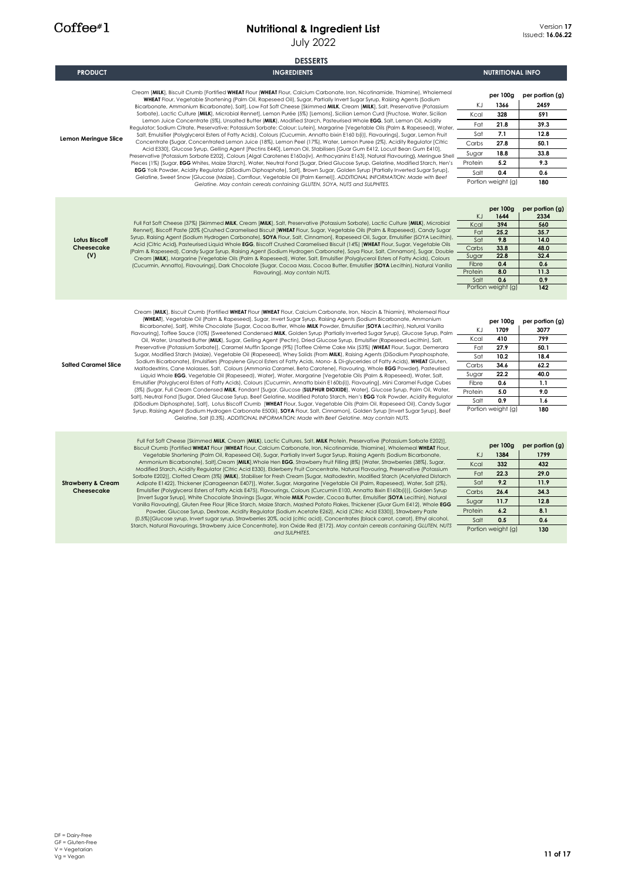|                                             | <b>DESSERTS</b>                                                                                                                                                                                                                                                                                                                                                                                                                                                                                                                                                                                                                                                                                                                                                                                                                                                                                                                                                                                                                                                                                                                                                                                                                                                                                                                                                                                                                                                                                                                                                                                                                                                                                                                                                                                                                                                                                                                                                                                                                                                        |                                                                        |                                                                                                    |                                                                                             |
|---------------------------------------------|------------------------------------------------------------------------------------------------------------------------------------------------------------------------------------------------------------------------------------------------------------------------------------------------------------------------------------------------------------------------------------------------------------------------------------------------------------------------------------------------------------------------------------------------------------------------------------------------------------------------------------------------------------------------------------------------------------------------------------------------------------------------------------------------------------------------------------------------------------------------------------------------------------------------------------------------------------------------------------------------------------------------------------------------------------------------------------------------------------------------------------------------------------------------------------------------------------------------------------------------------------------------------------------------------------------------------------------------------------------------------------------------------------------------------------------------------------------------------------------------------------------------------------------------------------------------------------------------------------------------------------------------------------------------------------------------------------------------------------------------------------------------------------------------------------------------------------------------------------------------------------------------------------------------------------------------------------------------------------------------------------------------------------------------------------------------|------------------------------------------------------------------------|----------------------------------------------------------------------------------------------------|---------------------------------------------------------------------------------------------|
| <b>PRODUCT</b>                              | <b>INGREDIENTS</b>                                                                                                                                                                                                                                                                                                                                                                                                                                                                                                                                                                                                                                                                                                                                                                                                                                                                                                                                                                                                                                                                                                                                                                                                                                                                                                                                                                                                                                                                                                                                                                                                                                                                                                                                                                                                                                                                                                                                                                                                                                                     |                                                                        | <b>NUTRITIONAL INFO</b>                                                                            |                                                                                             |
| <b>Lemon Meringue Slice</b>                 | Cream [MILK], Biscuit Crumb [Fortified WHEAT Flour (WHEAT Flour, Calcium Carbonate, Iron, Nicotinamide, Thiamine), Wholemeal<br>WHEAT Flour, Vegetable Shortening (Palm Oil, Rapeseed Oil), Sugar, Partially Invert Sugar Syrup, Raising Agents (Sodium<br>Bicarbonate, Ammonium Bicarbonate), Salt), Low Fat Soft Cheese [Skimmed MILK, Cream [MILK], Salt, Preservative (Potassium<br>Sorbate), Lactic Culture [MILK], Microbial Rennet], Lemon Purée (5%) [Lemons], Sicilian Lemon Curd [Fructose, Water, Sicilian<br>Lemon Juice Concentrate (5%), Unsalted Butter (MILK), Modified Starch, Pasteurised Whole EGG, Salt, Lemon Oil, Acidity<br>Regulator; Sodium Citrate, Preservative; Potassium Sorbate: Colour: Lutein], Margarine [Vegetable Oils (Palm & Rapeseed), Water,<br>Salt, Emulsifier (Polyglycerol Esters of Fatty Acids), Colours (Cucurmin, Annatto bixin E160 b(i)), Flavourings], Sugar, Lemon Fruit<br>Concentrate {Sugar, Concentrated Lemon Juice (18%), Lemon Peel (17%), Water, Lemon Puree (2%), Acidity Regulator [Citric<br>Acid E330], Glucose Syrup, Gelling Agent [Pectins E440], Lemon Oil, Stabilisers [Guar Gum E412, Locust Bean Gum E410],<br>Preservative [Potassium Sorbate E202], Colours [Algal Carotenes E160a(iv), Anthocyanins E163], Natural Flavouring}, Meringue Shell<br>Pieces (1%) [Sugar, EGG Whites, Maize Starch], Water, Neutral Fond [Sugar, Dried Glucose Syrup, Gelatine, Modified Starch, Hen's<br>EGG Yolk Powder, Acidity Regulator (DiSodium Diphosphate), Salt], Brown Sugar, Golden Syrup [Partially Inverted Sugar Syrup],<br>Gelatine, Sweet Snow [Glucose (Maize), Cornflour, Vegetable Oil (Palm Kernel)]. ADDITIONAL INFORMATION: Made with Beef<br>Gelatine. May contain cereals containing GLUTEN, SOYA, NUTS and SULPHITES.                                                                                                                                                                                                                                                                   | KJ<br>Kcal<br>Fat<br>Sat<br>Carbs<br>Sugar<br>Protein<br>Salt          | per 100g<br>1366<br>328<br>21.8<br>7.1<br>27.8<br>18.8<br>5.2<br>0.4<br>Portion weight (g)         | per portion (g)<br>2459<br>591<br>39.3<br>12.8<br>50.1<br>33.8<br>9.3<br>0.6<br>180         |
| <b>Lotus Biscoff</b><br>Cheesecake<br>(V)   | Full Fat Soft Cheese (37%) [Skimmed MILK, Cream [MILK], Salt, Preservative (Potassium Sorbate), Lactic Culture [MILK], Microbial<br>Rennet], Biscoff Paste (20% {Crushed Caramelised Biscuit [WHEAT Flour, Sugar, Vegetable Oils (Palm & Rapeseed), Candy Sugar<br>Syrup, Raising Agent (Sodium Hydrogen Carbonate), SOYA Flour, Salt, Cinnamon), Rapeseed Oil, Sugar, Emulsifier (SOYA Lecithin),<br>Acid (Citric Acid), Pasteurised Liquid Whole EGG, Biscoff Crushed Caramelised Biscuit (14%) [WHEAT Flour, Sugar, Vegetable Oils<br>(Palm & Rapeseed), Candy Sugar Syrup, Raising Agent (Sodium Hydrogen Carbonate), Soya Flour, Salt, Cinnamon], Sugar, Double<br>Cream [MILK], Margarine [Vegetable Oils (Palm & Rapeseed), Water, Salt, Emulsifier (Polyglycerol Esters of Fatty Acids), Colours<br>(Cucurmin, Annatto), Flavourings), Dark Chocolate [Sugar, Cocoa Mass, Cocoa Butter, Emulsifier (SOYA Lecithin), Natural Vanilla<br>Flavouring]. May contain NUTS.                                                                                                                                                                                                                                                                                                                                                                                                                                                                                                                                                                                                                                                                                                                                                                                                                                                                                                                                                                                                                                                                                          | KJ<br>Kcal<br>Fat<br>Sat<br>Carbs<br>Sugar<br>Fibre<br>Protein<br>Salt | per 100g<br>1644<br>394<br>25.2<br>9.8<br>33.8<br>22.8<br>0.4<br>8.0<br>0.6<br>Portion weight (g)  | per portion (g)<br>2334<br>560<br>35.7<br>14.0<br>48.0<br>32.4<br>0.6<br>11.3<br>0.9<br>142 |
| <b>Salted Caramel Slice</b>                 | Cream [MILK], Biscuit Crumb [Fortified WHEAT Flour (WHEAT Flour, Calcium Carbonate, Iron, Niacin & Thiamin), Wholemeal Flour<br>(WHEAT), Vegetable Oil (Palm & Rapeseed), Sugar, Invert Sugar Syrup, Raising Agents (Sodium Bicarbonate, Ammonium<br>Bicarbonate), Salt], White Chocolate [Sugar, Cocoa Butter, Whole MILK Powder, Emulsifier (SOYA Lecithin), Natural Vanilla<br>Flavouring], Toffee Sauce (10%) [Sweetened Condensed MILK, Golden Syrup (Partially Inverted Sugar Syrup), Glucose Syrup, Palm<br>Oil, Water, Unsalted Butter (MILK), Sugar, Gelling Agent (Pectin), Dried Glucose Syrup, Emulsifier (Rapeseed Lecithin), Salt,<br>Preservative (Potassium Sorbate)], Caramel Muffin Sponge (9%) [Toffee Crème Cake Mix (53%) (WHEAT Flour, Sugar, Demerara<br>Sugar, Modified Starch (Maize), Vegetable Oil (Rapeseed), Whey Solids (From MILK), Raising Agents (DiSodium Pyrophosphate,<br>Sodium Bicarbonate), Emulsifiers (Propylene Glycol Esters of Fatty Acids, Mono- & Di-glycerides of Fatty Acids), WHEAT Gluten,<br>Maltodextrins, Cane Molasses, Salt, Colours (Ammonia Caramel, Beta Carotene), Flavouring, Whole EGG Powder}, Pasteurised<br>Liquid Whole EGG, Vegetable Oil (Rapeseed), Water], Water, Margarine [Vegetable Oils (Palm & Rapeseed), Water, Salt,<br>Emulsifier (Polyglycerol Esters of Fatty Acids), Colours (Cucurmin, Annatto bixin E160b(i)), Flavouring], Mini Caramel Fudge Cubes<br>(3%) (Sugar, Full Cream Condensed MILK, Fondant [Sugar, Glucose (SULPHUR DIOXIDE), Water], Glucose Syrup, Palm Oil, Water,<br>Salt), Neutral Fond [Sugar, Dried Glucose Syrup, Beef Gelatine, Modified Potato Starch, Hen's EGG Yolk Powder, Acidity Regulator<br>(DiSodium Diphosphate), Salt], Lotus Biscoff Crumb [WHEAT Flour, Sugar, Vegetable Oils (Palm Oil, Rapeseed Oil), Candy Sugar<br>Syrup, Raising Agent (Sodium Hydrogen Carbonate E500ii), SOYA Flour, Salt, Cinnamon), Golden Syrup [Invert Sugar Syrup], Beef<br>Gelatine, Salt (0.3%). ADDITIONAL INFORMATION: Made with Beef Gelatine. May contain NUTS. | ΚJ<br>Kcal<br>Fat<br>Sat<br>Carbs<br>Sugar<br>Fibre<br>Protein<br>Salt | per 100g<br>1709<br>410<br>27.9<br>10.2<br>34.6<br>22.2<br>0.6<br>5.0<br>0.9<br>Portion weight (g) | per portion (g)<br>3077<br>799<br>50.1<br>18.4<br>62.2<br>40.0<br>1.1<br>9.0<br>1.6<br>180  |
| <b>Strawberry &amp; Cream</b><br>Cheesecake | Full Fat Soft Cheese [Skimmed MILK, Cream (MILK), Lactic Cultures, Salt, MILK Protein, Preservative (Potassium Sorbate E202)],<br>Biscuit Crumb [Fortified WHEAT Flour (WHEAT Flour, Calcium Carbonate, Iron, Nicotinamide, Thiamine), Wholemeal WHEAT Flour,<br>Vegetable Shortening (Palm Oil, Rapeseed Oil), Sugar, Partially Invert Sugar Syrup, Raising Agents (Sodium Bicarbonate,<br>Ammonium Bicarbonate), Salt], Cream [MILK], Whole Hen EGG, Strawberry Fruit Filling (8%) [Water, Strawberries (38%), Sugar,<br>Modified Starch, Acidity Regulator (Citric Acid E330), Elderberry Fruit Concentrate, Natural Flavouring, Preservative (Potassium<br>Sorbate E202)], Clotted Cream (3%) (MILK), Stabiliser for Fresh Cream [Sugar, Maltodextrin, Modified Starch (Acetylated Distarch<br>Adipate E1422), Thickener (Carrageenan E407)], Water, Sugar, Margarine [Vegetable Oil (Palm, Rapeseed), Water, Salt (2%),<br>Emulsifier (Polyglycerol Esters of Fatty Acids E475), Flavourings, Colours (Curcumin E100, Annatto Bixin E160b(i))], Golden Syrup<br>[Invert Sugar Syrup], White Chocolate Shavings [Sugar, Whole MILK Powder, Cocoa Butter, Emulsifier (SOYA Lecithin), Natural<br>Vanilla Flavouring], Gluten Free Flour (Rice Starch, Maize Starch, Mashed Potato Flakes, Thickener (Guar Gum E412), Whole EGG<br>Powder, Glucose Syrup, Dextrose, Acidity Regulator (Sodium Acetate E262), Acid (Citric Acid E330)], Strawberry Paste<br>(0.5%) [Glucose syrup, Invert sugar syrup, Strawberries 20%, acid (citric acid), Concentrates (black carrot, carrot), Ethyl alcohol,<br>Starch, Natural Flavourings. Strawberry Juice Concentrate], Iron Oxide Red (E172). May contain cereals containing GLUTEN, NUTS<br>and SULPHITES.                                                                                                                                                                                                                                                                                                                  | KJ<br>Kcal<br>Fat<br>Sat<br>Carbs<br>Sugar<br>Protein<br>Salt          | per 100g<br>1384<br>332<br>22.3<br>9.2<br>26.4<br>11.7<br>6.2<br>0.5<br>Portion weight (g)         | per portion (g)<br>1799<br>432<br>29.0<br>11.9<br>34.3<br>12.8<br>8.1<br>0.6<br>130         |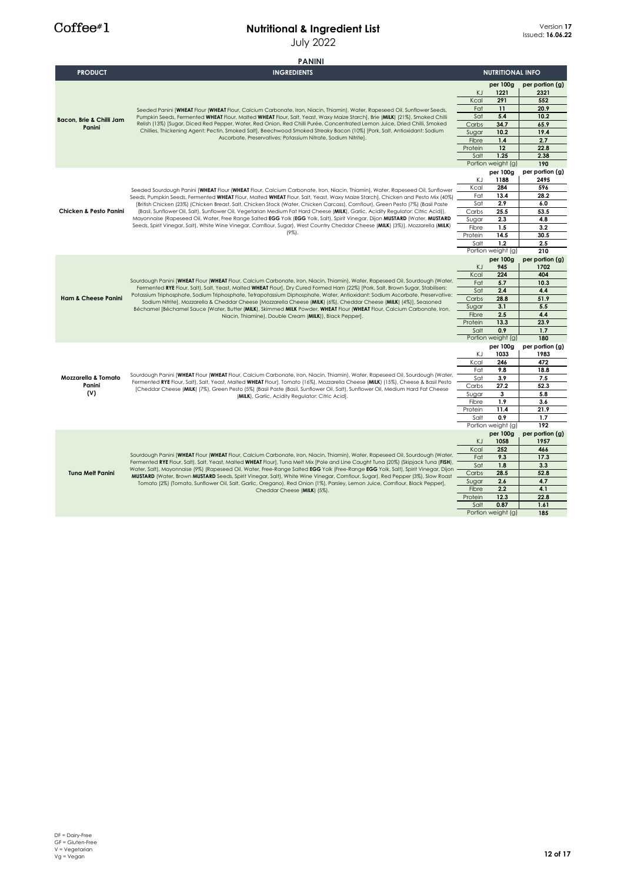|                                      | <b>PANINI</b>                                                                                                                                                                                                                                                                                                                                                                                                                                                                                                                                                                                                                                                                                                                                                                                                       |                                                                               |                                                                                                   |                                                                                              |
|--------------------------------------|---------------------------------------------------------------------------------------------------------------------------------------------------------------------------------------------------------------------------------------------------------------------------------------------------------------------------------------------------------------------------------------------------------------------------------------------------------------------------------------------------------------------------------------------------------------------------------------------------------------------------------------------------------------------------------------------------------------------------------------------------------------------------------------------------------------------|-------------------------------------------------------------------------------|---------------------------------------------------------------------------------------------------|----------------------------------------------------------------------------------------------|
| <b>PRODUCT</b>                       | <b>INGREDIENTS</b>                                                                                                                                                                                                                                                                                                                                                                                                                                                                                                                                                                                                                                                                                                                                                                                                  |                                                                               | <b>NUTRITIONAL INFO</b>                                                                           |                                                                                              |
| Bacon, Brie & Chilli Jam<br>Panini   | Seeded Panini [WHEAT Flour (WHEAT Flour, Calcium Carbonate, Iron, Niacin, Thiamin), Water, Rapeseed Oil, Sunflower Seeds,<br>Pumpkin Seeds, Fermented WHEAT Flour, Malted WHEAT Flour, Salt, Yeast, Waxy Maize Starch], Brie (MILK) (21%), Smoked Chilli<br>Relish (13%) [Sugar, Diced Red Pepper, Water, Red Onion, Red Chilli Purée, Concentrated Lemon Juice, Dried Chilli, Smoked<br>Chillies, Thickening Agent: Pectin, Smoked Salt], Beechwood Smoked Streaky Bacon (10%) [Pork, Salt, Antioxidant: Sodium<br>Ascorbate, Preservatives: Potassium Nitrate, Sodium Nitrite].                                                                                                                                                                                                                                   | KJ<br>Kcal<br>Fat<br>Sat<br>Carbs<br>Sugar<br>Fibre<br>Protein<br>Salt        | per 100g<br>1221<br>291<br>11<br>5.4<br>34.7<br>10.2<br>1.4<br>12<br>1.25<br>Portion weight (g)   | per portion (g)<br>2321<br>552<br>20.9<br>10.2<br>65.9<br>19.4<br>2.7<br>22.8<br>2.38<br>190 |
| Chicken & Pesto Panini               | Seeded Sourdough Panini [WHEAT Flour (WHEAT Flour, Calcium Carbonate, Iron, Niacin, Thiamin), Water, Rapeseed Oil, Sunflower<br>Seeds, Pumpkin Seeds, Fermented WHEAT Flour, Malted WHEAT Flour, Salt, Yeast, Waxy Maize Starch], Chicken and Pesto Mix (40%)<br>[British Chicken (23%) (Chicken Breast, Salt, Chicken Stock (Water, Chicken Carcass), Comflour), Green Pesto (7%) (Basil Paste<br>(Basil, Sunflower Oil, Salt), Sunflower Oil, Vegetarian Medium Fat Hard Cheese (MILK), Garlic, Acidity Regulator: Citric Acid)),<br>Mayonnaise (Rapeseed Oil, Water, Free Range Salted EGG Yolk (EGG Yolk, Salt), Spirit Vinegar, Dijon MUSTARD (Water, MUSTARD<br>Seeds, Spirit Vinegar, Salt), White Wine Vinegar, Cornflour, Sugar), West Country Cheddar Cheese (MILK) (3%)], Mozzarella (MILK)<br>$(9\%)$ . | ΚJ<br>Kcal<br>Fat<br>Sat<br>Carbs<br>Sugar<br>Fibre<br>Protein<br>Salt        | per 100g<br>1188<br>284<br>13.4<br>2.9<br>25.5<br>2.3<br>1.5<br>14.5<br>1.2<br>Portion weight (g) | per portion (g)<br>2495<br>596<br>28.2<br>6.0<br>53.5<br>4.8<br>3.2<br>30.5<br>2.5<br>210    |
| <b>Ham &amp; Cheese Panini</b>       | Sourdough Panini [WHEAT Flour (WHEAT Flour, Calcium Carbonate, Iron, Niacin, Thiamin), Water, Rapeseed Oil, Sourdough (Water,<br>Fermented RYE Flour, Salt), Salt, Yeast, Malted WHEAT Flour], Dry Cured Formed Ham (22%) [Pork, Salt, Brown Sugar, Stabilisers:<br>Potassium Triphosphate, Sodium Triphosphate, Tetrapotassium Diphosphate, Water, Antioxidant: Sodium Ascorbate, Preservative:<br>Sodium Nitrite], Mozzarella & Cheddar Cheese [Mozzarella Cheese (MILK) (6%), Cheddar Cheese (MILK) (4%)], Seasoned<br>Béchamel [Béchamel Sauce (Water, Butter (MILK), Skimmed MILK Powder, WHEAT Flour (WHEAT Flour, Calcium Carbonate, Iron,<br>Niacin, Thiamine), Double Cream (MILK)), Black Pepper].                                                                                                        | KJ<br>Kcal<br>Fat<br>Sat<br>Carbs<br>Sugar<br>Fibre<br>Protein<br>Salt        | per 100g<br>945<br>224<br>5.7<br>2.4<br>28.8<br>3.1<br>2.5<br>13.3<br>0.9<br>Portion weight (g)   | per portion (g)<br>1702<br>404<br>10.3<br>4.4<br>51.9<br>5.5<br>4.4<br>23.9<br>1.7<br>180    |
| Mozzarella & Tomato<br>Panini<br>(V) | Sourdough Panini [WHEAT Flour (WHEAT Flour, Calcium Carbonate, Iron, Niacin, Thiamin), Water, Rapeseed Oil, Sourdough (Water,<br>Fermented RYE Flour, Salt), Salt, Yeast, Malted WHEAT Flour], Tomato (16%), Mozzarella Cheese (MILK) (15%), Cheese & Basil Pesto<br>[Cheddar Cheese (MILK) (7%), Green Pesto (5%) (Basil Paste (Basil, Sunflower Oil, Salt), Sunflower Oil, Medium Hard Fat Cheese<br>(MILK), Garlic, Acidity Regulator: Citric Acid].                                                                                                                                                                                                                                                                                                                                                             | KJ<br>Kcal<br>Fat<br>Sat<br>Carbs<br>Sugar<br>Fibre<br>Protein<br>Salt        | per 100g<br>1033<br>246<br>9.8<br>3.9<br>27.2<br>3<br>1.9<br>11.4<br>0.9<br>Portion weight (g)    | per portion (g)<br>1983<br>472<br>18.8<br>7.5<br>52.3<br>5.8<br>3.6<br>21.9<br>1.7<br>192    |
| <b>Tuna Melt Panini</b>              | Sourdough Panini [WHEAT Flour (WHEAT Flour, Calcium Carbonate, Iron, Niacin, Thiamin), Water, Rapeseed Oil, Sourdough (Water,<br>Fermented RYE Flour, Salt), Salt, Yeast, Malted WHEAT Flour], Tuna Melt Mix [Pole and Line Caught Tuna (20%) (Skipjack Tuna (FISH),<br>Water, Salt), Mayonnaise (9%) (Rapeseed Oil, Water, Free-Range Salted EGG Yolk (Free-Range EGG Yolk, Salt), Spirit Vinegar, Dijon<br>MUSTARD (Water, Brown MUSTARD Seeds, Spirit Vinegar, Salt), White Wine Vinegar, Comflour, Sugar), Red Pepper (3%), Slow Roast<br>Tomato (2%) (Tomato, Sunflower Oil, Salt, Garlic, Oregano), Red Onion (1%), Parsley, Lemon Juice, Comflour, Black Pepper],<br>Cheddar Cheese (MILK) (5%).                                                                                                             | <b>KJ</b><br>Kcal<br>Fat<br>Sat<br>Carbs<br>Sugar<br>Fibre<br>Protein<br>Salt | per 100g<br>1058<br>252<br>9.3<br>1.8<br>28.5<br>2.6<br>2.2<br>12.3<br>0.87<br>Portion weight (g) | per portion (g)<br>1957<br>466<br>17.3<br>3.3<br>52.8<br>4.7<br>4.1<br>22.8<br>1.61<br>185   |
|                                      |                                                                                                                                                                                                                                                                                                                                                                                                                                                                                                                                                                                                                                                                                                                                                                                                                     |                                                                               |                                                                                                   |                                                                                              |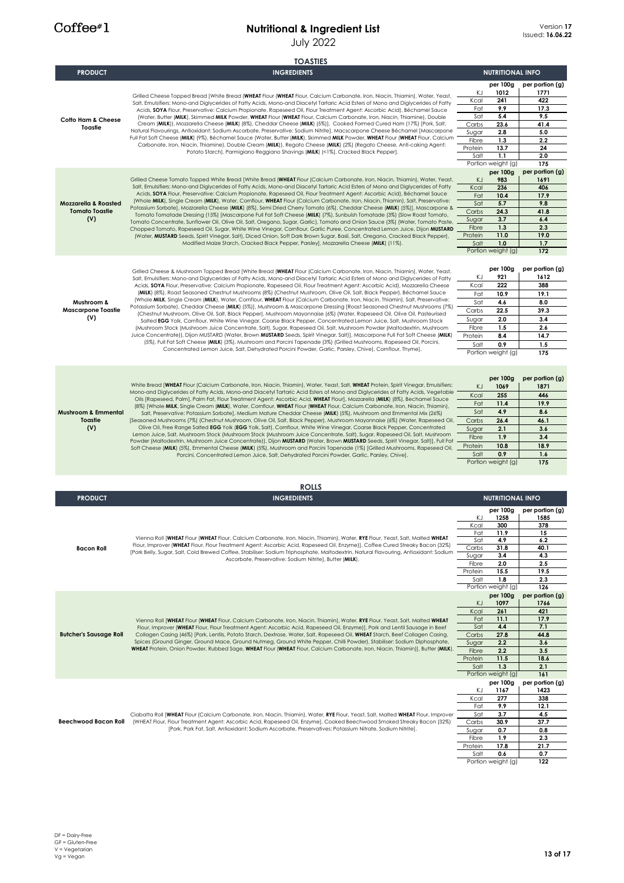# **Nutritional & Ingredient List**

|                                          | <b>July 2022</b>                                                                                                                                                                                                                                                                                                                                                                                                                                                                                                                                                                                                                                                                                                                                                                                                                                                                                                                                                                                                                                                                                                                                                              |                  |                                | <b>Issued: 16.06.2</b> |
|------------------------------------------|-------------------------------------------------------------------------------------------------------------------------------------------------------------------------------------------------------------------------------------------------------------------------------------------------------------------------------------------------------------------------------------------------------------------------------------------------------------------------------------------------------------------------------------------------------------------------------------------------------------------------------------------------------------------------------------------------------------------------------------------------------------------------------------------------------------------------------------------------------------------------------------------------------------------------------------------------------------------------------------------------------------------------------------------------------------------------------------------------------------------------------------------------------------------------------|------------------|--------------------------------|------------------------|
|                                          | <b>TOASTIES</b>                                                                                                                                                                                                                                                                                                                                                                                                                                                                                                                                                                                                                                                                                                                                                                                                                                                                                                                                                                                                                                                                                                                                                               |                  |                                |                        |
| <b>PRODUCT</b>                           | <b>INGREDIENTS</b>                                                                                                                                                                                                                                                                                                                                                                                                                                                                                                                                                                                                                                                                                                                                                                                                                                                                                                                                                                                                                                                                                                                                                            |                  | <b>NUTRITIONAL INFO</b>        |                        |
|                                          |                                                                                                                                                                                                                                                                                                                                                                                                                                                                                                                                                                                                                                                                                                                                                                                                                                                                                                                                                                                                                                                                                                                                                                               |                  | per 100g                       | per portion (g)        |
| <b>Cotto Ham &amp; Cheese</b><br>Toastie | Grilled Cheese Topped Bread [White Bread (WHEAT Flour (WHEAT Flour, Calcium Carbonate, Iron, Niacin, Thiamin), Water, Yeast,                                                                                                                                                                                                                                                                                                                                                                                                                                                                                                                                                                                                                                                                                                                                                                                                                                                                                                                                                                                                                                                  | ΚJ               | 1012<br>241                    | 1771<br>422            |
|                                          | Salt, Emulsifiers: Mono-and Diglycerides of Fatty Acids, Mono-and Diacetyl Tartaric Acid Esters of Mono and Diglycerides of Fatty<br>Acids, SOYA Flour, Preservative: Calcium Propionate, Rapeseed Oil, Flour Treatment Agent: Ascorbic Acid), Béchamel Sauce                                                                                                                                                                                                                                                                                                                                                                                                                                                                                                                                                                                                                                                                                                                                                                                                                                                                                                                 | Kcal<br>Fat      | 9.9                            | 17.3                   |
|                                          | (Water, Butter (MILK), Skimmed MILK Powder, WHEAT Flour (WHEAT Flour, Calcium Carbonate, Iron, Niacin, Thiamine), Double                                                                                                                                                                                                                                                                                                                                                                                                                                                                                                                                                                                                                                                                                                                                                                                                                                                                                                                                                                                                                                                      | Sat              | 5.4                            | 9.5                    |
|                                          | Cream (MILK)), Mozzarella Cheese (MILK) (8%), Cheddar Cheese (MILK) (5%)], Cooked Formed Cured Ham (17%) [Pork, Salt,<br>Natural Flavourings, Antioxidant: Sodium Ascorbate, Preservative: Sodium Nitrite], Macscarpone Cheese Béchamel [Mascarpone                                                                                                                                                                                                                                                                                                                                                                                                                                                                                                                                                                                                                                                                                                                                                                                                                                                                                                                           | Carbs<br>Sugar   | 23.6<br>2.8                    | 41.4<br>5.0            |
|                                          | Full Fat Soft Cheese (MILK) (9%), Béchamel Sauce (Water, Butter (MILK), Skimmed MILK Powder, WHEAT Flour (WHEAT Flour, Calcium                                                                                                                                                                                                                                                                                                                                                                                                                                                                                                                                                                                                                                                                                                                                                                                                                                                                                                                                                                                                                                                | Fibre            | 1.3                            | 2.2                    |
|                                          | Carbonate, Iron, Niacin, Thiamine), Double Cream (MILK)), Regato Cheese (MILK) (2%) (Regato Cheese, Anti-caking Agent:<br>Potato Starch), Parmigiano Reggiano Shavings (MILK) (<1%), Cracked Black Pepper].                                                                                                                                                                                                                                                                                                                                                                                                                                                                                                                                                                                                                                                                                                                                                                                                                                                                                                                                                                   | Protein          | 13.7                           | 24                     |
|                                          |                                                                                                                                                                                                                                                                                                                                                                                                                                                                                                                                                                                                                                                                                                                                                                                                                                                                                                                                                                                                                                                                                                                                                                               | Salt             | 1.1<br>Portion weight (g)      | 2.0<br>175             |
|                                          |                                                                                                                                                                                                                                                                                                                                                                                                                                                                                                                                                                                                                                                                                                                                                                                                                                                                                                                                                                                                                                                                                                                                                                               |                  | per 100g                       | per portion (g)        |
|                                          | Grilled Cheese Tomato Topped White Bread [White Bread (WHEAT Flour (Calcium Carbonate, Iron, Niacin, Thiamin), Water, Yeast,<br>Salt, Emulsifiers: Mono-and Diglycerides of Fatty Acids, Mono-and Diacetyl Tartaric Acid Esters of Mono and Diglycerides of Fatty                                                                                                                                                                                                                                                                                                                                                                                                                                                                                                                                                                                                                                                                                                                                                                                                                                                                                                             | K)               | 983<br>236                     | 1691<br>406            |
|                                          | Acids, SOYA Flour, Preservative: Calcium Propionate, Rapeseed Oil, Flour Treatment Agent: Ascorbic Acid), Béchamel Sauce                                                                                                                                                                                                                                                                                                                                                                                                                                                                                                                                                                                                                                                                                                                                                                                                                                                                                                                                                                                                                                                      | Kcal<br>Fat      | 10.4                           | 17.9                   |
| <b>Mozzarella &amp; Roasted</b>          | (Whole MILK), Single Cream (MILK), Water, Cornflour, WHEAT Flour (Calcium Carbonate, Iron, Niacin, Thiamin), Salt, Preservative:<br>Potassium Sorbate], Mozzarella Cheese (MILK) (8%), Semi Dried Cherry Tomato (6%), Cheddar Cheese (MILK) (5%)], Mascarpone &                                                                                                                                                                                                                                                                                                                                                                                                                                                                                                                                                                                                                                                                                                                                                                                                                                                                                                               | Sat              | 5.7                            | 9.8                    |
| <b>Tomato Toastie</b>                    | Tomato Tomatade Dressing (15%) [Mascarpone Full Fat Soft Cheese (MILK) (7%), Sunbulsh Tomatade (3%) (Slow Roast Tomato,                                                                                                                                                                                                                                                                                                                                                                                                                                                                                                                                                                                                                                                                                                                                                                                                                                                                                                                                                                                                                                                       | Carbs            | 24.3                           | 41.8                   |
| (V)                                      | Tomato Concentrate, Sunflower Oil, Olive Oil, Salt, Oregano, Sugar, Garlic), Tomato and Onion Sauce (3%) (Water, Tomato Paste,<br>Chopped Tomato, Rapeseed Oil, Sugar, White Wine Vinegar, Cornflour, Garlic Puree, Concentrated Lemon Juice, Dijon MUSTARD                                                                                                                                                                                                                                                                                                                                                                                                                                                                                                                                                                                                                                                                                                                                                                                                                                                                                                                   | Sugar<br>Fibre   | 3.7<br>1.3                     | 6.4<br>2.3             |
|                                          | (Water, MUSTARD Seeds, Spirit Vinegar, Salt), Diced Onion, Soft Dark Brown Sugar, Basil, Salt, Oregano, Cracked Black Pepper),                                                                                                                                                                                                                                                                                                                                                                                                                                                                                                                                                                                                                                                                                                                                                                                                                                                                                                                                                                                                                                                | Protein          | 11.0                           | 19.0                   |
|                                          | Modified Maize Starch, Cracked Black Pepper, Parsley], Mozzarella Cheese (MILK) (11%).                                                                                                                                                                                                                                                                                                                                                                                                                                                                                                                                                                                                                                                                                                                                                                                                                                                                                                                                                                                                                                                                                        | Salt             | 1.0                            | 1.7                    |
|                                          |                                                                                                                                                                                                                                                                                                                                                                                                                                                                                                                                                                                                                                                                                                                                                                                                                                                                                                                                                                                                                                                                                                                                                                               |                  | Portion weight (g)             | 172                    |
|                                          | Grilled Cheese & Mushroom Topped Bread [White Bread (WHEAT Flour (Calcium Carbonate, Iron, Niacin, Thiamin), Water, Yeast,                                                                                                                                                                                                                                                                                                                                                                                                                                                                                                                                                                                                                                                                                                                                                                                                                                                                                                                                                                                                                                                    |                  | per 100g                       | per portion (g)        |
|                                          | Salt, Emulsifiers: Mono-and Diglycerides of Fatty Acids, Mono-and Diacetyl Tartaric Acid Esters of Mono and Diglycerides of Fatty                                                                                                                                                                                                                                                                                                                                                                                                                                                                                                                                                                                                                                                                                                                                                                                                                                                                                                                                                                                                                                             | ΚJ               | 921                            | 1612                   |
|                                          | Acids, SOYA Flour, Preservative: Calcium Propionate, Rapeseed Oil, Flour Treatment Agent: Ascorbic Acid), Mozzarella Cheese                                                                                                                                                                                                                                                                                                                                                                                                                                                                                                                                                                                                                                                                                                                                                                                                                                                                                                                                                                                                                                                   | Kcal             | 222                            | 388                    |
|                                          | (MILK) (8%), Roast Seasoned Chestnut Mushrooms (8%) (Chestnut Mushroom, Olive Oil, Salt, Black Pepper), Béchamel Sauce<br>(Whole MILK, Single Cream (MILK), Water, Cornflour, WHEAT Flour (Calcium Carbonate, Iron, Niacin, Thiamin), Salt, Preservative:                                                                                                                                                                                                                                                                                                                                                                                                                                                                                                                                                                                                                                                                                                                                                                                                                                                                                                                     | Fat<br>Sat       | 10.9<br>4.6                    | 19.1<br>8.0            |
| Mushroom &<br><b>Mascarpone Toastie</b>  | Potassium Sorbate), Cheddar Cheese (MILK) (5%)], Mushroom & Mascarpone Dressing [Roast Seasoned Chestnut Mushrooms (7%)                                                                                                                                                                                                                                                                                                                                                                                                                                                                                                                                                                                                                                                                                                                                                                                                                                                                                                                                                                                                                                                       | Carbs            | 22.5                           | 39.3                   |
| (V)                                      | (Chestnut Mushroom, Olive Oil, Salt, Black Pepper), Mushroom Mayonnaise (6%) (Water, Rapeseed Oil, Olive Oil, Pasteurised<br>Salted EGG Yolk, Cornflour, White Wine Vinegar, Coarse Black Pepper, Concentrated Lemon Juice, Salt, Mushroom Stock                                                                                                                                                                                                                                                                                                                                                                                                                                                                                                                                                                                                                                                                                                                                                                                                                                                                                                                              | Sugar            | 2.0                            | 3.4                    |
|                                          | (Mushroom Stock (Mushroom Juice Concentrate, Salt), Sugar, Rapeseed Oil, Salt, Mushroom Powder (Maltodextrin, Mushroom                                                                                                                                                                                                                                                                                                                                                                                                                                                                                                                                                                                                                                                                                                                                                                                                                                                                                                                                                                                                                                                        | Fibre            | 1.5                            | 2.6                    |
|                                          | Juice Concentrate)), Dijon MUSTARD (Water, Brown MUSTARD Seeds, Spirit Vinegar, Salt)], Mascarpone Full Fat Soft Cheese (MILK)<br>(5%), Full Fat Soft Cheese (MILK) (3%), Mushroom and Porcini Tapenade (3%) (Grilled Mushrooms, Rapeseed Oil, Porcini,                                                                                                                                                                                                                                                                                                                                                                                                                                                                                                                                                                                                                                                                                                                                                                                                                                                                                                                       | Protein          | 8.4                            | 14.7                   |
|                                          | Concentrated Lemon Juice, Salt, Dehydrated Porcini Powder, Garlic, Parsley, Chive), Cornflour, Thyme].                                                                                                                                                                                                                                                                                                                                                                                                                                                                                                                                                                                                                                                                                                                                                                                                                                                                                                                                                                                                                                                                        | Salt             | 0.9<br>Portion weight (g)      | 1.5<br>175             |
|                                          |                                                                                                                                                                                                                                                                                                                                                                                                                                                                                                                                                                                                                                                                                                                                                                                                                                                                                                                                                                                                                                                                                                                                                                               |                  |                                |                        |
|                                          |                                                                                                                                                                                                                                                                                                                                                                                                                                                                                                                                                                                                                                                                                                                                                                                                                                                                                                                                                                                                                                                                                                                                                                               |                  |                                |                        |
|                                          | White Bread [WHEAT Flour (Calcium Carbonate, Iron, Niacin, Thiamin), Water, Yeast, Salt, WHEAT Protein, Spirit Vinegar, Emulsifiers:                                                                                                                                                                                                                                                                                                                                                                                                                                                                                                                                                                                                                                                                                                                                                                                                                                                                                                                                                                                                                                          |                  | per 100g                       | per portion (g)        |
|                                          | Mono-and Diglycerides of Fatty Acids, Mono-and Diacetyl Tartaric Acid Esters of Mono and Diglycerides of Fatty Acids, Vegetable<br>Oils [Rapeseed, Palm], Palm Fat, Flour Treatment Agent: Ascorbic Acid, WHEAT Flour], Mozzarella (MILK) (8%), Bechamel Sauce<br>(8%) [Whole MILK, Single Cream (MILK), Water, Cornflour, WHEAT Flour (WHEAT Flour, Calcium Carbonate, Iron, Niacin, Thiamin),<br>Salt, Preservative: Potassium Sorbate], Medium Mature Cheddar Cheese (MILK) (5%), Mushroom and Emmental Mix (26%)<br>[Seasoned Mushrooms (7%) (Chestnut Mushroom, Olive Oil, Salt, Black Pepper), Mushroom Mayonnaise (6%) (Water, Rapeseed Oil,<br>Olive Oil, Free Range Salted EGG Yolk (EGG Yolk, Salt), Cornflour, White Wine Vinegar, Coarse Black Pepper, Concentrated<br>Lemon Juice, Salt, Mushroom Stock (Mushroom Stock (Mushroom Juice Concentrate, Salt), Sugar, Rapeseed Oil, Salt, Mushroom<br>Powder (Maltodextrin, Mushroom Juice Concentrate)), Dijon MUSTARD (Water, Brown MUSTARD Seeds, Spirit Vinegar, Salt)], Full Fat<br>Soft Cheese (MILK) (5%), Emmental Cheese (MILK) (5%), Mushroom and Porcini Tapenade (1%) [Grilled Mushrooms, Rapeseed Oil, | ΚJ<br>Kcal       | 1069<br>255                    | 1871<br>446            |
|                                          |                                                                                                                                                                                                                                                                                                                                                                                                                                                                                                                                                                                                                                                                                                                                                                                                                                                                                                                                                                                                                                                                                                                                                                               | Fat              | 11.4                           | 19.9                   |
| <b>Mushroom &amp; Emmental</b>           |                                                                                                                                                                                                                                                                                                                                                                                                                                                                                                                                                                                                                                                                                                                                                                                                                                                                                                                                                                                                                                                                                                                                                                               | Sat              | 4.9                            | 8.6                    |
| Toastie<br>(V)                           |                                                                                                                                                                                                                                                                                                                                                                                                                                                                                                                                                                                                                                                                                                                                                                                                                                                                                                                                                                                                                                                                                                                                                                               | Carbs            | 26.4                           | 46.1                   |
|                                          |                                                                                                                                                                                                                                                                                                                                                                                                                                                                                                                                                                                                                                                                                                                                                                                                                                                                                                                                                                                                                                                                                                                                                                               | Sugar<br>Fibre   | 2.1<br>1.9                     | 3.6<br>3.4             |
|                                          |                                                                                                                                                                                                                                                                                                                                                                                                                                                                                                                                                                                                                                                                                                                                                                                                                                                                                                                                                                                                                                                                                                                                                                               | Protein          | 10.8                           | 18.9                   |
|                                          | Porcini, Concentrated Lemon Juice, Salt, Dehydrated Porcini Powder, Garlic, Parsley, Chive].                                                                                                                                                                                                                                                                                                                                                                                                                                                                                                                                                                                                                                                                                                                                                                                                                                                                                                                                                                                                                                                                                  | Salt             | 0.9                            | 1.6                    |
|                                          |                                                                                                                                                                                                                                                                                                                                                                                                                                                                                                                                                                                                                                                                                                                                                                                                                                                                                                                                                                                                                                                                                                                                                                               |                  | Portion weight (g)             | 175                    |
|                                          |                                                                                                                                                                                                                                                                                                                                                                                                                                                                                                                                                                                                                                                                                                                                                                                                                                                                                                                                                                                                                                                                                                                                                                               |                  |                                |                        |
| <b>PRODUCT</b>                           | <b>ROLLS</b><br><b>INGREDIENTS</b>                                                                                                                                                                                                                                                                                                                                                                                                                                                                                                                                                                                                                                                                                                                                                                                                                                                                                                                                                                                                                                                                                                                                            |                  | <b>NUTRITIONAL INFO</b>        |                        |
|                                          |                                                                                                                                                                                                                                                                                                                                                                                                                                                                                                                                                                                                                                                                                                                                                                                                                                                                                                                                                                                                                                                                                                                                                                               |                  | per 100g                       | per portion (g)        |
|                                          |                                                                                                                                                                                                                                                                                                                                                                                                                                                                                                                                                                                                                                                                                                                                                                                                                                                                                                                                                                                                                                                                                                                                                                               | ΚJ               | 1258                           | 1585                   |
|                                          |                                                                                                                                                                                                                                                                                                                                                                                                                                                                                                                                                                                                                                                                                                                                                                                                                                                                                                                                                                                                                                                                                                                                                                               | Kcal<br>Fat      | 300<br>11.9                    | 378<br>15              |
|                                          | Vienna Roll [WHEAT Flour (WHEAT Flour, Calcium Carbonate, Iron, Niacin, Thiamin), Water, RYE Flour, Yeast, Salt, Malted WHEAT                                                                                                                                                                                                                                                                                                                                                                                                                                                                                                                                                                                                                                                                                                                                                                                                                                                                                                                                                                                                                                                 | Sat              | 4.9                            | 6.2                    |
| <b>Bacon Roll</b>                        | Flour, Improver (WHEAT Flour, Flour Treatment Agent: Ascorbic Acid, Rapeseed Oil, Enzyme)], Coffee Cured Streaky Bacon (32%)<br>[Pork Belly, Sugar, Salt, Cold Brewed Coffee, Stabiliser: Sodium Triphosphate, Maltodextrin, Natural Flavouring, Antioxidant: Sodium                                                                                                                                                                                                                                                                                                                                                                                                                                                                                                                                                                                                                                                                                                                                                                                                                                                                                                          | Carbs            | 31.8                           | 40.1                   |
|                                          | Ascorbate, Preservative: Sodium Nitrite], Butter (MILK).                                                                                                                                                                                                                                                                                                                                                                                                                                                                                                                                                                                                                                                                                                                                                                                                                                                                                                                                                                                                                                                                                                                      | Sugar<br>Fibre   | 3.4<br>2.0                     | 4.3<br>2.5             |
|                                          |                                                                                                                                                                                                                                                                                                                                                                                                                                                                                                                                                                                                                                                                                                                                                                                                                                                                                                                                                                                                                                                                                                                                                                               | Protein          | 15.5                           | 19.5                   |
|                                          |                                                                                                                                                                                                                                                                                                                                                                                                                                                                                                                                                                                                                                                                                                                                                                                                                                                                                                                                                                                                                                                                                                                                                                               | Salt             | 1.8                            | 2.3                    |
|                                          |                                                                                                                                                                                                                                                                                                                                                                                                                                                                                                                                                                                                                                                                                                                                                                                                                                                                                                                                                                                                                                                                                                                                                                               |                  | Portion weight (g)<br>per 100g | 126<br>per portion (g) |
|                                          |                                                                                                                                                                                                                                                                                                                                                                                                                                                                                                                                                                                                                                                                                                                                                                                                                                                                                                                                                                                                                                                                                                                                                                               | KJ               | 1097                           | 1766                   |
|                                          |                                                                                                                                                                                                                                                                                                                                                                                                                                                                                                                                                                                                                                                                                                                                                                                                                                                                                                                                                                                                                                                                                                                                                                               | Kcal             | 261                            | 421                    |
|                                          | Vienna Roll [WHEAT Flour (WHEAT Flour, Calcium Carbonate, Iron, Niacin, Thiamin), Water, RYE Flour, Yeast, Salt, Malted WHEAT<br>Flour, Improver (WHEAT Flour, Flour Treatment Agent: Ascorbic Acid, Rapeseed Oil, Enzyme)], Pork and Lentil Sausage in Beef                                                                                                                                                                                                                                                                                                                                                                                                                                                                                                                                                                                                                                                                                                                                                                                                                                                                                                                  | Fat<br>Sat       | 11.1<br>4.4                    | 17.9<br>7.1            |
| <b>Butcher's Sausage Roll</b>            | Collagen Casing (46%) [Pork, Lentils, Potato Starch, Dextrose, Water, Salt, Rapeseed Oil, WHEAT Starch, Beef Collagen Casing,                                                                                                                                                                                                                                                                                                                                                                                                                                                                                                                                                                                                                                                                                                                                                                                                                                                                                                                                                                                                                                                 | Carbs            | 27.8                           | 44.8                   |
|                                          | Spices (Ground Ginger, Ground Mace, Ground Nutmeg, Ground White Pepper, Chilli Powder), Stabiliser: Sodium Diphosphate,<br>WHEAT Protein, Onion Powder, Rubbed Sage, WHEAT Flour (WHEAT Flour, Calcium Carbonate, Iron, Niacin, Thiamin)], Butter (MILK).                                                                                                                                                                                                                                                                                                                                                                                                                                                                                                                                                                                                                                                                                                                                                                                                                                                                                                                     | Sugar            | 2.2                            | 3.6                    |
|                                          |                                                                                                                                                                                                                                                                                                                                                                                                                                                                                                                                                                                                                                                                                                                                                                                                                                                                                                                                                                                                                                                                                                                                                                               | Fibre<br>Protein | 2.2<br>11.5                    | 3.5<br>18.6            |
|                                          |                                                                                                                                                                                                                                                                                                                                                                                                                                                                                                                                                                                                                                                                                                                                                                                                                                                                                                                                                                                                                                                                                                                                                                               | Salt             | 1.3                            | 2.1                    |
|                                          |                                                                                                                                                                                                                                                                                                                                                                                                                                                                                                                                                                                                                                                                                                                                                                                                                                                                                                                                                                                                                                                                                                                                                                               |                  | Portion weight (g)             | 161                    |
|                                          |                                                                                                                                                                                                                                                                                                                                                                                                                                                                                                                                                                                                                                                                                                                                                                                                                                                                                                                                                                                                                                                                                                                                                                               |                  | per 100g                       | per portion (g)        |
|                                          |                                                                                                                                                                                                                                                                                                                                                                                                                                                                                                                                                                                                                                                                                                                                                                                                                                                                                                                                                                                                                                                                                                                                                                               | ΚJ<br>Kcal       | 1167<br>277                    | 1423<br>338            |
|                                          |                                                                                                                                                                                                                                                                                                                                                                                                                                                                                                                                                                                                                                                                                                                                                                                                                                                                                                                                                                                                                                                                                                                                                                               | Fat              | 9.9                            | 12.1                   |
|                                          | Ciabatta Roll [WHEAT Flour (Calcium Carbonate, Iron, Niacin, Thiamin), Water, RYE Flour, Yeast, Salt, Malted WHEAT Flour, Improver                                                                                                                                                                                                                                                                                                                                                                                                                                                                                                                                                                                                                                                                                                                                                                                                                                                                                                                                                                                                                                            | Sat              | 3.7                            | 4.5                    |
| Beechwood Bacon Roll                     | (WHEAT Flour, Flour Treatment Agent: Ascorbic Acid, Rapeseed Oil, Enzyme), Cooked Beechwood Smoked Streaky Bacon (32%)<br>[Pork, Pork Fat, Salt, Antioxidant: Sodium Ascorbate, Preservatives: Potassium Nitrate, Sodium Nitrite].                                                                                                                                                                                                                                                                                                                                                                                                                                                                                                                                                                                                                                                                                                                                                                                                                                                                                                                                            | Carbs            | 30.9                           | 37.7                   |
|                                          |                                                                                                                                                                                                                                                                                                                                                                                                                                                                                                                                                                                                                                                                                                                                                                                                                                                                                                                                                                                                                                                                                                                                                                               | Sugar<br>Fibre   | 0.7<br>1.9                     | 0.8<br>2.3             |
|                                          |                                                                                                                                                                                                                                                                                                                                                                                                                                                                                                                                                                                                                                                                                                                                                                                                                                                                                                                                                                                                                                                                                                                                                                               | Protein          | 17.8                           | 21.7                   |
|                                          |                                                                                                                                                                                                                                                                                                                                                                                                                                                                                                                                                                                                                                                                                                                                                                                                                                                                                                                                                                                                                                                                                                                                                                               | Salt             | 0.6                            | 0.7                    |
|                                          |                                                                                                                                                                                                                                                                                                                                                                                                                                                                                                                                                                                                                                                                                                                                                                                                                                                                                                                                                                                                                                                                                                                                                                               |                  | Portion weight (g)             | 122                    |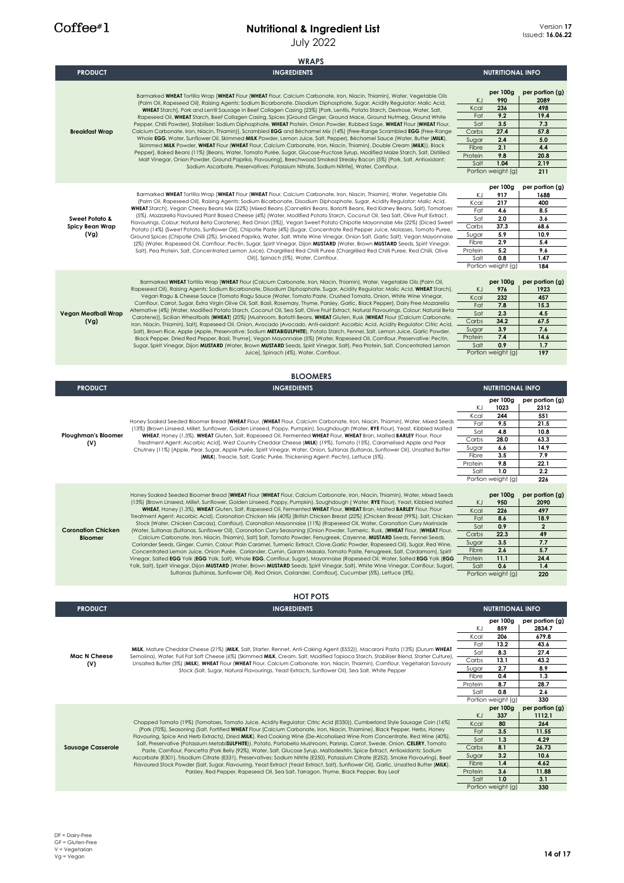#### **Nutritional & Ingredient List** July 2022

| Version 17              |
|-------------------------|
| Issued: <b>16.06.22</b> |

|                                                      | <b>WRAPS</b>                                                                                                                                                                                                                                                                                                                                                                                                                                                                                                                                                                                                                                                                                                                                                                                                                                                                                                                                                                                                                                                                                                                                                                                                                                                                                                                                                                                                                                                                                                                                                    |                                                                        |                                                                                                 |                                                                                                   |
|------------------------------------------------------|-----------------------------------------------------------------------------------------------------------------------------------------------------------------------------------------------------------------------------------------------------------------------------------------------------------------------------------------------------------------------------------------------------------------------------------------------------------------------------------------------------------------------------------------------------------------------------------------------------------------------------------------------------------------------------------------------------------------------------------------------------------------------------------------------------------------------------------------------------------------------------------------------------------------------------------------------------------------------------------------------------------------------------------------------------------------------------------------------------------------------------------------------------------------------------------------------------------------------------------------------------------------------------------------------------------------------------------------------------------------------------------------------------------------------------------------------------------------------------------------------------------------------------------------------------------------|------------------------------------------------------------------------|-------------------------------------------------------------------------------------------------|---------------------------------------------------------------------------------------------------|
| <b>PRODUCT</b>                                       | <b>INGREDIENTS</b>                                                                                                                                                                                                                                                                                                                                                                                                                                                                                                                                                                                                                                                                                                                                                                                                                                                                                                                                                                                                                                                                                                                                                                                                                                                                                                                                                                                                                                                                                                                                              |                                                                        | <b>NUTRITIONAL INFO</b>                                                                         |                                                                                                   |
| <b>Breakfast Wrap</b>                                | Barmarked WHEAT Tortilla Wrap [WHEAT Flour (WHEAT Flour, Calcium Carbonate, Iron, Niacin, Thiamin), Water, Vegetable Oils<br>(Palm Oil, Rapeseed Oil), Raising Agents: Sodium Bicarbonate, Disodium Diphosphate, Sugar, Acidity Regulator: Malic Acid,<br>WHEAT Starch], Pork and Lentil Sausage in Beef Collagen Casing (23%) [Pork, Lentils, Potato Starch, Dextrose, Water, Salt,<br>Rapeseed Oil, WHEAT Starch, Beef Collagen Casing, Spices (Ground Ginger, Ground Mace, Ground Nutmeg, Ground White<br>Pepper, Chilli Powder), Stabiliser: Sodium Diphosphate, WHEAT Protein, Onion Powder, Rubbed Sage, WHEAT Flour (WHEAT Flour,<br>Calcium Carbonate, Iron, Niacin, Thiamin)], Scrambled EGG and Béchamel Mix (14%) [Free-Range Scrambled EGG (Free-Range<br>Whole EGG, Water, Sunflower Oil, Skimmed MILK Powder, Lemon Juice, Salt, Pepper), Béchamel Sauce (Water, Butter (MILK),<br>Skimmed MILK Powder, WHEAT Flour (WHEAT Flour, Calcium Carbonate, Iron, Niacin, Thiamin), Double Cream (MILK)), Black<br>Pepper], Baked Beans (11%) [Beans, Water, Tomato Purée, Sugar, Glucose-Fructose Syrup, Modified Maize Starch, Salt, Distilled<br>Malt Vinegar, Onion Powder, Ground Paprika, Flavouring], Beechwood Smoked Streaky Bacon (5%) [Pork, Salt, Antioxidant:<br>Sodium Ascorbate, Preservatives: Potassium Nitrate, Sodium Nitrite), Water, Cornflour.                                                                                                                                                                                     | KJ<br>Kcal<br>Fat<br>Sat<br>Carbs<br>Sugar<br>Fibre<br>Protein<br>Salt | per 100g<br>990<br>236<br>9.2<br>3.5<br>27.4<br>2.4<br>2.1<br>9.8<br>1.04<br>Portion weight (g) | per portion (g)<br>2089<br>498<br>19.4<br>7.3<br>57.8<br>5.0<br>4.4<br>20.8<br>2.19<br>211        |
| <b>Sweet Potato &amp;</b><br>Spicy Bean Wrap<br>(Vg) | Barmarked WHEAT Tortilla Wrap [WHEAT Flour (WHEAT Flour, Calcium Carbonate, Iron, Niacin, Thiamin), Water, Vegetable Oils<br>(Palm Oil, Rapeseed Oil), Raising Agents: Sodium Bicarbonate, Disodium Diphosphate, Sugar, Acidity Regulator: Malic Acid,<br>WHEAT Starch], Vegan Cheesy Beans Mix (22%) [Mixed Beans (Cannellini Beans, Borlotti Beans, Red Kidney Beans, Salt), Tomatoes<br>(5%), Mozzarella Flavoured Plant Based Cheese (4%) (Water, Modified Potato Starch, Coconut Oil, Sea Salt, Olive Fruit Extract,<br>Flavourings, Colour: Natural Beta Carotene), Red Onion (3%)], Vegan Sweet Potato Chipotle Mayonnaise Mix (22%) [Diced Sweet<br>Potato (14%) (Sweet Potato, Sunflower Oil), Chipotle Paste (4%) (Sugar, Concentrate Red Pepper Juice, Molasses, Tomato Puree,<br>Ground Spices (Chipotle Chilli (2%), Smoked Paprika, Water, Salt, White Wine Vinegar, Onion Salt, Garlic Salt), Vegan Mayonnaise<br>(2%) (Water, Rapeseed Oil, Cornflour, Pectin, Sugar, Spirit Vinegar, Dijon MUSTARD (Water, Brown MUSTARD Seeds, Spirit Vinegar,<br>Salt), Pea Protein, Salt, Concentrated Lemon Juice), Chargrilled Red Chilli Puree (Chargrilled Red Chilli Puree, Red Chilli, Olive<br>Oil)], Spinach (5%), Water, Cornflour.                                                                                                                                                                                                                                                                                                                | ΚJ<br>Kcal<br>Fat<br>Sat<br>Carbs<br>Sugar<br>Fibre<br>Protein<br>Salt | per 100g<br>917<br>217<br>4.6<br>2.0<br>37.3<br>5.9<br>2.9<br>5.2<br>0.8<br>Portion weight (g)  | per portion (g)<br>1688<br>400<br>8.5<br>3.6<br>68.6<br>10.9<br>5.4<br>9.6<br>1.47<br>184         |
| Vegan Meatball Wrap<br>(Vg)                          | Barmarked WHEAT Tortilla Wrap [WHEAT Flour (Calcium Carbonate, Iron, Niacin, Thiamin), Water, Vegetable Oils (Palm Oil,<br>Rapeseed Oil), Raising Agents: Sodium Bicarbonate, Disodium Diphosphate, Sugar, Acidity Regulator: Malic Acid, WHEAT Starch],<br>Vegan Ragu & Cheese Sauce [Tomato Ragu Sauce (Water, Tomato Paste, Crushed Tomato, Onion, White Wine Vinegar,<br>Comflour, Carrot, Sugar, Extra Virgin Olive Oil, Salt, Basil, Rosemary, Thyme, Parsley, Garlic, Black Pepper), Dairy Free Mozzarella<br>Alternative (4%) (Water, Modified Potato Starch, Coconut Oil, Sea Salt, Olive Fruit Extract, Natural Flavourings, Colour: Natural Beta<br>Carotene)], Sicilian Wheatballs (WHEAT) (20%) [Mushroom, Borlotti Beans, WHEAT Gluten, Rusk (WHEAT Flour (Calcium Carbonate,<br>Iron, Niacin, Thiamin), Salt), Rapeseed Oil, Onion, Avocado (Avocado, Anti-oxidant: Ascorbic Acid, Acidity Regulator: Citric Acid,<br>Salt), Brown Rice, Apple (Apple, Preservative: Sodium METABISULPHITE), Potato Starch, Fennel, Salt, Lemon Juice, Garlic Powder,<br>Black Pepper, Dried Red Pepper, Basil, Thyme], Vegan Mayonnaise (5%) [Water, Rapeseed Oil, Cornflour, Preservative: Pectin,<br>Sugar, Spirit Vinegar, Dijon MUSTARD (Water, Brown MUSTARD Seeds, Spirit Vinegar, Salt), Pea Protein, Salt, Concentrated Lemon<br>Juice], Spinach (4%), Water, Cornflour.                                                                                                                                                                                | KJ<br>Kcal<br>Fat<br>Sat<br>Carbs<br>Sugar<br>Protein<br>Salt          | per 100g<br>976<br>232<br>7.8<br>2.3<br>34.2<br>3.9<br>7.4<br>0.9<br>Portion weight (g)         | per portion (g)<br>1923<br>457<br>15.3<br>4.5<br>67.5<br>7.6<br>14.6<br>1.7<br>197                |
|                                                      | <b>BLOOMERS</b>                                                                                                                                                                                                                                                                                                                                                                                                                                                                                                                                                                                                                                                                                                                                                                                                                                                                                                                                                                                                                                                                                                                                                                                                                                                                                                                                                                                                                                                                                                                                                 |                                                                        |                                                                                                 |                                                                                                   |
| <b>PRODUCT</b>                                       | <b>INGREDIENTS</b>                                                                                                                                                                                                                                                                                                                                                                                                                                                                                                                                                                                                                                                                                                                                                                                                                                                                                                                                                                                                                                                                                                                                                                                                                                                                                                                                                                                                                                                                                                                                              |                                                                        | <b>NUTRITIONAL INFO</b>                                                                         |                                                                                                   |
| <b>Ploughman's Bloomer</b><br>(V)                    | Honey Soaked Seeded Bloomer Bread [WHEAT Flour, (WHEAT Flour, Calcium Carbonate, Iron, Niacin, Thiamin), Water, Mixed Seeds<br>(13%) (Brown Linseed, Millet, Sunflower, Golden Linseed, Poppy, Pumpkin), Soughdough (Water, RYE Flour), Yeast, Kibbled Malted<br>WHEAT, Honey (1.3%), WHEAT Gluten, Salt, Rapeseed Oil, Fermented WHEAT Flour, WHEAT Bran, Malted BARLEY Flour, Flour<br>Treatment Agent: Ascorbic Acid], West Country Cheddar Cheese (MILK) (19%), Tomato (15%), Caramelised Apple and Pear<br>Chutney (11%) [Apple, Pear, Sugar, Apple Purée, Spirit Vinegar, Water, Onion, Sultanas (Sultanas, Sunflower Oil), Unsalted Butter<br>(MILK), Treacle, Salt, Garlic Purée, Thickening Agent: Pectin), Lettuce (5%).                                                                                                                                                                                                                                                                                                                                                                                                                                                                                                                                                                                                                                                                                                                                                                                                                              | ΚJ<br>Kcal<br>Fat<br>Sat<br>Carbs<br>Sugar<br>Fibre<br>Protein<br>Salt | per 100g<br>1023<br>244<br>9.5<br>4.8<br>28.0<br>6.6<br>3.5<br>9.8<br>1.0<br>Portion weight (g) | per portion (g)<br>2312<br>551<br>21.5<br>10.8<br>63.3<br>14.9<br>7.9<br>22.1<br>2.2<br>226       |
| <b>Coronation Chicken</b><br><b>Bloomer</b>          | Honey Soaked Seeded Bloomer Bread [WHEAT Flour (WHEAT Flour, Calcium Carbonate, Iron, Niacin, Thiamin), Water, Mixed Seeds<br>(13%) (Brown Linseed, Millet, Sunflower, Golden Linseed, Poppy, Pumpkin), Soughdough (Water, RYE Flour), Yeast, Kibbled Malted<br>WHEAT, Honey (1.3%), WHEAT Gluten, Salt, Rapeseed Oil, Fermented WHEAT Flour, WHEAT Bran, Malted BARLEY Flour, Flour<br>Treatment Agent: Ascorbic Acid), Coronation Chicken Mix (40%) [British Chicken Breast (22%) (Chicken Breast (99%), Salt, Chicken<br>Stock (Water, Chicken Carcass), Corntlour), Coronation Mayonnaise (11%) (Rapeseed Oil, Water, Coronation Curry Marinade<br>(Water, Sultanas (Sultanas, Sunflower Oil), Coronation Curry Seasoning (Onion Powder, Turmeric, Rusk, (WHEAT Flour, (WHEAT Flour,<br>Calcium Carbonate, Iron, Niacin, Thiamin), Salt) Salt, Tomato Powder, Fenugreek, Cayenne, MUSTARD Seeds, Fennel Seeds,<br>Coriander Seeds, Ginger, Cumin, Colour: Plain Caramel, Turmeric Extract, Clove, Garlic Powder, Rapeseed Oil), Sugar, Red Wine,<br>Concentrated Lemon Juice, Onion Purée, Coriander, Cumin, Garam Masala, Tomato Paste, Fenugreek, Salt, Cardamom), Spirit<br>Vinegar, Salted EGG Yolk (EGG Yolk, Salt), Whole EGG, Comflour, Sugar), Mayonnaise (Rapeseed Oil, Water, Salted EGG Yolk (EGG<br>Yolk, Salt), Spirit Vinegar, Dijon MUSTARD (Water, Brown MUSTARD Seeds, Spirit Vinegar, Salt), White Wine Vinegar, Cornflour, Sugar),<br>Sultanas (Sultanas, Sunflower Oil), Red Onion, Coriander, Cornflour], Cucumber (5%), Lettuce (3%). | KJ<br>Kcal<br>Fat<br>Sat<br>Carbs<br>Sugar<br>Fibre<br>Protein<br>Salt | per 100g<br>950<br>226<br>8.6<br>0.9<br>22.3<br>3.5<br>2.6<br>11.1<br>0.6<br>Portion weight (g) | per portion (g)<br>2090<br>497<br>18.9<br>$\mathbf{2}$<br>49<br>7.7<br>5.7<br>24.4<br>1.4<br>220  |
|                                                      | <b>HOT POTS</b>                                                                                                                                                                                                                                                                                                                                                                                                                                                                                                                                                                                                                                                                                                                                                                                                                                                                                                                                                                                                                                                                                                                                                                                                                                                                                                                                                                                                                                                                                                                                                 |                                                                        |                                                                                                 |                                                                                                   |
| <b>PRODUCT</b>                                       | <b>INGREDIENTS</b>                                                                                                                                                                                                                                                                                                                                                                                                                                                                                                                                                                                                                                                                                                                                                                                                                                                                                                                                                                                                                                                                                                                                                                                                                                                                                                                                                                                                                                                                                                                                              |                                                                        | <b>NUTRITIONAL INFO</b>                                                                         |                                                                                                   |
| <b>Mac N Cheese</b><br>(V)                           | MILK, Mature Cheddar Cheese (21%) (MILK, Salt, Starter, Rennet, Anti-Caking Agent (E552)), Macaroni Pasta (13%) (Durum WHEAT<br>Semolina), Water, Full Fat Soft Cheese (6%) (Skimmed MILK, Cream, Salt, Modified Tapioca Starch, Stabiliser Blend, Starter Culture),<br>Unsalted Butter (3%) (MILK), WHEAT Flour (WHEAT Flour, Calcium Carbonate, Iron, Niacin, Thaimin), Cornflour, Vegetarian Savoury<br>Stock (Salt, Sugar, Natural Flavourings, Yeast Extracts, Sunflower Oil), Sea Salt, White Pepper                                                                                                                                                                                                                                                                                                                                                                                                                                                                                                                                                                                                                                                                                                                                                                                                                                                                                                                                                                                                                                                      | ΚJ<br>Kcal<br>Fat<br>Sat<br>Carbs<br>Sugar<br>Fibre<br>Protein<br>Salt | per 100g<br>859<br>206<br>13.2<br>8.3<br>13.1<br>2.7<br>0.4<br>8.7<br>0.8<br>Portion weight (g) | per portion (g)<br>2834.7<br>679.8<br>43.6<br>27.4<br>43.2<br>8.9<br>1.3<br>28.7<br>2.6<br>330    |
| <b>Sausage Casserole</b>                             | Chopped Tomato (19%) (Tomatoes, Tomato Juice, Acidity Regulator: Citric Acid (E330)), Cumberland Style Sausage Coin (16%)<br>(Pork (70%), Seasoning (Salt, Fortified WHEAT Flour (Calcium Carbonate, Iron, Niacin, Thiamine), Black Pepper, Herbs, Honey<br>Flavouring, Spice And Herb Extracts), Dried MILK), Red Cooking Wine (De-Alcoholised Wine From Concentrate, Red Wine (40%),<br>Salt, Preservative (Potassium MetabiSULPHITE)), Potato, Portobello Mushroom, Parsnip, Carrot, Swede, Onion, CELERY, Tomato<br>Paste, Comflour, Pancetta (Pork Belly (92%), Water, Salt, Glucose Syrup, Maltodextrin, Spice Extract, Antioxidants: Sodium<br>Ascorbate (E301), Trisodium Citrate (E331), Preservatives: Sodium Nitrite (E250), Potassium Citrate (E252), Smoke Flavouring), Beef<br>Flavoured Stock Powder (Salt, Sugar, Flavouring, Yeast Extract (Yeast Extract, Salt), Sunflower Oil), Garlic, Unsalted Butter (MILK),<br>Parsley, Red Pepper, Rapeseed Oil, Sea Salt, Tarragon, Thyme, Black Pepper, Bay Leaf                                                                                                                                                                                                                                                                                                                                                                                                                                                                                                                                      | ΚJ<br>Kcal<br>Fat<br>Sat<br>Carbs<br>Sugar<br>Fibre<br>Protein<br>Salt | per 100g<br>337<br>80<br>3.5<br>1.3<br>8.1<br>3.2<br>1.4<br>3.6<br>1.0<br>Portion weight (g)    | per portion (g)<br>1112.1<br>264<br>11.55<br>4.29<br>26.73<br>10.6<br>4.62<br>11.88<br>3.1<br>330 |
|                                                      |                                                                                                                                                                                                                                                                                                                                                                                                                                                                                                                                                                                                                                                                                                                                                                                                                                                                                                                                                                                                                                                                                                                                                                                                                                                                                                                                                                                                                                                                                                                                                                 |                                                                        |                                                                                                 |                                                                                                   |

DF = Dairy-Free GF = Gluten-Free V = Vegetarian Vg = Vegan **14 of 17**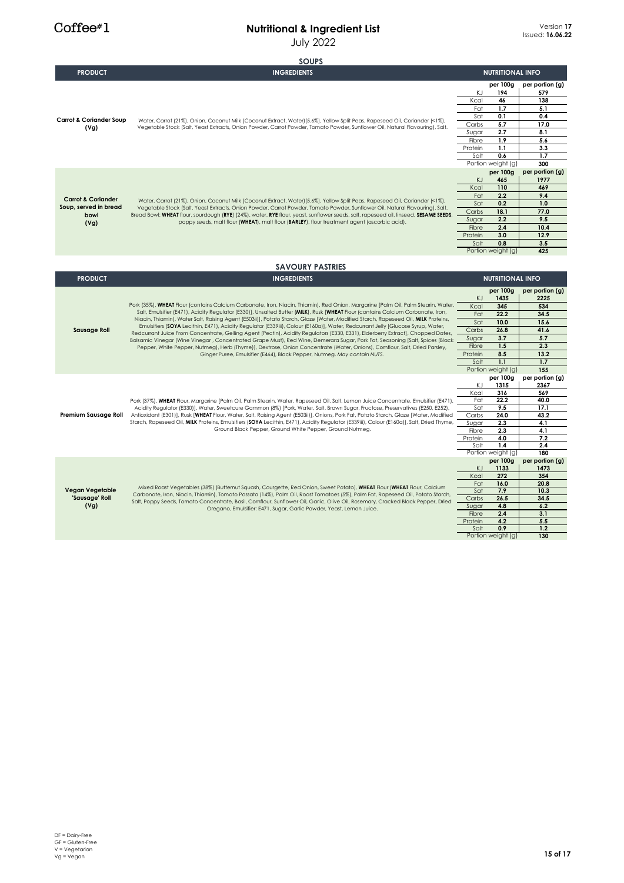|                                            | <b>SOUPS</b>                                                                                                                                                                                                                                                          |                  |                           |                        |
|--------------------------------------------|-----------------------------------------------------------------------------------------------------------------------------------------------------------------------------------------------------------------------------------------------------------------------|------------------|---------------------------|------------------------|
| <b>PRODUCT</b>                             | <b>INGREDIENTS</b>                                                                                                                                                                                                                                                    |                  | <b>NUTRITIONAL INFO</b>   |                        |
|                                            |                                                                                                                                                                                                                                                                       | ΚJ               | per 100g<br>194           | per portion (g)<br>579 |
| <b>Carrot &amp; Coriander Soup</b><br>(Vg) |                                                                                                                                                                                                                                                                       | Kcal             | 46                        | 138                    |
|                                            |                                                                                                                                                                                                                                                                       | Fat              | 1.7                       | 5.1                    |
|                                            | Water, Carrot (21%), Onion, Coconut Milk (Coconut Extract, Water) (5.6%), Yellow Split Peas, Rapeseed Oil, Coriander (<1%),<br>Vegetable Stock (Salt, Yeast Extracts, Onion Powder, Carrot Powder, Tomato Powder, Sunflower Oil, Natural Flavouring), Salt.           | Sat              | 0.1                       | 0.4                    |
|                                            |                                                                                                                                                                                                                                                                       | Carbs            | 5.7                       | 17.0                   |
|                                            |                                                                                                                                                                                                                                                                       | Sugar            | 2.7<br>1.9                | 8.1                    |
|                                            |                                                                                                                                                                                                                                                                       | Fibre<br>Protein | 1.1                       | 5.6                    |
|                                            |                                                                                                                                                                                                                                                                       | Salt             | 0.6                       | 3.3<br>1.7             |
|                                            |                                                                                                                                                                                                                                                                       |                  | Portion weight (g)        | 300                    |
|                                            |                                                                                                                                                                                                                                                                       | per 100g         | per portion (g)           |                        |
|                                            |                                                                                                                                                                                                                                                                       | KJ               | 465                       | 1977                   |
|                                            |                                                                                                                                                                                                                                                                       | Kcal             | 110                       | 469                    |
| <b>Carrot &amp; Coriander</b>              | Water, Carrot (21%), Onion, Coconut Milk (Coconut Extract, Water) (5.6%), Yellow Split Peas, Rapeseed Oil, Coriander (<1%),                                                                                                                                           | Fat              | 2.2                       | 9.4                    |
| Soup, served in bread                      | Vegetable Stock (Salt, Yeast Extracts, Onion Powder, Carrot Powder, Tomato Powder, Sunflower Oil, Natural Flavouring), Salt.                                                                                                                                          | Sat              | 0.2                       | 1.0                    |
| bowl                                       | Bread Bowl: WHEAT flour, sourdough (RYE) (24%), water, RYE flour, yeast, sunflower seeds, salt, rapeseed oil, linseed, SESAME SEEDS,                                                                                                                                  | Carbs            | 18.1                      | 77.0                   |
| (Vg)                                       | poppy seeds, malt flour (WHEAT), malt flour (BARLEY), flour treatment agent (ascorbic acid).                                                                                                                                                                          | Sugar            | 2.2                       | 9.5                    |
|                                            |                                                                                                                                                                                                                                                                       | Fibre            | 2.4                       | 10.4<br>12.9           |
|                                            |                                                                                                                                                                                                                                                                       | Protein<br>Salt  | 3.0<br>0.8                | 3.5                    |
|                                            |                                                                                                                                                                                                                                                                       |                  | Portion weight (g)        | 425                    |
|                                            |                                                                                                                                                                                                                                                                       |                  |                           |                        |
|                                            | <b>SAVOURY PASTRIES</b>                                                                                                                                                                                                                                               |                  |                           |                        |
| <b>PRODUCT</b>                             | <b>INGREDIENTS</b>                                                                                                                                                                                                                                                    |                  | <b>NUTRITIONAL INFO</b>   |                        |
|                                            | Pork (35%), WHEAT Flour (contains Calcium Carbonate, Iron, Niacin, Thiamin), Red Onion, Margarine [Palm Oil, Palm Stearin, Water,<br>Salt, Emulsifier (E471), Acidity Regulator (E330)], Unsalted Butter (MILK), Rusk [WHEAT Flour (contains Calcium Carbonate, Iron, |                  | per 100g                  | per portion (g)        |
|                                            |                                                                                                                                                                                                                                                                       | <b>KJ</b>        | 1435                      | 2225                   |
|                                            |                                                                                                                                                                                                                                                                       | Kcal             | 345                       | 534                    |
|                                            |                                                                                                                                                                                                                                                                       |                  |                           |                        |
|                                            |                                                                                                                                                                                                                                                                       | Fat              | 22.2                      | 34.5                   |
|                                            | Niacin, Thiamin), Water Salt, Raising Agent (E503ii)], Potato Starch, Glaze [Water, Modified Starch, Rapeseed Oil, MILK Proteins,<br>Emulsifiers (SOYA Lecithin, E471), Acidity Regulator (E339iii), Colour (E160a)], Water, Redcurrant Jelly [Glucose Syrup, Water,  | Sat              | 10.0                      | 15.6                   |
| <b>Sausage Roll</b>                        | Redcurrant Juice From Concentrate, Gelling Agent (Pectin), Acidity Regulators (E330, E331), Elderberry Extract), Chopped Dates,                                                                                                                                       | Carbs            | 26.8                      | 41.6                   |
|                                            | Balsamic Vinegar (Wine Vinegar, Concentrated Grape Must), Red Wine, Demerara Sugar, Pork Fat, Seasoning [Salt, Spices (Black                                                                                                                                          | Sugar            | 3.7                       | 5.7                    |
|                                            | Pepper, White Pepper, Nutmeg), Herb (Thyme)], Dextrose, Onion Concentrate (Water, Onions), Cornflour, Salt, Dried Parsley,                                                                                                                                            | Fibre            | 1.5                       | 2.3                    |
|                                            | Ginger Puree, Emulsifier (E464), Black Pepper, Nutmeg. May contain NUTS.                                                                                                                                                                                              | Protein<br>Salt  | 8.5<br>1.1                | 13.2<br>1.7            |
|                                            |                                                                                                                                                                                                                                                                       |                  | Portion weight (g)        | 155                    |
|                                            |                                                                                                                                                                                                                                                                       |                  | per 100g                  | per portion (g)        |
|                                            |                                                                                                                                                                                                                                                                       | KJ               | 1315                      | 2367                   |
|                                            |                                                                                                                                                                                                                                                                       | Kcal             | 316                       | 569                    |
|                                            | Pork (37%), WHEAT Flour, Margarine [Palm Oil, Palm Stearin, Water, Rapeseed Oil, Salt, Lemon Juice Concentrate, Emulsifier (E471),                                                                                                                                    | Fat              | 22.2                      | 40.0                   |
|                                            | Acidity Regulator (E330)], Water, Sweetcure Gammon (8%) [Pork, Water, Salt, Brown Sugar, Fructose, Preservatives (E250, E252),                                                                                                                                        | Sat              | 9.5                       | 17.1                   |
| Premium Sausage Roll                       | Antioxidant (E301)], Rusk [WHEAT Flour, Water, Salt, Raising Agent (E503ii)], Onions, Pork Fat, Potato Starch, Glaze [Water, Modified                                                                                                                                 | Carbs            | 24.0                      | 43.2                   |
|                                            | Starch, Rapeseed Oil, MILK Proteins, Emulsifiers (SOYA Lecithin, E471), Acidity Regulator (E339iii), Colour (E160a)], Salt, Dried Thyme,<br>Ground Black Pepper, Ground White Pepper, Ground Nutmeg.                                                                  | Sugar            | 2.3                       | 4.1                    |
|                                            |                                                                                                                                                                                                                                                                       | Fibre<br>Protein | 2.3<br>4.0                | 4.1<br>7.2             |
|                                            |                                                                                                                                                                                                                                                                       | Salt             | 1.4                       | 2.4                    |
|                                            |                                                                                                                                                                                                                                                                       |                  | Portion weight (g)        | 180                    |
|                                            |                                                                                                                                                                                                                                                                       |                  | per 100g                  | per portion (g)        |
|                                            |                                                                                                                                                                                                                                                                       | <b>KJ</b>        | 1133                      | 1473                   |
|                                            |                                                                                                                                                                                                                                                                       | Kcal             | 272                       | 354                    |
| Vegan Vegetable                            | Mixed Roast Vegetables (38%) (Butternut Squash, Courgette, Red Onion, Sweet Potato), WHEAT Flour (WHEAT Flour, Calcium                                                                                                                                                | Fat<br>Sat       | 16.0<br>7.9               | 20.8<br>10.3           |
| 'Sausage' Roll                             | Carbonate, Iron, Niacin, Thiamin), Tomato Passata (14%), Palm Oil, Roast Tomatoes (5%), Palm Fat, Rapeseed Oil, Potato Starch,                                                                                                                                        | Carbs            | 26.5                      | 34.5                   |
| (Vg)                                       | Salt, Poppy Seeds, Tomato Concentrate, Basil, Cornflour, Sunflower Oil, Garlic, Olive Oil, Rosemary, Cracked Black Pepper, Dried                                                                                                                                      | Sugar            | 4.8                       | 6.2                    |
|                                            | Oregano, Emulsifier: E471, Sugar, Garlic Powder, Yeast, Lemon Juice.                                                                                                                                                                                                  | Fibre            | 2.4                       | 3.1                    |
|                                            |                                                                                                                                                                                                                                                                       | Protein          | 4.2                       | 5.5                    |
|                                            |                                                                                                                                                                                                                                                                       | Salt             | 0.9<br>Portion weight (g) | 1.2<br>130             |

 $Coffee*1$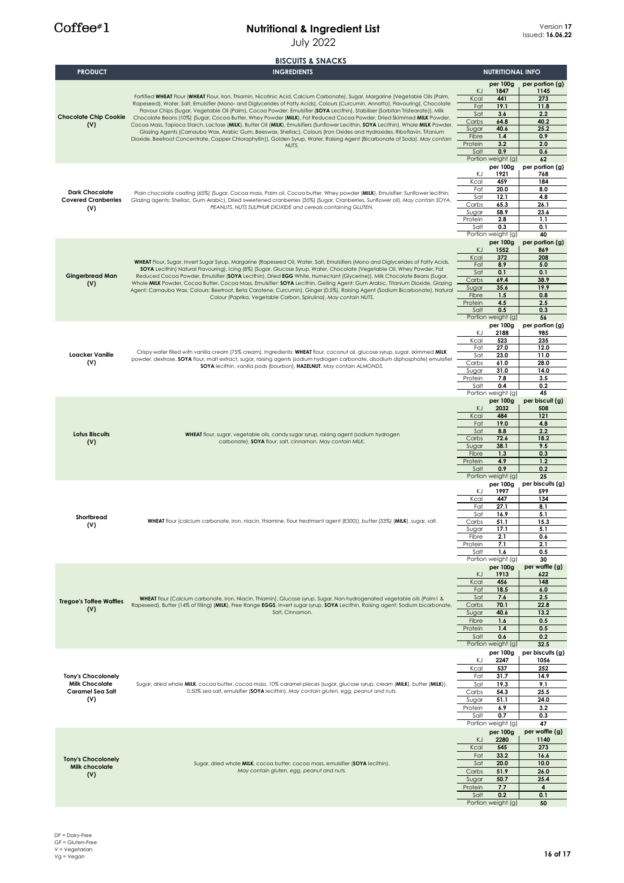|                                             | <b>BISCUITS &amp; SNACKS</b>                                                                                                                                                                                                                                 |                  |                                |                         |
|---------------------------------------------|--------------------------------------------------------------------------------------------------------------------------------------------------------------------------------------------------------------------------------------------------------------|------------------|--------------------------------|-------------------------|
| <b>PRODUCT</b>                              | <b>INGREDIENTS</b>                                                                                                                                                                                                                                           |                  | <b>NUTRITIONAL INFO</b>        |                         |
|                                             |                                                                                                                                                                                                                                                              |                  | per 100g                       | per portion (g)         |
|                                             | Fortified WHEAT Flour (WHEAT Flour, Iron, Thiamin, Nicotinic Acid, Calcium Carbonate), Sugar, Margarine (Vegetable Oils (Palm,                                                                                                                               | KJ<br>Kcal       | 1847<br>441                    | 1145<br>273             |
|                                             | Rapeseed), Water, Salt, Emulsifier (Mono- and Diglycerides of Fatty Acids), Colours (Curcumin, Annatto), Flavouring), Chocolate                                                                                                                              | Fat              | 19.1                           | 11.8                    |
| <b>Chocolate Chip Cookie</b>                | Flavour Chips (Sugar, Vegetable Oil (Palm), Cocoa Powder, Emulsifier (SOYA Lecithin), Stabiliser (Sorbitan Tristearate)), Milk<br>Chocolate Beans (10%) (Sugar, Cocoa Butter, Whey Powder (MILK), Fat Reduced Cocoa Powder, Dried Skimmed MILK Powder,       | Sat              | 3.6                            | 2.2                     |
| (V)                                         | Cocoa Mass, Tapioca Starch, Lactose (MILK), Butter Oil (MILK), Emulsifiers (Sunflower Lecithin, SOYA Lecithin), Whole MILK Powder,                                                                                                                           | Carbs            | 64.8                           | 40.2                    |
|                                             | Glazing Agents (Carnauba Wax, Arabic Gum, Beeswax, Shellac), Colours (Iron Oxides and Hydroxides, Riboflavin, Titanium                                                                                                                                       | Sugar<br>Fibre   | 40.6<br>1.4                    | 25.2<br>0.9             |
|                                             | Dioxide, Beetroot Concentrate, Copper Chlorophyllin)), Golden Syrup, Water, Raising Agent (Bicarbonate of Soda). May contain<br>NUTS.                                                                                                                        | Protein          | 3.2                            | 2.0                     |
|                                             |                                                                                                                                                                                                                                                              | Salt             | 0.9                            | 0.6                     |
|                                             |                                                                                                                                                                                                                                                              |                  | Portion weight (g)             | 62                      |
|                                             |                                                                                                                                                                                                                                                              | ΚJ               | per 100g<br>1921               | per portion (g)<br>768  |
|                                             |                                                                                                                                                                                                                                                              | Kcal             | 459                            | 184                     |
| <b>Dark Chocolate</b>                       | Plain chocolate coating (65%) (Sugar, Cocoa mass, Palm oil, Cocoa butter, Whey powder (MILK), Emulsifier: Sunflower lecithin;                                                                                                                                | Fat              | 20.0                           | 8.0                     |
| <b>Covered Cranberries</b>                  | Glazing agents: Shellac, Gum Arabic), Dried sweetened cranberries (35%) (Sugar, Cranberries, Sunflower oil). May contain SOYA,<br>PEANUTS, NUTS SULPHUR DIOXIDE and cereals containing GLUTEN.                                                               | Sat<br>Carbs     | 12.1                           | 4.8<br>26.1             |
| (V)                                         |                                                                                                                                                                                                                                                              | Sugar            | 65.3<br>58.9                   | 23.6                    |
|                                             |                                                                                                                                                                                                                                                              | Protein          | 2.8                            | 1.1                     |
|                                             |                                                                                                                                                                                                                                                              | Salt             | 0.3                            | 0.1                     |
|                                             |                                                                                                                                                                                                                                                              |                  | Portion weight (g)<br>per 100g | 40                      |
|                                             |                                                                                                                                                                                                                                                              | KJ               | 1552                           | per portion (g)<br>869  |
|                                             | WHEAT Flour, Sugar, Invert Sugar Syrup, Margarine (Rapeseed Oil, Water, Salt, Emulsifiers (Mono and Diglycerides of Fatty Acids,                                                                                                                             | Kcal             | 372                            | 208                     |
|                                             | SOYA Lecithin) Natural Flavouring), Icing (8%) (Sugar, Glucose Syrup, Water, Chocolate (Vegetable Oil, Whey Powder, Fat                                                                                                                                      | Fat              | 8.9                            | 5.0                     |
| <b>Gingerbread Man</b>                      | Reduced Cocoa Powder, Emulsifier (SOYA Lecithin), Dried EGG White, Humectant (Glycerine)), Milk Chocolate Beans (Sugar,                                                                                                                                      | Sat<br>Carbs     | 0.1<br>69.4                    | 0.1<br>38.9             |
| (V)                                         | Whole MILK Powder, Cocoa Butter, Cocoa Mass, Emulsifier: SOYA Lecithin, Gelling Agent: Gum Arabic, Titanium Dioxide, Glazing<br>Agent: Carnauba Wax, Colours: Beetroot, Beta Carotene, Curcumin), Ginger (0.5%), Raising Agent (Sodium Bicarbonate), Natural | Sugar            | 35.6                           | 19.9                    |
|                                             | Colour (Paprika, Vegetable Carbon, Spirulina). May contain NUTS.                                                                                                                                                                                             | Fibre            | 1.5                            | 0.8                     |
|                                             |                                                                                                                                                                                                                                                              | Protein<br>Salt  | 4.5<br>0.5                     | 2.5<br>0.3              |
|                                             |                                                                                                                                                                                                                                                              |                  | Portion weight (g)             | 56                      |
|                                             |                                                                                                                                                                                                                                                              |                  | per 100g                       | per portion (g)         |
|                                             |                                                                                                                                                                                                                                                              | KJ               | 2188                           | 985                     |
|                                             |                                                                                                                                                                                                                                                              | Kcal<br>Fat      | 523<br>27.0                    | 235<br>12.0             |
| <b>Loacker Vanille</b>                      | Crispy wafer filled with vanilla cream (75% cream). Ingredients: WHEAT flour, coconut oil, glucose syrup, sugar, skimmed MILK                                                                                                                                | Sat              | 23.0                           | 11.0                    |
| (V)                                         | powder, dextrose, SOYA flour, malt extract, sugar, raising agents (sodium hydrogen carbonate, disodium diphosphate) emulsifier<br>SOYA lecithin, vanilla pods (bourbon), HAZELNUT. May contain ALMONDS.                                                      | Carbs            | 61.0                           | 28.0                    |
|                                             |                                                                                                                                                                                                                                                              | Sugar            | 31.0                           | 14.0                    |
|                                             |                                                                                                                                                                                                                                                              | Protein<br>Salt  | 7.8<br>0.4                     | 3.5<br>0.2              |
|                                             |                                                                                                                                                                                                                                                              |                  | Portion weight (g)             | 45                      |
|                                             |                                                                                                                                                                                                                                                              |                  | per 100g                       | per biscuit (g)         |
|                                             |                                                                                                                                                                                                                                                              | <b>KJ</b>        | 2032                           | 508                     |
|                                             |                                                                                                                                                                                                                                                              | Kcal<br>Fat      | 484<br>19.0                    | 121<br>4.8              |
| <b>Lotus Biscuits</b>                       |                                                                                                                                                                                                                                                              | Sat              | 8.8                            | 2.2                     |
| (V)                                         | WHEAT flour, sugar, vegetable oils, candy sugar syrup, raising agent (sodium hydrogen<br>carbonate), SOYA flour, salt, cinnamon. May contain MILK.                                                                                                           | Carbs            | 72.6                           | 18.2                    |
|                                             |                                                                                                                                                                                                                                                              | Sugar<br>Fibre   | 38.1<br>1.3                    | 9.5<br>0.3              |
|                                             |                                                                                                                                                                                                                                                              | Protein          | 4.9                            | 1.2                     |
|                                             |                                                                                                                                                                                                                                                              | Salt             | 0.9                            | 0.2                     |
|                                             |                                                                                                                                                                                                                                                              |                  | Portion weight (g)             | 25                      |
|                                             |                                                                                                                                                                                                                                                              | ΚJ               | per 100g<br>1997               | per biscuits (g)<br>599 |
|                                             |                                                                                                                                                                                                                                                              | Kcal             | 447                            | 134                     |
|                                             |                                                                                                                                                                                                                                                              | Fat              | 27.1                           | 8.1                     |
| Shortbread                                  |                                                                                                                                                                                                                                                              | Sat              | 16.9                           | 5.1                     |
| (V)                                         | WHEAT flour (calcium carbonate, iron, niacin, thiamine, flour treatment agent (E300)), butter (33%) (MILK), sugar, salt.                                                                                                                                     | Carbs<br>Sugar   | 51.1<br>17.1                   | 15.3<br>5.1             |
|                                             |                                                                                                                                                                                                                                                              | Fibre            | 2.1                            | 0.6                     |
|                                             |                                                                                                                                                                                                                                                              | Protein          | 7.1                            | 2.1                     |
|                                             |                                                                                                                                                                                                                                                              | Salt             | 1.6                            | 0.5                     |
|                                             |                                                                                                                                                                                                                                                              |                  | Portion weight (g)<br>per 100g | 30<br>per waffle (g)    |
|                                             |                                                                                                                                                                                                                                                              | KJ               | 1913                           | 622                     |
|                                             |                                                                                                                                                                                                                                                              | Kcal             | 456                            | 148                     |
|                                             |                                                                                                                                                                                                                                                              | Fat<br>Sat       | 18.5<br>7.6                    | 6.0<br>2.5              |
| <b>Tregoe's Toffee Waffles</b>              | WHEAT flour (Calcium carbonate, Iron, Niacin, Thiamin), Glucose syrup, Sugar, Non-hydrogenated vegetable oils (Palm1 &<br>Rapeseed), Butter (14% of filling) (MILK), Free Range EGGS, Invert sugar syrup, SOYA Lecithin, Raising agent: Sodium bicarbonate,  | Carbs            | 70.1                           | 22.8                    |
| (V)                                         | Salt, Cinnamon.                                                                                                                                                                                                                                              | Sugar            | 40.6                           | 13.2                    |
|                                             |                                                                                                                                                                                                                                                              | Fibre            | 1.6                            | 0.5                     |
|                                             |                                                                                                                                                                                                                                                              | Protein          | 1.4                            | 0.5                     |
|                                             |                                                                                                                                                                                                                                                              | Salt             | 0.6<br>Portion weight (g)      | 0.2<br>32.5             |
|                                             |                                                                                                                                                                                                                                                              |                  | per 100g                       | per biscuits (g)        |
|                                             |                                                                                                                                                                                                                                                              | ΚJ               | 2247                           | 1056                    |
|                                             |                                                                                                                                                                                                                                                              | Kcal             | 537                            | 252                     |
| <b>Tony's Chocolonely</b>                   |                                                                                                                                                                                                                                                              | Fat              | 31.7                           | 14.9                    |
| <b>Milk Chocolate</b><br>Caramel Sea Salt   | Sugar, dried whole MILK, cocoa butter, cocoa mass, 10% caramel pieces (sugar, glucose syrup, cream (MILK), butter (MILK)),<br>0.50% sea salt, emulsifier (SOYA lecithin). May contain gluten, egg, peanut and nuts.                                          | Sat<br>Carbs     | 19.3<br>54.3                   | 9.1<br>25.5             |
| (V)                                         |                                                                                                                                                                                                                                                              | Sugar            | 51.1                           | 24.0                    |
|                                             |                                                                                                                                                                                                                                                              | Protein          | 6.9                            | 3.2                     |
|                                             |                                                                                                                                                                                                                                                              | Salt             | 0.7                            | 0.3                     |
|                                             |                                                                                                                                                                                                                                                              |                  | Portion weight (g)             | 47                      |
|                                             |                                                                                                                                                                                                                                                              | KJ               | per 100g<br>2280               | per waffle (g)<br>1140  |
|                                             |                                                                                                                                                                                                                                                              | Kcal             | 545                            | 273                     |
|                                             |                                                                                                                                                                                                                                                              | Fat              | 33.2                           | 16.6                    |
| <b>Tony's Chocolonely</b><br>Milk chocolate | Sugar, dried whole MILK, cocoa butter, cocoa mass, emulsifier (SOYA lecithin).                                                                                                                                                                               | Sat              | 20.0                           | 10.0                    |
| (V)                                         | May contain gluten, egg, peanut and nuts.                                                                                                                                                                                                                    | Carbs            | 51.9                           | 26.0                    |
|                                             |                                                                                                                                                                                                                                                              | Sugar<br>Protein | 50.7<br>7.7                    | 25.4<br>$\overline{4}$  |
|                                             |                                                                                                                                                                                                                                                              | Salt             | 0.2                            | 0.1                     |
|                                             |                                                                                                                                                                                                                                                              |                  | Portion weight (g)             | 50                      |